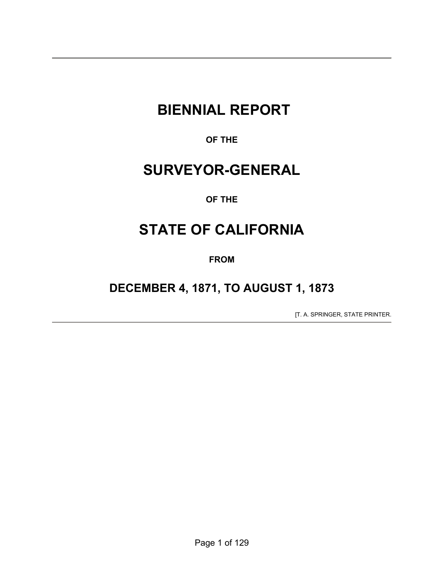# **BIENNIAL REPORT**

**OF THE** 

# **SURVEYOR-GENERAL**

## **OF THE**

# **STATE OF CALIFORNIA**

**FROM** 

# **DECEMBER 4, 1871, TO AUGUST 1, 1873**

[T. A. SPRINGER, STATE PRINTER.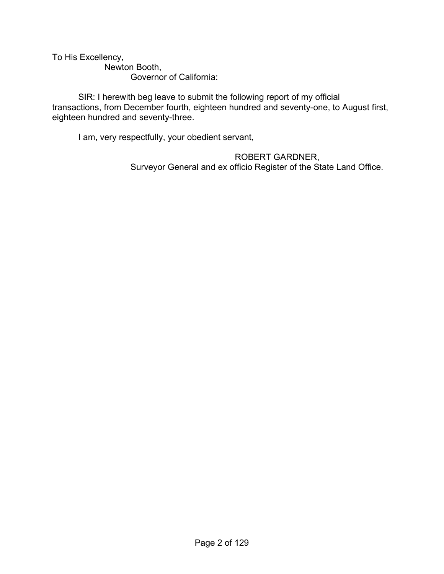To His Excellency,

 Newton Booth, Governor of California:

 SIR: I herewith beg leave to submit the following report of my official transactions, from December fourth, eighteen hundred and seventy-one, to August first, eighteen hundred and seventy-three.

I am, very respectfully, your obedient servant,

 ROBERT GARDNER, Surveyor General and ex officio Register of the State Land Office.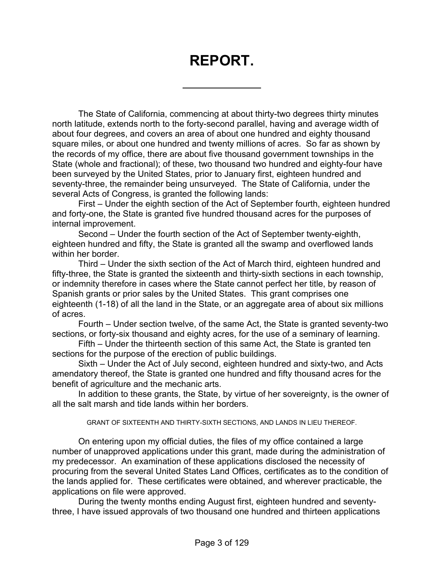# **REPORT.**

 $\overline{a}$ 

The State of California, commencing at about thirty-two degrees thirty minutes north latitude, extends north to the forty-second parallel, having and average width of about four degrees, and covers an area of about one hundred and eighty thousand square miles, or about one hundred and twenty millions of acres. So far as shown by the records of my office, there are about five thousand government townships in the State (whole and fractional); of these, two thousand two hundred and eighty-four have been surveyed by the United States, prior to January first, eighteen hundred and seventy-three, the remainder being unsurveyed. The State of California, under the several Acts of Congress, is granted the following lands:

 First – Under the eighth section of the Act of September fourth, eighteen hundred and forty-one, the State is granted five hundred thousand acres for the purposes of internal improvement.

 Second – Under the fourth section of the Act of September twenty-eighth, eighteen hundred and fifty, the State is granted all the swamp and overflowed lands within her border.

 Third – Under the sixth section of the Act of March third, eighteen hundred and fifty-three, the State is granted the sixteenth and thirty-sixth sections in each township, or indemnity therefore in cases where the State cannot perfect her title, by reason of Spanish grants or prior sales by the United States. This grant comprises one eighteenth (1-18) of all the land in the State, or an aggregate area of about six millions of acres.

 Fourth – Under section twelve, of the same Act, the State is granted seventy-two sections, or forty-six thousand and eighty acres, for the use of a seminary of learning.

 Fifth – Under the thirteenth section of this same Act, the State is granted ten sections for the purpose of the erection of public buildings.

 Sixth – Under the Act of July second, eighteen hundred and sixty-two, and Acts amendatory thereof, the State is granted one hundred and fifty thousand acres for the benefit of agriculture and the mechanic arts.

 In addition to these grants, the State, by virtue of her sovereignty, is the owner of all the salt marsh and tide lands within her borders.

GRANT OF SIXTEENTH AND THIRTY-SIXTH SECTIONS, AND LANDS IN LIEU THEREOF.

 On entering upon my official duties, the files of my office contained a large number of unapproved applications under this grant, made during the administration of my predecessor. An examination of these applications disclosed the necessity of procuring from the several United States Land Offices, certificates as to the condition of the lands applied for. These certificates were obtained, and wherever practicable, the applications on file were approved.

 During the twenty months ending August first, eighteen hundred and seventythree, I have issued approvals of two thousand one hundred and thirteen applications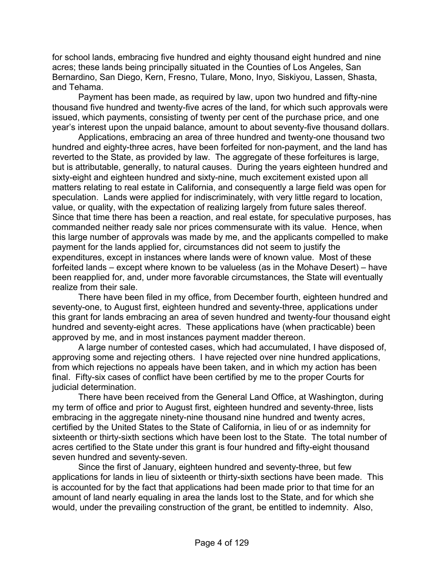for school lands, embracing five hundred and eighty thousand eight hundred and nine acres; these lands being principally situated in the Counties of Los Angeles, San Bernardino, San Diego, Kern, Fresno, Tulare, Mono, Inyo, Siskiyou, Lassen, Shasta, and Tehama.

 Payment has been made, as required by law, upon two hundred and fifty-nine thousand five hundred and twenty-five acres of the land, for which such approvals were issued, which payments, consisting of twenty per cent of the purchase price, and one year's interest upon the unpaid balance, amount to about seventy-five thousand dollars.

 Applications, embracing an area of three hundred and twenty-one thousand two hundred and eighty-three acres, have been forfeited for non-payment, and the land has reverted to the State, as provided by law. The aggregate of these forfeitures is large, but is attributable, generally, to natural causes. During the years eighteen hundred and sixty-eight and eighteen hundred and sixty-nine, much excitement existed upon all matters relating to real estate in California, and consequently a large field was open for speculation. Lands were applied for indiscriminately, with very little regard to location, value, or quality, with the expectation of realizing largely from future sales thereof. Since that time there has been a reaction, and real estate, for speculative purposes, has commanded neither ready sale nor prices commensurate with its value. Hence, when this large number of approvals was made by me, and the applicants compelled to make payment for the lands applied for, circumstances did not seem to justify the expenditures, except in instances where lands were of known value. Most of these forfeited lands – except where known to be valueless (as in the Mohave Desert) – have been reapplied for, and, under more favorable circumstances, the State will eventually realize from their sale.

 There have been filed in my office, from December fourth, eighteen hundred and seventy-one, to August first, eighteen hundred and seventy-three, applications under this grant for lands embracing an area of seven hundred and twenty-four thousand eight hundred and seventy-eight acres. These applications have (when practicable) been approved by me, and in most instances payment madder thereon.

 A large number of contested cases, which had accumulated, I have disposed of, approving some and rejecting others. I have rejected over nine hundred applications, from which rejections no appeals have been taken, and in which my action has been final. Fifty-six cases of conflict have been certified by me to the proper Courts for judicial determination.

 There have been received from the General Land Office, at Washington, during my term of office and prior to August first, eighteen hundred and seventy-three, lists embracing in the aggregate ninety-nine thousand nine hundred and twenty acres, certified by the United States to the State of California, in lieu of or as indemnity for sixteenth or thirty-sixth sections which have been lost to the State. The total number of acres certified to the State under this grant is four hundred and fifty-eight thousand seven hundred and seventy-seven.

 Since the first of January, eighteen hundred and seventy-three, but few applications for lands in lieu of sixteenth or thirty-sixth sections have been made. This is accounted for by the fact that applications had been made prior to that time for an amount of land nearly equaling in area the lands lost to the State, and for which she would, under the prevailing construction of the grant, be entitled to indemnity. Also,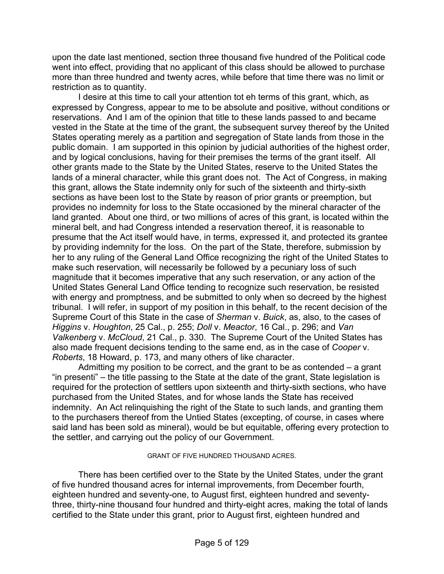upon the date last mentioned, section three thousand five hundred of the Political code went into effect, providing that no applicant of this class should be allowed to purchase more than three hundred and twenty acres, while before that time there was no limit or restriction as to quantity.

 I desire at this time to call your attention tot eh terms of this grant, which, as expressed by Congress, appear to me to be absolute and positive, without conditions or reservations. And I am of the opinion that title to these lands passed to and became vested in the State at the time of the grant, the subsequent survey thereof by the United States operating merely as a partition and segregation of State lands from those in the public domain. I am supported in this opinion by judicial authorities of the highest order, and by logical conclusions, having for their premises the terms of the grant itself. All other grants made to the State by the United States, reserve to the United States the lands of a mineral character, while this grant does not. The Act of Congress, in making this grant, allows the State indemnity only for such of the sixteenth and thirty-sixth sections as have been lost to the State by reason of prior grants or preemption, but provides no indemnity for loss to the State occasioned by the mineral character of the land granted. About one third, or two millions of acres of this grant, is located within the mineral belt, and had Congress intended a reservation thereof, it is reasonable to presume that the Act itself would have, in terms, expressed it, and protected its grantee by providing indemnity for the loss. On the part of the State, therefore, submission by her to any ruling of the General Land Office recognizing the right of the United States to make such reservation, will necessarily be followed by a pecuniary loss of such magnitude that it becomes imperative that any such reservation, or any action of the United States General Land Office tending to recognize such reservation, be resisted with energy and promptness, and be submitted to only when so decreed by the highest tribunal. I will refer, in support of my position in this behalf, to the recent decision of the Supreme Court of this State in the case of *Sherman* v. *Buick*, as, also, to the cases of *Higgins* v. *Houghton*, 25 Cal., p. 255; *Doll* v. *Meactor*, 16 Cal., p. 296; and *Van Valkenberg* v. *McCloud*, 21 Cal., p. 330. The Supreme Court of the United States has also made frequent decisions tending to the same end, as in the case of *Cooper* v. *Roberts*, 18 Howard, p. 173, and many others of like character.

 Admitting my position to be correct, and the grant to be as contended – a grant "in presenti" – the title passing to the State at the date of the grant, State legislation is required for the protection of settlers upon sixteenth and thirty-sixth sections, who have purchased from the United States, and for whose lands the State has received indemnity. An Act relinquishing the right of the State to such lands, and granting them to the purchasers thereof from the Untied States (excepting, of course, in cases where said land has been sold as mineral), would be but equitable, offering every protection to the settler, and carrying out the policy of our Government.

#### GRANT OF FIVE HUNDRED THOUSAND ACRES.

 There has been certified over to the State by the United States, under the grant of five hundred thousand acres for internal improvements, from December fourth, eighteen hundred and seventy-one, to August first, eighteen hundred and seventythree, thirty-nine thousand four hundred and thirty-eight acres, making the total of lands certified to the State under this grant, prior to August first, eighteen hundred and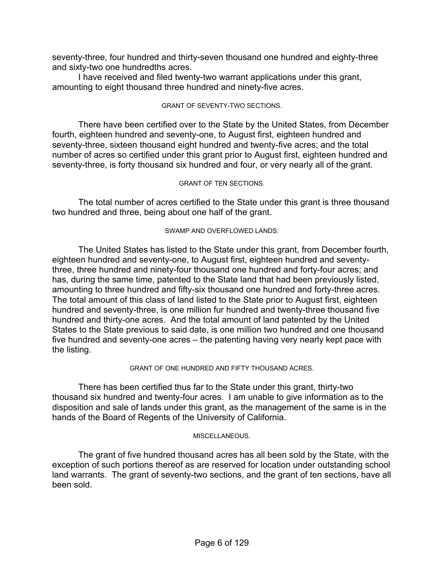seventy-three, four hundred and thirty-seven thousand one hundred and eighty-three and sixty-two one hundredths acres.

 I have received and filed twenty-two warrant applications under this grant, amounting to eight thousand three hundred and ninety-five acres.

#### GRANT OF SEVENTY-TWO SECTIONS.

 There have been certified over to the State by the United States, from December fourth, eighteen hundred and seventy-one, to August first, eighteen hundred and seventy-three, sixteen thousand eight hundred and twenty-five acres; and the total number of acres so certified under this grant prior to August first, eighteen hundred and seventy-three, is forty thousand six hundred and four, or very nearly all of the grant.

#### GRANT OF TEN SECTIONS.

 The total number of acres certified to the State under this grant is three thousand two hundred and three, being about one half of the grant.

#### SWAMP AND OVERFLOWED LANDS.

 The United States has listed to the State under this grant, from December fourth, eighteen hundred and seventy-one, to August first, eighteen hundred and seventythree, three hundred and ninety-four thousand one hundred and forty-four acres; and has, during the same time, patented to the State land that had been previously listed, amounting to three hundred and fifty-six thousand one hundred and forty-three acres. The total amount of this class of land listed to the State prior to August first, eighteen hundred and seventy-three, is one million fur hundred and twenty-three thousand five hundred and thirty-one acres. And the total amount of land patented by the United States to the State previous to said date, is one million two hundred and one thousand five hundred and seventy-one acres – the patenting having very nearly kept pace with the listing.

#### GRANT OF ONE HUNDRED AND FIFTY THOUSAND ACRES.

 There has been certified thus far to the State under this grant, thirty-two thousand six hundred and twenty-four acres. I am unable to give information as to the disposition and sale of lands under this grant, as the management of the same is in the hands of the Board of Regents of the University of California.

#### MISCELLANEOUS.

 The grant of five hundred thousand acres has all been sold by the State, with the exception of such portions thereof as are reserved for location under outstanding school land warrants. The grant of seventy-two sections, and the grant of ten sections, have all been sold.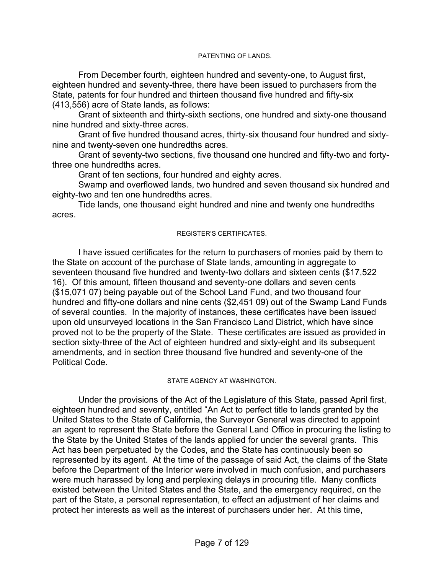#### PATENTING OF LANDS.

 From December fourth, eighteen hundred and seventy-one, to August first, eighteen hundred and seventy-three, there have been issued to purchasers from the State, patents for four hundred and thirteen thousand five hundred and fifty-six (413,556) acre of State lands, as follows:

 Grant of sixteenth and thirty-sixth sections, one hundred and sixty-one thousand nine hundred and sixty-three acres.

 Grant of five hundred thousand acres, thirty-six thousand four hundred and sixtynine and twenty-seven one hundredths acres.

 Grant of seventy-two sections, five thousand one hundred and fifty-two and fortythree one hundredths acres.

Grant of ten sections, four hundred and eighty acres.

 Swamp and overflowed lands, two hundred and seven thousand six hundred and eighty-two and ten one hundredths acres.

 Tide lands, one thousand eight hundred and nine and twenty one hundredths acres.

#### REGISTER'S CERTIFICATES.

 I have issued certificates for the return to purchasers of monies paid by them to the State on account of the purchase of State lands, amounting in aggregate to seventeen thousand five hundred and twenty-two dollars and sixteen cents (\$17,522 16). Of this amount, fifteen thousand and seventy-one dollars and seven cents (\$15,071 07) being payable out of the School Land Fund, and two thousand four hundred and fifty-one dollars and nine cents (\$2,451 09) out of the Swamp Land Funds of several counties. In the majority of instances, these certificates have been issued upon old unsurveyed locations in the San Francisco Land District, which have since proved not to be the property of the State. These certificates are issued as provided in section sixty-three of the Act of eighteen hundred and sixty-eight and its subsequent amendments, and in section three thousand five hundred and seventy-one of the Political Code.

#### STATE AGENCY AT WASHINGTON.

 Under the provisions of the Act of the Legislature of this State, passed April first, eighteen hundred and seventy, entitled "An Act to perfect title to lands granted by the United States to the State of California, the Surveyor General was directed to appoint an agent to represent the State before the General Land Office in procuring the listing to the State by the United States of the lands applied for under the several grants. This Act has been perpetuated by the Codes, and the State has continuously been so represented by its agent. At the time of the passage of said Act, the claims of the State before the Department of the Interior were involved in much confusion, and purchasers were much harassed by long and perplexing delays in procuring title. Many conflicts existed between the United States and the State, and the emergency required, on the part of the State, a personal representation, to effect an adjustment of her claims and protect her interests as well as the interest of purchasers under her. At this time,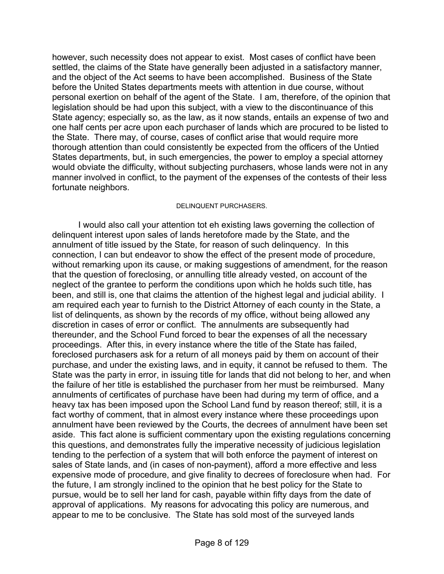however, such necessity does not appear to exist. Most cases of conflict have been settled, the claims of the State have generally been adjusted in a satisfactory manner, and the object of the Act seems to have been accomplished. Business of the State before the United States departments meets with attention in due course, without personal exertion on behalf of the agent of the State. I am, therefore, of the opinion that legislation should be had upon this subject, with a view to the discontinuance of this State agency; especially so, as the law, as it now stands, entails an expense of two and one half cents per acre upon each purchaser of lands which are procured to be listed to the State. There may, of course, cases of conflict arise that would require more thorough attention than could consistently be expected from the officers of the Untied States departments, but, in such emergencies, the power to employ a special attorney would obviate the difficulty, without subjecting purchasers, whose lands were not in any manner involved in conflict, to the payment of the expenses of the contests of their less fortunate neighbors.

#### DELINQUENT PURCHASERS.

 I would also call your attention tot eh existing laws governing the collection of delinquent interest upon sales of lands heretofore made by the State, and the annulment of title issued by the State, for reason of such delinquency. In this connection, I can but endeavor to show the effect of the present mode of procedure, without remarking upon its cause, or making suggestions of amendment, for the reason that the question of foreclosing, or annulling title already vested, on account of the neglect of the grantee to perform the conditions upon which he holds such title, has been, and still is, one that claims the attention of the highest legal and judicial ability. I am required each year to furnish to the District Attorney of each county in the State, a list of delinquents, as shown by the records of my office, without being allowed any discretion in cases of error or conflict. The annulments are subsequently had thereunder, and the School Fund forced to bear the expenses of all the necessary proceedings. After this, in every instance where the title of the State has failed, foreclosed purchasers ask for a return of all moneys paid by them on account of their purchase, and under the existing laws, and in equity, it cannot be refused to them. The State was the party in error, in issuing title for lands that did not belong to her, and when the failure of her title is established the purchaser from her must be reimbursed. Many annulments of certificates of purchase have been had during my term of office, and a heavy tax has been imposed upon the School Land fund by reason thereof; still, it is a fact worthy of comment, that in almost every instance where these proceedings upon annulment have been reviewed by the Courts, the decrees of annulment have been set aside. This fact alone is sufficient commentary upon the existing regulations concerning this questions, and demonstrates fully the imperative necessity of judicious legislation tending to the perfection of a system that will both enforce the payment of interest on sales of State lands, and (in cases of non-payment), afford a more effective and less expensive mode of procedure, and give finality to decrees of foreclosure when had. For the future, I am strongly inclined to the opinion that he best policy for the State to pursue, would be to sell her land for cash, payable within fifty days from the date of approval of applications. My reasons for advocating this policy are numerous, and appear to me to be conclusive. The State has sold most of the surveyed lands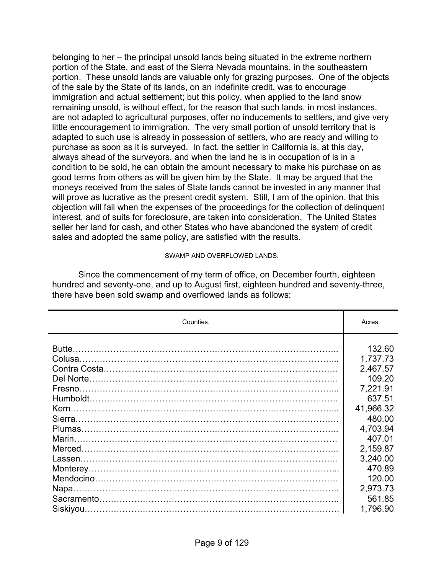belonging to her – the principal unsold lands being situated in the extreme northern portion of the State, and east of the Sierra Nevada mountains, in the southeastern portion. These unsold lands are valuable only for grazing purposes. One of the objects of the sale by the State of its lands, on an indefinite credit, was to encourage immigration and actual settlement; but this policy, when applied to the land snow remaining unsold, is without effect, for the reason that such lands, in most instances, are not adapted to agricultural purposes, offer no inducements to settlers, and give very little encouragement to immigration. The very small portion of unsold territory that is adapted to such use is already in possession of settlers, who are ready and willing to purchase as soon as it is surveyed. In fact, the settler in California is, at this day, always ahead of the surveyors, and when the land he is in occupation of is in a condition to be sold, he can obtain the amount necessary to make his purchase on as good terms from others as will be given him by the State. It may be argued that the moneys received from the sales of State lands cannot be invested in any manner that will prove as lucrative as the present credit system. Still, I am of the opinion, that this objection will fail when the expenses of the proceedings for the collection of delinquent interest, and of suits for foreclosure, are taken into consideration. The United States seller her land for cash, and other States who have abandoned the system of credit sales and adopted the same policy, are satisfied with the results.

#### SWAMP AND OVERFLOWED LANDS.

 Since the commencement of my term of office, on December fourth, eighteen hundred and seventy-one, and up to August first, eighteen hundred and seventy-three, there have been sold swamp and overflowed lands as follows:

| Counties. | Acres.    |
|-----------|-----------|
|           |           |
|           | 132.60    |
|           | 1,737.73  |
|           | 2,467.57  |
|           | 109.20    |
|           | 7,221.91  |
|           | 637.51    |
|           | 41,966.32 |
|           | 480.00    |
|           | 4,703.94  |
|           | 407.01    |
|           | 2,159.87  |
|           | 3,240.00  |
|           | 470.89    |
|           | 120.00    |
|           | 2,973.73  |
|           | 561.85    |
|           | 1,796.90  |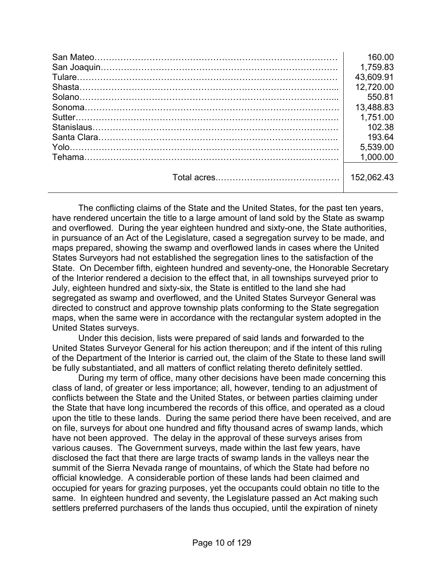| 160.00     |
|------------|
| 1,759.83   |
| 43,609.91  |
| 12,720.00  |
| 550.81     |
| 13,488.83  |
| 1,751.00   |
| 102.38     |
| 193.64     |
| 5,539.00   |
| 1.000.00   |
| 152.062.43 |

 The conflicting claims of the State and the United States, for the past ten years, have rendered uncertain the title to a large amount of land sold by the State as swamp and overflowed. During the year eighteen hundred and sixty-one, the State authorities, in pursuance of an Act of the Legislature, cased a segregation survey to be made, and maps prepared, showing the swamp and overflowed lands in cases where the United States Surveyors had not established the segregation lines to the satisfaction of the State. On December fifth, eighteen hundred and seventy-one, the Honorable Secretary of the Interior rendered a decision to the effect that, in all townships surveyed prior to July, eighteen hundred and sixty-six, the State is entitled to the land she had segregated as swamp and overflowed, and the United States Surveyor General was directed to construct and approve township plats conforming to the State segregation maps, when the same were in accordance with the rectangular system adopted in the United States surveys.

 Under this decision, lists were prepared of said lands and forwarded to the United States Surveyor General for his action thereupon; and if the intent of this ruling of the Department of the Interior is carried out, the claim of the State to these land swill be fully substantiated, and all matters of conflict relating thereto definitely settled.

 During my term of office, many other decisions have been made concerning this class of land, of greater or less importance; all, however, tending to an adjustment of conflicts between the State and the United States, or between parties claiming under the State that have long incumbered the records of this office, and operated as a cloud upon the title to these lands. During the same period there have been received, and are on file, surveys for about one hundred and fifty thousand acres of swamp lands, which have not been approved. The delay in the approval of these surveys arises from various causes. The Government surveys, made within the last few years, have disclosed the fact that there are large tracts of swamp lands in the valleys near the summit of the Sierra Nevada range of mountains, of which the State had before no official knowledge. A considerable portion of these lands had been claimed and occupied for years for grazing purposes, yet the occupants could obtain no title to the same. In eighteen hundred and seventy, the Legislature passed an Act making such settlers preferred purchasers of the lands thus occupied, until the expiration of ninety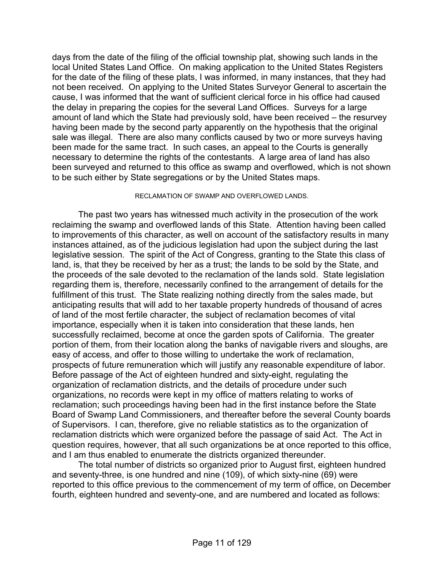days from the date of the filing of the official township plat, showing such lands in the local United States Land Office. On making application to the United States Registers for the date of the filing of these plats, I was informed, in many instances, that they had not been received. On applying to the United States Surveyor General to ascertain the cause, I was informed that the want of sufficient clerical force in his office had caused the delay in preparing the copies for the several Land Offices. Surveys for a large amount of land which the State had previously sold, have been received – the resurvey having been made by the second party apparently on the hypothesis that the original sale was illegal. There are also many conflicts caused by two or more surveys having been made for the same tract. In such cases, an appeal to the Courts is generally necessary to determine the rights of the contestants. A large area of land has also been surveyed and returned to this office as swamp and overflowed, which is not shown to be such either by State segregations or by the United States maps.

#### RECLAMATION OF SWAMP AND OVERFLOWED LANDS.

 The past two years has witnessed much activity in the prosecution of the work reclaiming the swamp and overflowed lands of this State. Attention having been called to improvements of this character, as well on account of the satisfactory results in many instances attained, as of the judicious legislation had upon the subject during the last legislative session. The spirit of the Act of Congress, granting to the State this class of land, is, that they be received by her as a trust; the lands to be sold by the State, and the proceeds of the sale devoted to the reclamation of the lands sold. State legislation regarding them is, therefore, necessarily confined to the arrangement of details for the fulfillment of this trust. The State realizing nothing directly from the sales made, but anticipating results that will add to her taxable property hundreds of thousand of acres of land of the most fertile character, the subject of reclamation becomes of vital importance, especially when it is taken into consideration that these lands, hen successfully reclaimed, become at once the garden spots of California. The greater portion of them, from their location along the banks of navigable rivers and sloughs, are easy of access, and offer to those willing to undertake the work of reclamation, prospects of future remuneration which will justify any reasonable expenditure of labor. Before passage of the Act of eighteen hundred and sixty-eight, regulating the organization of reclamation districts, and the details of procedure under such organizations, no records were kept in my office of matters relating to works of reclamation; such proceedings having been had in the first instance before the State Board of Swamp Land Commissioners, and thereafter before the several County boards of Supervisors. I can, therefore, give no reliable statistics as to the organization of reclamation districts which were organized before the passage of said Act. The Act in question requires, however, that all such organizations be at once reported to this office, and I am thus enabled to enumerate the districts organized thereunder.

 The total number of districts so organized prior to August first, eighteen hundred and seventy-three, is one hundred and nine (109), of which sixty-nine (69) were reported to this office previous to the commencement of my term of office, on December fourth, eighteen hundred and seventy-one, and are numbered and located as follows: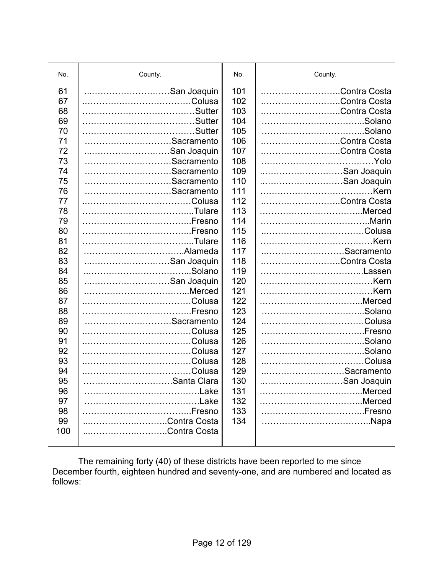| No.                                           | County.                                               | No.                                           | County.                                      |
|-----------------------------------------------|-------------------------------------------------------|-----------------------------------------------|----------------------------------------------|
| 61                                            | San Joaquin                                           | 101                                           | Contra Costa                                 |
| 67                                            |                                                       | 102                                           | Contra Costa                                 |
| 68                                            |                                                       | 103                                           | Contra Costa                                 |
| 69                                            |                                                       | 104                                           |                                              |
| 70                                            |                                                       | 105                                           |                                              |
| 71                                            | Sacramento                                            | 106                                           | Contra Costa                                 |
| 72                                            | San Joaquin                                           | 107                                           | Contra Costa                                 |
| 73                                            | Sacramento                                            | 108                                           |                                              |
| 74                                            | Sacramento                                            | 109                                           | San Joaquin                                  |
| 75                                            | Sacramento                                            | 110                                           | San Joaquin                                  |
| 76                                            | Sacramento                                            | 111                                           |                                              |
| 77                                            |                                                       | 112                                           | Contra Costa                                 |
| 78                                            |                                                       | 113                                           |                                              |
| 79                                            |                                                       | 114                                           |                                              |
| 80                                            |                                                       | 115                                           |                                              |
| 81                                            |                                                       | 116                                           |                                              |
| 82                                            |                                                       | 117                                           | Sacramento                                   |
| 83                                            | San Joaquin                                           | 118                                           | Contra Costa                                 |
| 84                                            |                                                       | 119                                           | Lassen                                       |
| 85                                            | San Joaquin                                           | 120                                           |                                              |
| 86                                            |                                                       | 121                                           |                                              |
| 87                                            |                                                       | 122                                           |                                              |
| 88                                            |                                                       | 123                                           |                                              |
| 89                                            | Sacramento                                            | 124                                           |                                              |
| 90                                            |                                                       | 125                                           |                                              |
| 91                                            |                                                       | 126                                           |                                              |
| 92                                            |                                                       | 127                                           |                                              |
| 93<br>94<br>95<br>96<br>97<br>98<br>99<br>100 | Santa Clara<br>Fresno<br>Contra Costa<br>Contra Costa | 128<br>129<br>130<br>131<br>132<br>133<br>134 | Sacramento<br>San Joaquin<br>.Merced<br>Napa |

 The remaining forty (40) of these districts have been reported to me since December fourth, eighteen hundred and seventy-one, and are numbered and located as follows: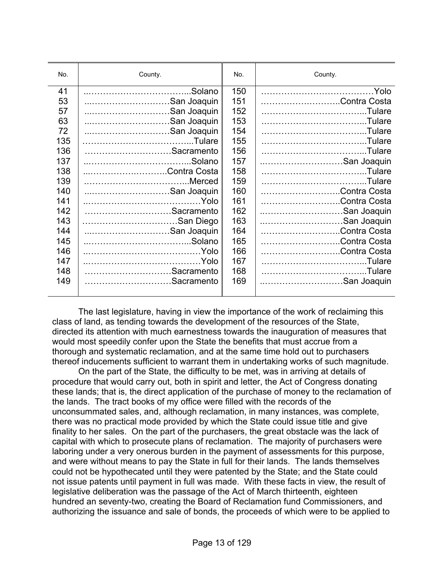| No. | County.      | No. | County.      |
|-----|--------------|-----|--------------|
| 41  | .Solano<br>  | 150 | .Yolo        |
| 53  | San Joaquin  | 151 | Contra Costa |
| 57  | San Joaquin  | 152 |              |
| 63  | San Joaquin  | 153 |              |
| 72  | San Joaquin  | 154 |              |
| 135 |              | 155 |              |
| 136 | Sacramento   | 156 | Tulare.      |
| 137 | .Solano      | 157 | San Joaquin  |
| 138 | Contra Costa | 158 | Tulare.      |
| 139 |              | 159 | Tulare.      |
| 140 | San Joaquin  | 160 | Contra Costa |
| 141 |              | 161 | Contra Costa |
| 142 | Sacramento   | 162 | San Joaquin  |
| 143 | San Diego    | 163 | San Joaquin  |
| 144 | San Joaquin  | 164 | Contra Costa |
| 145 |              | 165 | Contra Costa |
| 146 |              | 166 | Contra Costa |
| 147 |              | 167 |              |
| 148 | Sacramento   | 168 |              |
| 149 | Sacramento   | 169 | San Joaquin  |
|     |              |     |              |

 The last legislature, having in view the importance of the work of reclaiming this class of land, as tending towards the development of the resources of the State, directed its attention with much earnestness towards the inauguration of measures that would most speedily confer upon the State the benefits that must accrue from a thorough and systematic reclamation, and at the same time hold out to purchasers thereof inducements sufficient to warrant them in undertaking works of such magnitude.

 On the part of the State, the difficulty to be met, was in arriving at details of procedure that would carry out, both in spirit and letter, the Act of Congress donating these lands; that is, the direct application of the purchase of money to the reclamation of the lands. The tract books of my office were filled with the records of the unconsummated sales, and, although reclamation, in many instances, was complete, there was no practical mode provided by which the State could issue title and give finality to her sales. On the part of the purchasers, the great obstacle was the lack of capital with which to prosecute plans of reclamation. The majority of purchasers were laboring under a very onerous burden in the payment of assessments for this purpose, and were without means to pay the State in full for their lands. The lands themselves could not be hypothecated until they were patented by the State; and the State could not issue patents until payment in full was made. With these facts in view, the result of legislative deliberation was the passage of the Act of March thirteenth, eighteen hundred an seventy-two, creating the Board of Reclamation fund Commissioners, and authorizing the issuance and sale of bonds, the proceeds of which were to be applied to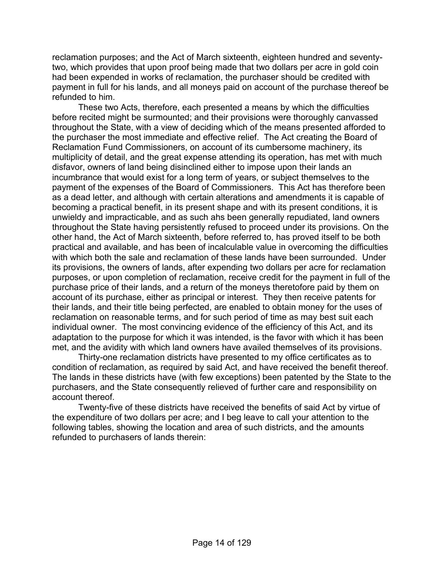reclamation purposes; and the Act of March sixteenth, eighteen hundred and seventytwo, which provides that upon proof being made that two dollars per acre in gold coin had been expended in works of reclamation, the purchaser should be credited with payment in full for his lands, and all moneys paid on account of the purchase thereof be refunded to him.

 These two Acts, therefore, each presented a means by which the difficulties before recited might be surmounted; and their provisions were thoroughly canvassed throughout the State, with a view of deciding which of the means presented afforded to the purchaser the most immediate and effective relief. The Act creating the Board of Reclamation Fund Commissioners, on account of its cumbersome machinery, its multiplicity of detail, and the great expense attending its operation, has met with much disfavor, owners of land being disinclined either to impose upon their lands an incumbrance that would exist for a long term of years, or subject themselves to the payment of the expenses of the Board of Commissioners. This Act has therefore been as a dead letter, and although with certain alterations and amendments it is capable of becoming a practical benefit, in its present shape and with its present conditions, it is unwieldy and impracticable, and as such ahs been generally repudiated, land owners throughout the State having persistently refused to proceed under its provisions. On the other hand, the Act of March sixteenth, before referred to, has proved itself to be both practical and available, and has been of incalculable value in overcoming the difficulties with which both the sale and reclamation of these lands have been surrounded. Under its provisions, the owners of lands, after expending two dollars per acre for reclamation purposes, or upon completion of reclamation, receive credit for the payment in full of the purchase price of their lands, and a return of the moneys theretofore paid by them on account of its purchase, either as principal or interest. They then receive patents for their lands, and their title being perfected, are enabled to obtain money for the uses of reclamation on reasonable terms, and for such period of time as may best suit each individual owner. The most convincing evidence of the efficiency of this Act, and its adaptation to the purpose for which it was intended, is the favor with which it has been met, and the avidity with which land owners have availed themselves of its provisions.

 Thirty-one reclamation districts have presented to my office certificates as to condition of reclamation, as required by said Act, and have received the benefit thereof. The lands in these districts have (with few exceptions) been patented by the State to the purchasers, and the State consequently relieved of further care and responsibility on account thereof.

 Twenty-five of these districts have received the benefits of said Act by virtue of the expenditure of two dollars per acre; and I beg leave to call your attention to the following tables, showing the location and area of such districts, and the amounts refunded to purchasers of lands therein: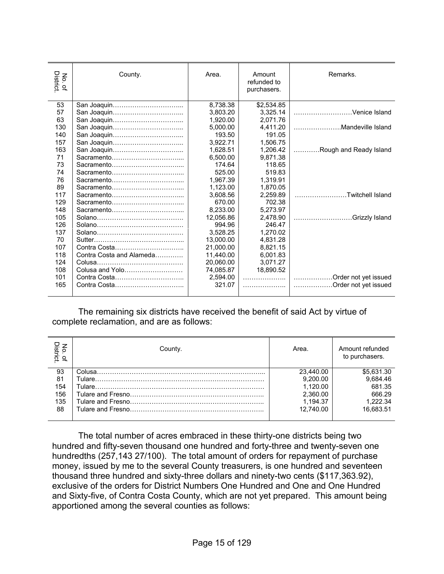| District<br>$\mathsf{S}$<br>$\mathbf{Q}$ | County.                  | Area.     | Amount<br>refunded to<br>purchasers. | Remarks.               |
|------------------------------------------|--------------------------|-----------|--------------------------------------|------------------------|
| 53                                       |                          | 8,738.38  | \$2,534.85                           |                        |
| 57                                       |                          | 3.803.20  | 3.325.14                             | Venice Island          |
| 63                                       | San Joaquin              | 1.920.00  | 2.071.76                             |                        |
| 130                                      |                          | 5,000.00  | 4.411.20                             | Mandeville Island      |
| 140                                      |                          | 193.50    | 191.05                               |                        |
| 157                                      |                          | 3,922.71  | 1,506.75                             |                        |
| 163                                      | San Joaquin              | 1.628.51  | 1.206.42                             | Rough and Ready Island |
| 71                                       |                          | 6.500.00  | 9.871.38                             |                        |
| 73                                       |                          | 174.64    | 118.65                               |                        |
| 74                                       |                          | 525.00    | 519.83                               |                        |
| 76                                       |                          | 1,967.39  | 1,319.91                             |                        |
| 89                                       |                          | 1,123.00  | 1.870.05                             |                        |
| 117                                      |                          | 3.608.56  | 2.259.89                             | Twitchell Island       |
| 129                                      |                          | 670.00    | 702.38                               |                        |
| 148                                      |                          | 8,233.00  | 5.273.97                             |                        |
| 105                                      |                          | 12,056.86 | 2,478.90                             | Grizzly Island         |
| 126                                      |                          | 994.96    | 246.47                               |                        |
| 137                                      |                          | 3.528.25  | 1.270.02                             |                        |
| 70                                       |                          | 13,000.00 | 4,831.28                             |                        |
| 107                                      |                          | 21.000.00 | 8.821.15                             |                        |
| 118                                      | Contra Costa and Alameda | 11,440.00 | 6,001.83                             |                        |
| 124                                      |                          | 20.060.00 | 3.071.27                             |                        |
| 108                                      | Colusa and Yolo          | 74,085.87 | 18,890.52                            |                        |
| 101                                      | Contra Costa             | 2,594.00  | .                                    | Order not yet issued   |
| 165                                      | Contra Costa             | 321.07    | .                                    | Order not yet issued   |
|                                          |                          |           |                                      |                        |

 The remaining six districts have received the benefit of said Act by virtue of complete reclamation, and are as follows:

| No. of<br>District. | County. | Area.     | Amount refunded<br>to purchasers. |
|---------------------|---------|-----------|-----------------------------------|
| 93                  |         | 23.440.00 | \$5.631.30                        |
| 81                  |         | 9,200.00  | 9.684.46                          |
| 154                 |         | 1.120.00  | 681.35                            |
| 156                 |         | 2,360.00  | 666.29                            |
| 135                 |         | 1,194.37  | 1.222.34                          |
| 88                  |         | 12.740.00 | 16.683.51                         |

 The total number of acres embraced in these thirty-one districts being two hundred and fifty-seven thousand one hundred and forty-three and twenty-seven one hundredths (257,143 27/100). The total amount of orders for repayment of purchase money, issued by me to the several County treasurers, is one hundred and seventeen thousand three hundred and sixty-three dollars and ninety-two cents (\$117,363.92), exclusive of the orders for District Numbers One Hundred and One and One Hundred and Sixty-five, of Contra Costa County, which are not yet prepared. This amount being apportioned among the several counties as follows: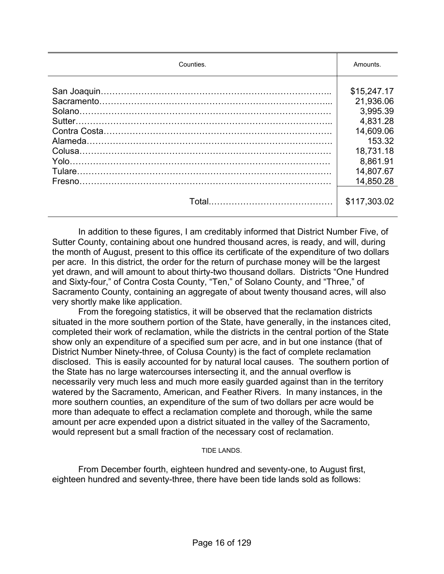| Counties. | Amounts.     |  |
|-----------|--------------|--|
|           | \$15,247.17  |  |
|           | 21,936.06    |  |
|           | 3,995.39     |  |
|           | 4,831.28     |  |
|           | 14,609.06    |  |
|           | 153.32       |  |
|           | 18,731.18    |  |
|           | 8,861.91     |  |
|           | 14,807.67    |  |
|           | 14,850.28    |  |
|           | \$117,303.02 |  |

 In addition to these figures, I am creditably informed that District Number Five, of Sutter County, containing about one hundred thousand acres, is ready, and will, during the month of August, present to this office its certificate of the expenditure of two dollars per acre. In this district, the order for the return of purchase money will be the largest yet drawn, and will amount to about thirty-two thousand dollars. Districts "One Hundred and Sixty-four," of Contra Costa County, "Ten," of Solano County, and "Three," of Sacramento County, containing an aggregate of about twenty thousand acres, will also very shortly make like application.

 From the foregoing statistics, it will be observed that the reclamation districts situated in the more southern portion of the State, have generally, in the instances cited, completed their work of reclamation, while the districts in the central portion of the State show only an expenditure of a specified sum per acre, and in but one instance (that of District Number Ninety-three, of Colusa County) is the fact of complete reclamation disclosed. This is easily accounted for by natural local causes. The southern portion of the State has no large watercourses intersecting it, and the annual overflow is necessarily very much less and much more easily guarded against than in the territory watered by the Sacramento, American, and Feather Rivers. In many instances, in the more southern counties, an expenditure of the sum of two dollars per acre would be more than adequate to effect a reclamation complete and thorough, while the same amount per acre expended upon a district situated in the valley of the Sacramento, would represent but a small fraction of the necessary cost of reclamation.

#### TIDE LANDS.

 From December fourth, eighteen hundred and seventy-one, to August first, eighteen hundred and seventy-three, there have been tide lands sold as follows: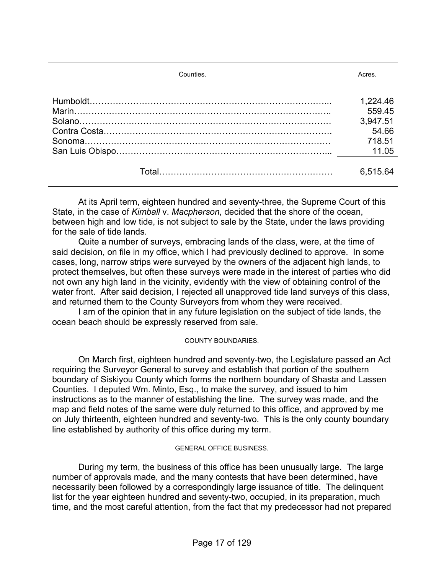| Counties. | Acres.   |
|-----------|----------|
|           | 1,224.46 |
|           | 559.45   |
|           | 3,947.51 |
|           | 54.66    |
|           | 718.51   |
|           | 11.05    |
|           | 6,515.64 |

 At its April term, eighteen hundred and seventy-three, the Supreme Court of this State, in the case of *Kimball* v. *Macpherson*, decided that the shore of the ocean, between high and low tide, is not subject to sale by the State, under the laws providing for the sale of tide lands.

 Quite a number of surveys, embracing lands of the class, were, at the time of said decision, on file in my office, which I had previously declined to approve. In some cases, long, narrow strips were surveyed by the owners of the adjacent high lands, to protect themselves, but often these surveys were made in the interest of parties who did not own any high land in the vicinity, evidently with the view of obtaining control of the water front. After said decision, I rejected all unapproved tide land surveys of this class, and returned them to the County Surveyors from whom they were received.

 I am of the opinion that in any future legislation on the subject of tide lands, the ocean beach should be expressly reserved from sale.

#### COUNTY BOUNDARIES.

 On March first, eighteen hundred and seventy-two, the Legislature passed an Act requiring the Surveyor General to survey and establish that portion of the southern boundary of Siskiyou County which forms the northern boundary of Shasta and Lassen Counties. I deputed Wm. Minto, Esq., to make the survey, and issued to him instructions as to the manner of establishing the line. The survey was made, and the map and field notes of the same were duly returned to this office, and approved by me on July thirteenth, eighteen hundred and seventy-two. This is the only county boundary line established by authority of this office during my term.

#### GENERAL OFFICE BUSINESS.

 During my term, the business of this office has been unusually large. The large number of approvals made, and the many contests that have been determined, have necessarily been followed by a correspondingly large issuance of title. The delinquent list for the year eighteen hundred and seventy-two, occupied, in its preparation, much time, and the most careful attention, from the fact that my predecessor had not prepared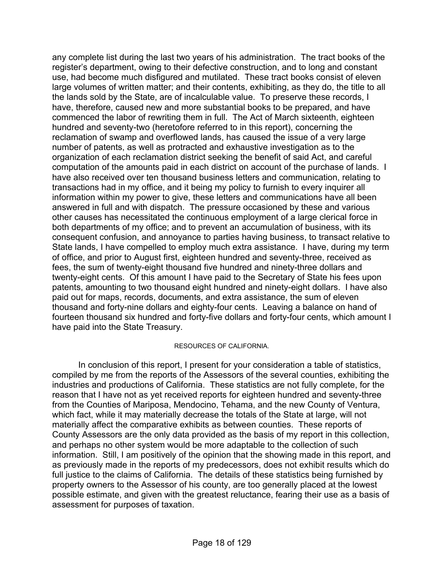any complete list during the last two years of his administration. The tract books of the register's department, owing to their defective construction, and to long and constant use, had become much disfigured and mutilated. These tract books consist of eleven large volumes of written matter; and their contents, exhibiting, as they do, the title to all the lands sold by the State, are of incalculable value. To preserve these records, I have, therefore, caused new and more substantial books to be prepared, and have commenced the labor of rewriting them in full. The Act of March sixteenth, eighteen hundred and seventy-two (heretofore referred to in this report), concerning the reclamation of swamp and overflowed lands, has caused the issue of a very large number of patents, as well as protracted and exhaustive investigation as to the organization of each reclamation district seeking the benefit of said Act, and careful computation of the amounts paid in each district on account of the purchase of lands. I have also received over ten thousand business letters and communication, relating to transactions had in my office, and it being my policy to furnish to every inquirer all information within my power to give, these letters and communications have all been answered in full and with dispatch. The pressure occasioned by these and various other causes has necessitated the continuous employment of a large clerical force in both departments of my office; and to prevent an accumulation of business, with its consequent confusion, and annoyance to parties having business, to transact relative to State lands, I have compelled to employ much extra assistance. I have, during my term of office, and prior to August first, eighteen hundred and seventy-three, received as fees, the sum of twenty-eight thousand five hundred and ninety-three dollars and twenty-eight cents. Of this amount I have paid to the Secretary of State his fees upon patents, amounting to two thousand eight hundred and ninety-eight dollars. I have also paid out for maps, records, documents, and extra assistance, the sum of eleven thousand and forty-nine dollars and eighty-four cents. Leaving a balance on hand of fourteen thousand six hundred and forty-five dollars and forty-four cents, which amount I have paid into the State Treasury.

#### RESOURCES OF CALIFORNIA.

 In conclusion of this report, I present for your consideration a table of statistics, compiled by me from the reports of the Assessors of the several counties, exhibiting the industries and productions of California. These statistics are not fully complete, for the reason that I have not as yet received reports for eighteen hundred and seventy-three from the Counties of Mariposa, Mendocino, Tehama, and the new County of Ventura, which fact, while it may materially decrease the totals of the State at large, will not materially affect the comparative exhibits as between counties. These reports of County Assessors are the only data provided as the basis of my report in this collection, and perhaps no other system would be more adaptable to the collection of such information. Still, I am positively of the opinion that the showing made in this report, and as previously made in the reports of my predecessors, does not exhibit results which do full justice to the claims of California. The details of these statistics being furnished by property owners to the Assessor of his county, are too generally placed at the lowest possible estimate, and given with the greatest reluctance, fearing their use as a basis of assessment for purposes of taxation.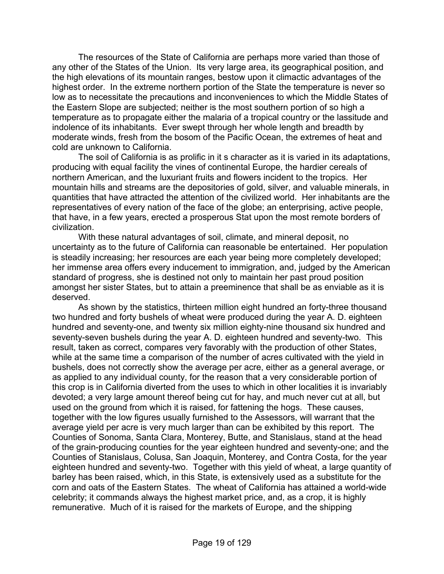The resources of the State of California are perhaps more varied than those of any other of the States of the Union. Its very large area, its geographical position, and the high elevations of its mountain ranges, bestow upon it climactic advantages of the highest order. In the extreme northern portion of the State the temperature is never so low as to necessitate the precautions and inconveniences to which the Middle States of the Eastern Slope are subjected; neither is the most southern portion of so high a temperature as to propagate either the malaria of a tropical country or the lassitude and indolence of its inhabitants. Ever swept through her whole length and breadth by moderate winds, fresh from the bosom of the Pacific Ocean, the extremes of heat and cold are unknown to California.

 The soil of California is as prolific in it s character as it is varied in its adaptations, producing with equal facility the vines of continental Europe, the hardier cereals of northern American, and the luxuriant fruits and flowers incident to the tropics. Her mountain hills and streams are the depositories of gold, silver, and valuable minerals, in quantities that have attracted the attention of the civilized world. Her inhabitants are the representatives of every nation of the face of the globe; an enterprising, active people, that have, in a few years, erected a prosperous Stat upon the most remote borders of civilization.

 With these natural advantages of soil, climate, and mineral deposit, no uncertainty as to the future of California can reasonable be entertained. Her population is steadily increasing; her resources are each year being more completely developed; her immense area offers every inducement to immigration, and, judged by the American standard of progress, she is destined not only to maintain her past proud position amongst her sister States, but to attain a preeminence that shall be as enviable as it is deserved.

 As shown by the statistics, thirteen million eight hundred an forty-three thousand two hundred and forty bushels of wheat were produced during the year A. D. eighteen hundred and seventy-one, and twenty six million eighty-nine thousand six hundred and seventy-seven bushels during the year A. D. eighteen hundred and seventy-two. This result, taken as correct, compares very favorably with the production of other States, while at the same time a comparison of the number of acres cultivated with the yield in bushels, does not correctly show the average per acre, either as a general average, or as applied to any individual county, for the reason that a very considerable portion of this crop is in California diverted from the uses to which in other localities it is invariably devoted; a very large amount thereof being cut for hay, and much never cut at all, but used on the ground from which it is raised, for fattening the hogs. These causes, together with the low figures usually furnished to the Assessors, will warrant that the average yield per acre is very much larger than can be exhibited by this report. The Counties of Sonoma, Santa Clara, Monterey, Butte, and Stanislaus, stand at the head of the grain-producing counties for the year eighteen hundred and seventy-one; and the Counties of Stanislaus, Colusa, San Joaquin, Monterey, and Contra Costa, for the year eighteen hundred and seventy-two. Together with this yield of wheat, a large quantity of barley has been raised, which, in this State, is extensively used as a substitute for the corn and oats of the Eastern States. The wheat of California has attained a world-wide celebrity; it commands always the highest market price, and, as a crop, it is highly remunerative. Much of it is raised for the markets of Europe, and the shipping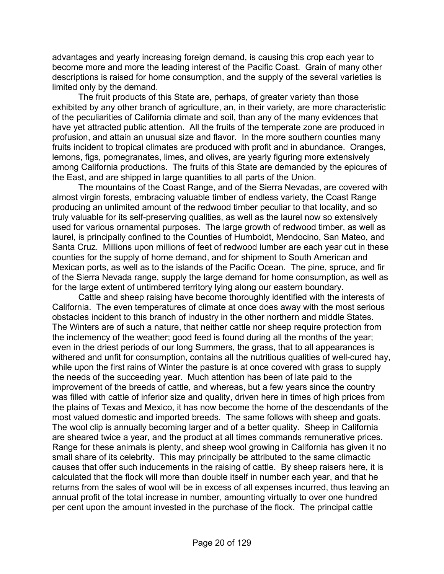advantages and yearly increasing foreign demand, is causing this crop each year to become more and more the leading interest of the Pacific Coast. Grain of many other descriptions is raised for home consumption, and the supply of the several varieties is limited only by the demand.

 The fruit products of this State are, perhaps, of greater variety than those exhibited by any other branch of agriculture, an, in their variety, are more characteristic of the peculiarities of California climate and soil, than any of the many evidences that have yet attracted public attention. All the fruits of the temperate zone are produced in profusion, and attain an unusual size and flavor. In the more southern counties many fruits incident to tropical climates are produced with profit and in abundance. Oranges, lemons, figs, pomegranates, limes, and olives, are yearly figuring more extensively among California productions. The fruits of this State are demanded by the epicures of the East, and are shipped in large quantities to all parts of the Union.

 The mountains of the Coast Range, and of the Sierra Nevadas, are covered with almost virgin forests, embracing valuable timber of endless variety, the Coast Range producing an unlimited amount of the redwood timber peculiar to that locality, and so truly valuable for its self-preserving qualities, as well as the laurel now so extensively used for various ornamental purposes. The large growth of redwood timber, as well as laurel, is principally confined to the Counties of Humboldt, Mendocino, San Mateo, and Santa Cruz. Millions upon millions of feet of redwood lumber are each year cut in these counties for the supply of home demand, and for shipment to South American and Mexican ports, as well as to the islands of the Pacific Ocean. The pine, spruce, and fir of the Sierra Nevada range, supply the large demand for home consumption, as well as for the large extent of untimbered territory lying along our eastern boundary.

 Cattle and sheep raising have become thoroughly identified with the interests of California. The even temperatures of climate at once does away with the most serious obstacles incident to this branch of industry in the other northern and middle States. The Winters are of such a nature, that neither cattle nor sheep require protection from the inclemency of the weather; good feed is found during all the months of the year; even in the driest periods of our long Summers, the grass, that to all appearances is withered and unfit for consumption, contains all the nutritious qualities of well-cured hay, while upon the first rains of Winter the pasture is at once covered with grass to supply the needs of the succeeding year. Much attention has been of late paid to the improvement of the breeds of cattle, and whereas, but a few years since the country was filled with cattle of inferior size and quality, driven here in times of high prices from the plains of Texas and Mexico, it has now become the home of the descendants of the most valued domestic and imported breeds. The same follows with sheep and goats. The wool clip is annually becoming larger and of a better quality. Sheep in California are sheared twice a year, and the product at all times commands remunerative prices. Range for these animals is plenty, and sheep wool growing in California has given it no small share of its celebrity. This may principally be attributed to the same climactic causes that offer such inducements in the raising of cattle. By sheep raisers here, it is calculated that the flock will more than double itself in number each year, and that he returns from the sales of wool will be in excess of all expenses incurred, thus leaving an annual profit of the total increase in number, amounting virtually to over one hundred per cent upon the amount invested in the purchase of the flock. The principal cattle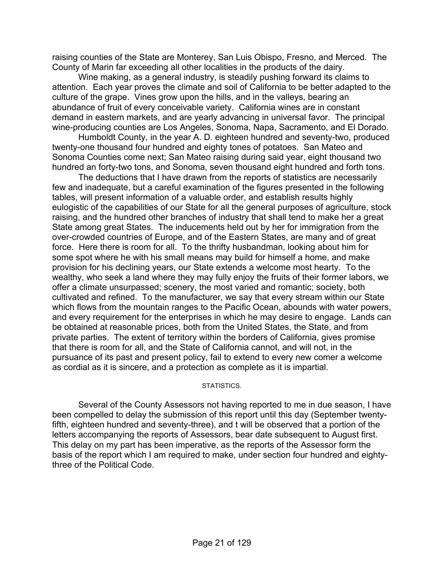raising counties of the State are Monterey, San Luis Obispo, Fresno, and Merced. The County of Marin far exceeding all other localities in the products of the dairy.

 Wine making, as a general industry, is steadily pushing forward its claims to attention. Each year proves the climate and soil of California to be better adapted to the culture of the grape. Vines grow upon the hills, and in the valleys, bearing an abundance of fruit of every conceivable variety. California wines are in constant demand in eastern markets, and are yearly advancing in universal favor. The principal wine-producing counties are Los Angeles, Sonoma, Napa, Sacramento, and El Dorado.

 Humboldt County, in the year A. D. eighteen hundred and seventy-two, produced twenty-one thousand four hundred and eighty tones of potatoes. San Mateo and Sonoma Counties come next; San Mateo raising during said year, eight thousand two hundred an forty-two tons, and Sonoma, seven thousand eight hundred and forth tons.

 The deductions that I have drawn from the reports of statistics are necessarily few and inadequate, but a careful examination of the figures presented in the following tables, will present information of a valuable order, and establish results highly eulogistic of the capabilities of our State for all the general purposes of agriculture, stock raising, and the hundred other branches of industry that shall tend to make her a great State among great States. The inducements held out by her for immigration from the over-crowded countries of Europe, and of the Eastern States, are many and of great force. Here there is room for all. To the thrifty husbandman, looking about him for some spot where he with his small means may build for himself a home, and make provision for his declining years, our State extends a welcome most hearty. To the wealthy, who seek a land where they may fully enjoy the fruits of their former labors, we offer a climate unsurpassed; scenery, the most varied and romantic; society, both cultivated and refined. To the manufacturer, we say that every stream within our State which flows from the mountain ranges to the Pacific Ocean, abounds with water powers, and every requirement for the enterprises in which he may desire to engage. Lands can be obtained at reasonable prices, both from the United States, the State, and from private parties. The extent of territory within the borders of California, gives promise that there is room for all, and the State of California cannot, and will not, in the pursuance of its past and present policy, fail to extend to every new comer a welcome as cordial as it is sincere, and a protection as complete as it is impartial.

#### STATISTICS.

 Several of the County Assessors not having reported to me in due season, I have been compelled to delay the submission of this report until this day (September twentyfifth, eighteen hundred and seventy-three), and t will be observed that a portion of the letters accompanying the reports of Assessors, bear date subsequent to August first. This delay on my part has been imperative, as the reports of the Assessor form the basis of the report which I am required to make, under section four hundred and eightythree of the Political Code.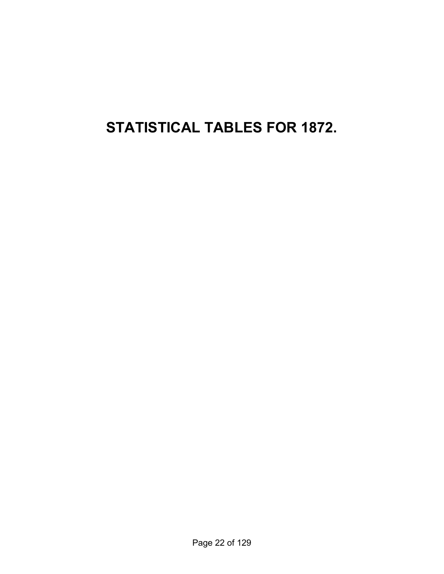**STATISTICAL TABLES FOR 1872.**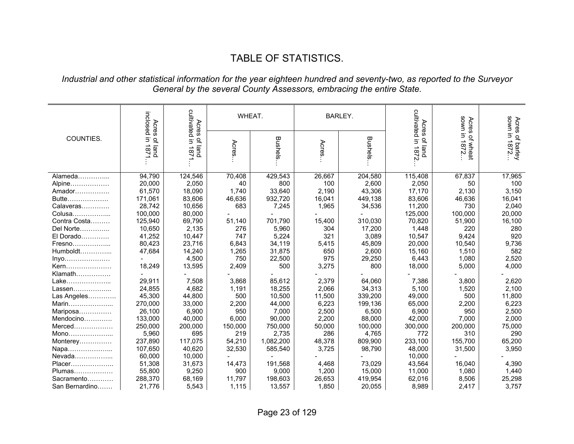# TABLE OF STATISTICS.

#### *Industrial and other statistical information for the year eighteen hundred and seventy-two, as reported to the Surveyor General by the several County Assessors, embracing the entire State.*

|                | cultivated in 1871<br>inclosed<br>Acres<br>Acres |                     | WHEAT.  |                |        | <b>BARLEY.</b> | cultivated in 1872.<br>Acres | uwos<br>Acres    | sown in<br>Acre   |
|----------------|--------------------------------------------------|---------------------|---------|----------------|--------|----------------|------------------------------|------------------|-------------------|
| COUNTIES.      | Ξ.                                               | $\overline{\sigma}$ |         |                |        |                | ᄋ                            | Ξ.               | Ö                 |
|                | of land                                          | $\overline{\omega}$ | Acres   | <b>Bushels</b> | Acres  | Bushels        |                              | of wheat<br>7872 | of barley<br>1872 |
|                | 1871                                             | 흕                   |         |                |        |                | iand                         |                  |                   |
|                |                                                  |                     |         |                |        |                |                              |                  |                   |
| Alameda        | 94,790                                           | 124,546             | 70,408  | 429,543        | 26,667 | 204,580        | 115,408                      | 67,837           | 17,965            |
| Alpine         | 20,000                                           | 2,050               | 40      | 800            | 100    | 2,600          | 2,050                        | 50               | 100               |
| Amador         | 61,570                                           | 18,090              | 1,740   | 33,640         | 2,190  | 43,306         | 17,170                       | 2,130            | 3,150             |
| Butte          | 171,061                                          | 83,606              | 46,636  | 932,720        | 16,041 | 449,138        | 83,606                       | 46,636           | 16,041            |
| Calaveras      | 28,742                                           | 10,656              | 683     | 7,245          | 1,965  | 34,536         | 11,200                       | 730              | 2,040             |
| Colusa         | 100,000                                          | 80,000              |         |                |        |                | 125,000                      | 100,000          | 20,000            |
| Contra Costa   | 125,940                                          | 69,790              | 51,140  | 701,790        | 15,400 | 310,030        | 70,820                       | 51,900           | 16,100            |
| Del Norte      | 10,650                                           | 2,135               | 276     | 5,960          | 304    | 17,200         | 1,448                        | 220              | 280               |
| El Dorado      | 41,252                                           | 10,447              | 747     | 5,224          | 321    | 3,089          | 10,547                       | 9,424            | 920               |
| Fresno         | 80,423                                           | 23,716              | 6,843   | 34,119         | 5,415  | 45,809         | 20,000                       | 10,540           | 9,736             |
| Humboldt       | 47,684                                           | 14,240              | 1,265   | 31,875         | 650    | 2,600          | 15,160                       | 1,510            | 582               |
| $inyo$         |                                                  | 4,500               | 750     | 22,500         | 975    | 29,250         | 6,443                        | 1,080            | 2,520             |
| Kern           | 18,249                                           | 13,595              | 2,409   | 500            | 3,275  | 800            | 18,000                       | 5,000            | 4,000             |
| Klamath        |                                                  |                     |         |                |        |                |                              |                  |                   |
| Lake           | 29,911                                           | 7,508               | 3,868   | 85,612         | 2,379  | 64,060         | 7,386                        | 3,800            | 2,620             |
| Lassen         | 24,855                                           | 4,682               | 1,191   | 18,255         | 2,066  | 34,313         | 5,100                        | 1,520            | 2,100             |
| Las Angeles    | 45,300                                           | 44,800              | 500     | 10,500         | 11,500 | 339,200        | 49,000                       | 500              | 11,800            |
| Marin          | 270,000                                          | 33,000              | 2,200   | 44,000         | 6,223  | 199,136        | 65,000                       | 2,200            | 6,223             |
| Mariposa       | 26,100                                           | 6,900               | 950     | 7,000          | 2,500  | 6,500          | 6,900                        | 950              | 2,500             |
| Mendocino      | 133,000                                          | 40,000              | 6,000   | 90,000         | 2,200  | 88,000         | 42,000                       | 7,000            | 2,000             |
|                | 250,000                                          | 200,000             | 150,000 | 750,000        | 50,000 | 100,000        | 300,000                      | 200,000          | 75,000            |
| Mono           | 5,960                                            | 695                 | 219     | 2,735          | 286    | 4,765          | 772                          | 310              | 290               |
| Monterey       | 237,890                                          | 117,075             | 54,210  | 1,082,200      | 48,378 | 809,900        | 233,100                      | 155,700          | 65,200            |
| Napa           | 107,650                                          | 40,620              | 32,530  | 585,540        | 3,725  | 98,790         | 48,000                       | 31,500           | 3,950             |
| Nevada         | 60,000                                           | 10,000              |         |                |        |                | 10,000                       |                  |                   |
| Placer         | 51,308                                           | 31,673              | 14,473  | 191,568        | 4,468  | 73,029         | 43,564                       | 16,040           | 4,390             |
| Plumas         | 55,800                                           | 9,250               | 900     | 9,000          | 1,200  | 15,000         | 11,000                       | 1,080            | 1,440             |
| Sacramento     | 288,370                                          | 68,169              | 11,797  | 198,603        | 26,653 | 419,954        | 62,016                       | 8,506            | 25,298            |
| San Bernardino | 21,776                                           | 5,543               | 1,115   | 13,557         | 1,850  | 20,055         | 8,989                        | 2,417            | 3,757             |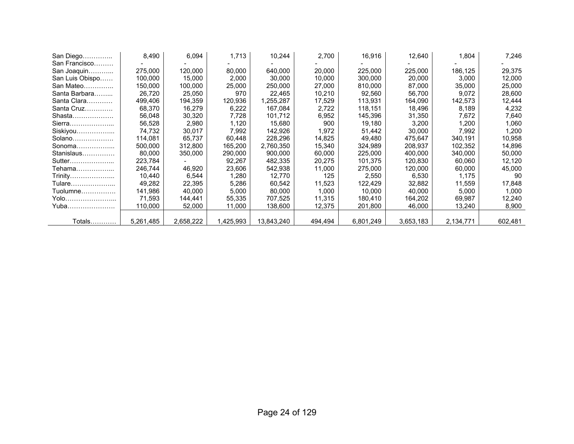| San Diego       | 8,490     | 6,094     | 1,713     | 10,244     | 2,700   | 16,916    | 12,640    | 1,804     | 7,246   |
|-----------------|-----------|-----------|-----------|------------|---------|-----------|-----------|-----------|---------|
| San Francisco   |           |           |           |            |         |           |           |           |         |
| San Joaquin     | 275,000   | 120,000   | 80,000    | 640,000    | 20,000  | 225,000   | 225,000   | 186,125   | 29,375  |
| San Luis Obispo | 100.000   | 15,000    | 2,000     | 30,000     | 10,000  | 300,000   | 20,000    | 3,000     | 12,000  |
| San Mateo       | 150.000   | 100,000   | 25,000    | 250,000    | 27,000  | 810,000   | 87,000    | 35,000    | 25,000  |
| Santa Barbara   | 26,720    | 25,050    | 970       | 22,465     | 10,210  | 92,560    | 56,700    | 9,072     | 28,600  |
| Santa Clara     | 499,406   | 194,359   | 120,936   | 1,255,287  | 17,529  | 113,931   | 164,090   | 142,573   | 12,444  |
| Santa Cruz      | 68,370    | 16,279    | 6,222     | 167,084    | 2,722   | 118,151   | 18,496    | 8,189     | 4,232   |
| Shasta          | 56,048    | 30,320    | 7,728     | 101,712    | 6,952   | 145,396   | 31,350    | 7,672     | 7,640   |
| Sierra          | 56,528    | 2,980     | 1,120     | 15.680     | 900     | 19,180    | 3,200     | 1,200     | 1,060   |
| Siskiyou        | 74,732    | 30,017    | 7,992     | 142,926    | 1,972   | 51,442    | 30,000    | 7,992     | 1,200   |
| $Solano$        | 114.081   | 65.737    | 60.448    | 228,296    | 14,825  | 49,480    | 475,647   | 340,191   | 10,958  |
| Sonoma          | 500,000   | 312,800   | 165,200   | 2,760,350  | 15,340  | 324,989   | 208,937   | 102,352   | 14,896  |
| Stanislaus      | 80,000    | 350,000   | 290,000   | 900,000    | 60,000  | 225,000   | 400,000   | 340,000   | 50,000  |
| Sutter          | 223,784   |           | 92,267    | 482,335    | 20,275  | 101,375   | 120,830   | 60,060    | 12,120  |
| Tehama………………    | 246,744   | 46,920    | 23,606    | 542,938    | 11,000  | 275,000   | 120,000   | 60,000    | 45,000  |
| Trinity         | 10,440    | 6,544     | 1,280     | 12,770     | 125     | 2,550     | 6,530     | 1,175     | 90      |
| Tulare          | 49,282    | 22,395    | 5,286     | 60,542     | 11,523  | 122,429   | 32,882    | 11,559    | 17,848  |
| Tuolumne        | 141,986   | 40,000    | 5,000     | 80,000     | 1,000   | 10,000    | 40,000    | 5,000     | 1,000   |
| Yolo            | 71.593    | 144,441   | 55,335    | 707.525    | 11,315  | 180.410   | 164,202   | 69,987    | 12,240  |
| Yuba            | 110,000   | 52,000    | 11,000    | 138,600    | 12,375  | 201,800   | 46,000    | 13,240    | 8,900   |
|                 |           |           |           |            |         |           |           |           |         |
| Totals          | 5,261,485 | 2,658,222 | 1,425,993 | 13,843,240 | 494,494 | 6,801,249 | 3,653,183 | 2,134,771 | 602,481 |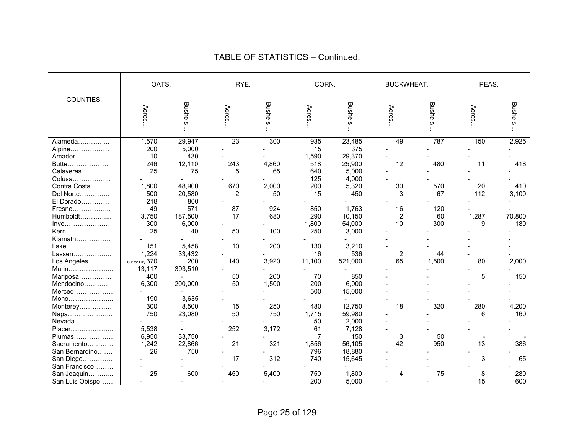|                            | OATS.           |         | RYE.           |                |                | CORN.          | BUCKWHEAT.       |         | PEAS. |                |
|----------------------------|-----------------|---------|----------------|----------------|----------------|----------------|------------------|---------|-------|----------------|
| COUNTIES.                  | Acres           | Bushels | Acres          | <b>Bushels</b> | Acres          | <b>Bushels</b> | Acres            | Bushels | Acres | <b>Bushels</b> |
| Alameda                    | 1,570           | 29,947  | 23             | 300            | 935            | 23,485         | 49               | 787     | 150   | 2,925          |
| Alpine                     | 200             | 5,000   |                |                | 15             | 375            |                  |         |       |                |
| Amador                     | 10              | 430     |                |                | 1,590          | 29,370         |                  |         |       |                |
| Butte                      | 246             | 12,110  | 243            | 4,860          | 518            | 25,900         | 12               | 480     | 11    | 418            |
| Calaveras                  | 25              | 75      | 5              | 65             | 640            | 5,000          |                  |         |       |                |
| Colusa                     |                 |         |                |                | 125            | 4,000          |                  |         |       |                |
| Contra Costa               | 1,800           | 48,900  | 670            | 2,000          | 200            | 5,320          | 30               | 570     | 20    | 410            |
| Del Norte                  | 500             | 20,580  | $\overline{2}$ | 50             | 15             | 450            | 3                | 67      | 112   | 3,100          |
| El Dorado                  | 218             | 800     |                |                |                |                |                  |         |       |                |
| Fresno                     | 49              | 571     | 87             | 924            | 850            | 1,763          | 16               | 120     |       |                |
| Humboldt                   | 3,750           | 187,500 | 17             | 680            | 290            | 10,150         | $\overline{2}$   | 60      | 1,287 | 70,800         |
| Inyo                       | 300             | 6,000   |                |                | 1,800          | 54,000         | 10               | 300     | 9     | 180            |
| Kern                       | 25              | 40      | 50             | 100            | 250            | 3,000          |                  |         |       |                |
| Klamath                    |                 |         |                |                |                |                |                  |         |       |                |
| Lake                       | 151             | 5,458   | 10             | 200            | 130            | 3,210          |                  |         |       |                |
| Lassen                     | 1,224           | 33,432  |                |                | 16             | 536            | $\boldsymbol{2}$ | 44      |       |                |
| Los Angeles                | Cut for Hay 370 | 200     | 140            | 3,920          | 11,100         | 521,000        | 65               | 1,500   | 80    | 2,000          |
|                            | 13,117          |         |                |                |                |                |                  |         |       |                |
| Marin                      | 400             | 393,510 | 50             | 200            | 70             | 850            |                  |         | 5     | 150            |
| Mariposa<br>Mendocino      | 6,300           | 200,000 | 50             | 1,500          | 200            | 6,000          |                  |         |       |                |
| Merced                     |                 |         |                |                | 500            | 15,000         |                  |         |       |                |
| Mono                       | 190             | 3,635   |                |                |                |                |                  |         |       |                |
|                            | 300             | 8,500   | 15             | 250            | 480            | 12,750         | 18               | 320     | 280   | 4,200          |
| Monterey                   | 750             | 23,080  | 50             | 750            | 1,715          | 59,980         |                  |         | 6     | 160            |
| Napa<br>Nevada             |                 |         |                |                | 50             | 2,000          |                  |         |       |                |
| Placer                     | 5,538           |         | 252            | 3,172          | 61             | 7,128          |                  |         |       |                |
|                            | 6,950           | 33,750  |                |                | $\overline{7}$ | 150            | 3                | 50      |       |                |
| Plumas                     | 1,242           | 22,866  | 21             | 321            | 1,856          | 56,105         | 42               | 950     | 13    | 386            |
| Sacramento                 | 26              | 750     |                |                | 796            | 18,880         |                  |         |       |                |
| San Bernardino             |                 |         | 17             | 312            | 740            |                |                  |         |       | 65             |
| San Diego<br>San Francisco |                 |         |                |                |                | 15,645         |                  |         | 3     |                |
|                            | 25              | 600     | 450            | 5,400          |                | 1,800          |                  | 75      |       | 280            |
| San Joaquin                |                 |         |                |                | 750            |                | 4                |         | 8     |                |
| San Luis Obispo            |                 |         |                |                | 200            | 5,000          |                  |         | 15    | 600            |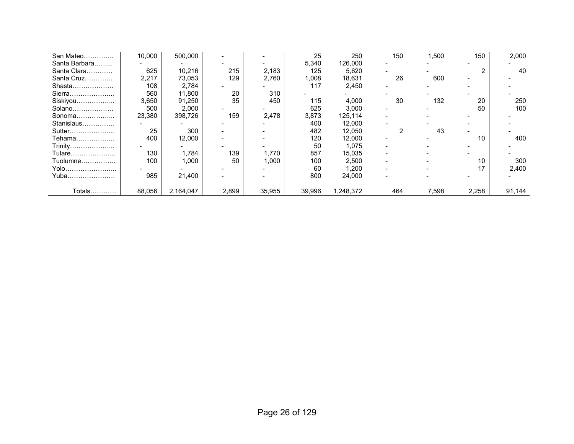| San Mateo     | 10,000 | 500,000   |       |        | 25     | 250       | 150 | 1,500 | 150   | 2,000  |
|---------------|--------|-----------|-------|--------|--------|-----------|-----|-------|-------|--------|
| Santa Barbara |        |           |       |        | 5,340  | 126,000   |     |       |       |        |
| Santa Clara   | 625    | 10,216    | 215   | 2,183  | 125    | 5,620     |     |       |       | 40     |
| Santa Cruz    | 2,217  | 73,053    | 129   | 2,760  | 1,008  | 18,631    | 26  | 600   |       |        |
| Shasta        | 108    | 2,784     |       |        | 117    | 2,450     |     |       |       |        |
| Sierra        | 560    | 11,800    | 20    | 310    |        |           |     |       |       |        |
| Siskiyou      | 3,650  | 91,250    | 35    | 450    | 115    | 4,000     | 30  | 132   | 20    | 250    |
| $Solano$      | 500    | 2,000     |       |        | 625    | 3,000     |     |       | 50    | 100    |
| Sonoma        | 23,380 | 398,726   | 159   | 2,478  | 3,873  | 125,114   |     |       |       |        |
| Stanislaus    |        |           |       |        | 400    | 12,000    |     |       |       |        |
| Sutter        | 25     | 300       |       |        | 482    | 12,050    |     | 43    |       |        |
| Tehama        | 400    | 12,000    |       |        | 120    | 12,000    |     |       | 10    | 400    |
| Trinity       |        |           |       |        | 50     | 1,075     |     |       |       |        |
| Tulare        | 130    | 1,784     | 139   | 1,770  | 857    | 15,035    |     |       |       |        |
| Tuolumne      | 100    | 1,000     | 50    | 1,000  | 100    | 2,500     |     |       | 10    | 300    |
| Yolo          |        |           |       |        | 60     | 1,200     |     |       | 17    | 2,400  |
| Yuba          | 985    | 21,400    |       |        | 800    | 24,000    |     |       |       |        |
|               |        |           |       |        |        |           |     |       |       |        |
| Totals        | 88,056 | 2,164,047 | 2,899 | 35,955 | 39,996 | 1,248,372 | 464 | 7,598 | 2,258 | 91,144 |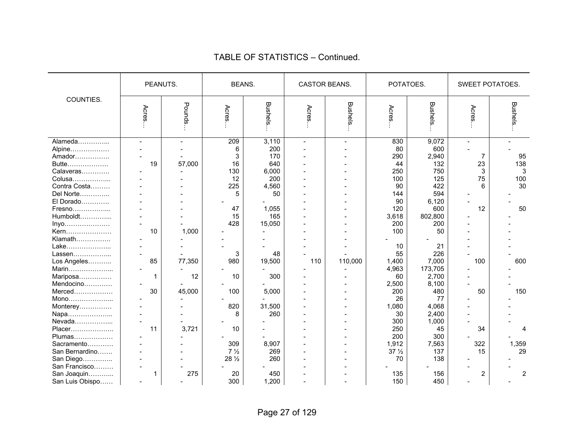|                                                                                                                                                                                                                                     |                                                  | PEANUTS.                                  | <b>BEANS.</b>                                                                            |                                                                                                                     | CASTOR BEANS.              |                           | POTATOES.                                                                                                                                 |                                                                                                                                                            | SWEET POTATOES.                            |                                                 |
|-------------------------------------------------------------------------------------------------------------------------------------------------------------------------------------------------------------------------------------|--------------------------------------------------|-------------------------------------------|------------------------------------------------------------------------------------------|---------------------------------------------------------------------------------------------------------------------|----------------------------|---------------------------|-------------------------------------------------------------------------------------------------------------------------------------------|------------------------------------------------------------------------------------------------------------------------------------------------------------|--------------------------------------------|-------------------------------------------------|
| COUNTIES.                                                                                                                                                                                                                           | Acres                                            | Pounds                                    | Acres.                                                                                   | Bushels                                                                                                             | Acres                      | <b>Bushels</b>            | Acres                                                                                                                                     | <b>Bushels</b>                                                                                                                                             | Acres.                                     | Bushels                                         |
| Alameda<br>Alpine<br>Amador<br>Butte<br>Calaveras<br>Colusa<br>Contra Costa<br>Del Norte<br>El Dorado<br>Fresno<br>Humboldt<br>Inyo<br>Kern<br>Klamath<br>Lake<br>Lassen<br>Los Angeles<br>Marin<br>Mariposa<br>Mendocino<br>Merced | $\blacksquare$<br>19<br>10<br>85<br>30           | 57,000<br>1,000<br>77,350<br>12<br>45,000 | 209<br>6<br>3<br>16<br>130<br>12<br>225<br>5<br>47<br>15<br>428<br>3<br>980<br>10<br>100 | 3,110<br>200<br>170<br>640<br>6,000<br>200<br>4,560<br>50<br>1,055<br>165<br>15,050<br>48<br>19,500<br>300<br>5,000 | $\overline{a}$<br>۰<br>110 | $\overline{a}$<br>110,000 | 830<br>80<br>290<br>44<br>250<br>100<br>90<br>144<br>90<br>120<br>3,618<br>200<br>100<br>10<br>55<br>1,400<br>4,963<br>60<br>2,500<br>200 | 9,072<br>600<br>2,940<br>132<br>750<br>125<br>422<br>594<br>6,120<br>600<br>802,800<br>200<br>50<br>21<br>226<br>7,000<br>173,705<br>2,700<br>8,100<br>480 | 7<br>23<br>3<br>75<br>6<br>12<br>100<br>50 | 95<br>138<br>3<br>100<br>30<br>50<br>600<br>150 |
| Mono<br>Monterey<br>Napa<br>Nevada<br>Placer<br>Plumas<br>Sacramento<br>San Bernardino<br>San Diego<br>San Francisco                                                                                                                | $\overline{\phantom{a}}$<br>11<br>$\overline{a}$ | 3,721                                     | 820<br>8<br>10<br>309<br>$7\frac{1}{2}$<br>28 $\frac{1}{2}$                              | 31,500<br>260<br>8,907<br>269<br>260                                                                                |                            |                           | 26<br>1,080<br>30<br>300<br>250<br>200<br>1,912<br>$37\frac{1}{2}$<br>70                                                                  | 77<br>4,068<br>2,400<br>1,000<br>45<br>300<br>7,563<br>137<br>138                                                                                          | 34<br>322<br>15                            | 1,359<br>29                                     |
| San Joaquin<br>San Luis Obispo                                                                                                                                                                                                      |                                                  | 275                                       | 20<br>300                                                                                | 450<br>1,200                                                                                                        | $\overline{a}$             |                           | 135<br>150                                                                                                                                | 156<br>450                                                                                                                                                 | 2                                          | $\overline{c}$                                  |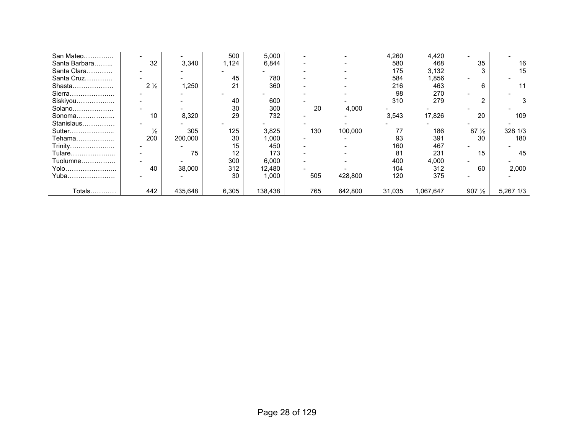| San Mateo     |                |         | 500   | 5,000   |     |         | 4,260  | 4,420     |                  |           |
|---------------|----------------|---------|-------|---------|-----|---------|--------|-----------|------------------|-----------|
| Santa Barbara | 32             | 3,340   | 1,124 | 6,844   |     |         | 580    | 468       | 35               | 16        |
| Santa Clara   |                |         |       |         |     |         | 175    | 3,132     |                  | 15        |
| Santa Cruz    |                |         | 45    | 780     |     |         | 584    | 1,856     |                  |           |
| Shasta        | $2\frac{1}{2}$ | 1,250   | 21    | 360     |     |         | 216    | 463       | 6                |           |
| Sierra        |                |         |       |         |     |         | 98     | 270       |                  |           |
| Siskiyou      |                |         | 40    | 600     |     |         | 310    | 279       |                  |           |
| Solano        |                |         | 30    | 300     | 20  | 4,000   |        |           |                  |           |
| Sonoma        | 10             | 8,320   | 29    | 732     |     |         | 3,543  | 17,826    | 20               | 109       |
| Stanislaus    |                |         |       |         |     |         |        |           |                  |           |
| Sutter        | $\frac{1}{2}$  | 305     | 125   | 3,825   | 130 | 100,000 | 77     | 186       | $87\frac{1}{2}$  | 328 1/3   |
| Tehama        | 200            | 200,000 | 30    | 1,000   |     |         | 93     | 391       | 30               | 180       |
| Trinity       |                |         | 15    | 450     |     |         | 160    | 467       |                  |           |
| Tulare        |                | 75      | 12    | 173     |     |         | 81     | 231       | 15               | 45        |
| Tuolumne      |                |         | 300   | 6,000   |     |         | 400    | 4,000     |                  |           |
| Yolo          | 40             | 38,000  | 312   | 12,480  |     |         | 104    | 312       | 60               | 2,000     |
| Yuba          |                |         | 30    | 1,000   | 505 | 428,800 | 120    | 375       |                  |           |
|               |                |         |       |         |     |         |        |           |                  |           |
| Totals        | 442            | 435,648 | 6,305 | 138,438 | 765 | 642,800 | 31,035 | 1,067,647 | $907\frac{1}{2}$ | 5,267 1/3 |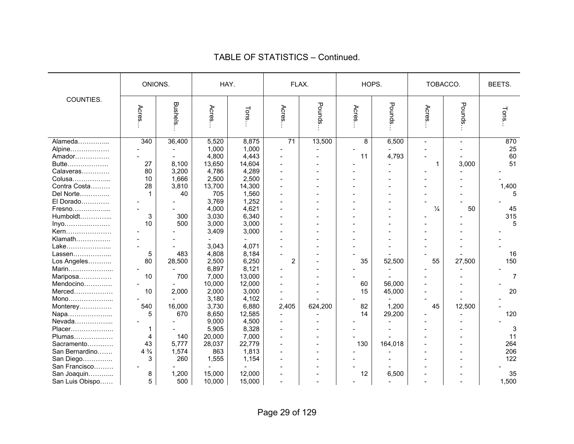|                 | ONIONS.        |                | HAY.   |        |                | FLAX.   | HOPS.          |         | TOBACCO.      |                | BEETS.         |
|-----------------|----------------|----------------|--------|--------|----------------|---------|----------------|---------|---------------|----------------|----------------|
|                 |                |                |        |        |                |         |                |         |               |                |                |
| COUNTIES.       | Acres          | <b>Bushels</b> | Acres  | Tons.  | Acres          | Pounds  | Acres          | Pounds  | Acres         | Pounds         | Tons.          |
| Alameda         | 340            | 36,400         | 5,520  | 8,875  | 71             | 13,500  | $\overline{8}$ | 6,500   | $\sim$        | $\blacksquare$ | 870            |
| Alpine          |                |                | 1,000  | 1,000  |                |         |                |         |               |                | 25             |
| Amador          |                | $\sim$         | 4,800  | 4,443  |                |         | 11             | 4,793   |               |                | 60             |
| Butte           | 27             | 8,100          | 13,650 | 14,604 |                |         |                |         | 1             | 3,000          | 51             |
| Calaveras       | 80             | 3,200          | 4,786  | 4,289  |                |         |                |         |               |                |                |
| Colusa          | 10             | 1,666          | 2,500  | 2,500  |                |         |                |         |               |                |                |
| Contra Costa    | 28             | 3,810          | 13,700 | 14,300 |                |         |                |         |               |                | 1,400          |
| Del Norte       | 1              | 40             | 705    | 1,560  |                |         |                |         |               |                | 5              |
| El Dorado       |                |                | 3,769  | 1,252  |                |         |                |         |               |                |                |
| Fresno          |                |                | 4,000  | 4,621  |                |         |                |         | $\frac{1}{4}$ | 50             | 45             |
| Humboldt        | 3              | 300            | 3,030  | 6,340  |                |         |                |         |               |                | 315            |
| Inyo            | 10             | 500            | 3,000  | 3,000  |                |         |                |         |               |                | 5              |
| Kern            |                |                | 3,409  | 3,000  |                |         |                |         |               |                |                |
| Klamath         |                |                |        |        |                |         |                |         |               |                |                |
| Lake            |                |                | 3,043  | 4,071  |                |         |                |         |               |                |                |
| Lassen          | 5              | 483            | 4,808  | 8,184  |                |         |                |         |               |                | 16             |
| Los Angeles     | 80             | 28,500         | 2,500  | 6,250  | $\overline{2}$ |         | 35             | 52,500  | 55            | 27,500         | 150            |
| Marin           |                |                | 6,897  | 8,121  |                |         |                |         |               |                |                |
| Mariposa        | 10             | 700            | 7,000  | 13,000 |                |         |                |         |               |                | $\overline{7}$ |
| Mendocino       |                |                | 10,000 | 12,000 |                |         | 60             | 56,000  |               |                |                |
| Merced          | 10             | 2,000          | 2,000  | 3,000  |                |         | 15             | 45,000  |               |                | 20             |
| Mono            |                |                | 3,180  | 4,102  |                |         |                |         |               |                |                |
| Monterey        | 540            | 16,000         | 3,730  | 6,880  | 2,405          | 624,200 | 82             | 1,200   | 45            | 12,500         |                |
| Napa            | 5              | 670            | 8,650  | 12,585 |                |         | 14             | 29,200  |               |                | 120            |
| Nevada          |                |                | 9,000  | 4,500  |                |         |                |         |               |                |                |
| Placer          | 1              |                | 5,905  | 8,328  |                |         |                |         |               |                | 3              |
| Plumas          | 4              | 140            | 20,000 | 7,000  |                |         |                |         |               |                | 11             |
| Sacramento      | 43             | 5,777          | 28,037 | 22,779 |                |         | 130            | 164,018 |               |                | 264            |
| San Bernardino  | $4\frac{3}{4}$ | 1,574          | 863    | 1,813  |                |         |                |         |               |                | 206            |
| San Diego       | 3              | 260            | 1,555  | 1,154  |                |         |                |         |               |                | 122            |
| San Francisco   |                |                |        |        |                |         |                |         |               |                |                |
| San Joaquin     | 8              | 1,200          | 15,000 | 12,000 |                |         | 12             | 6,500   |               |                | 35             |
| San Luis Obispo | 5              | 500            | 10,000 | 15,000 |                |         |                |         |               |                | 1,500          |
|                 |                |                |        |        |                |         |                |         |               |                |                |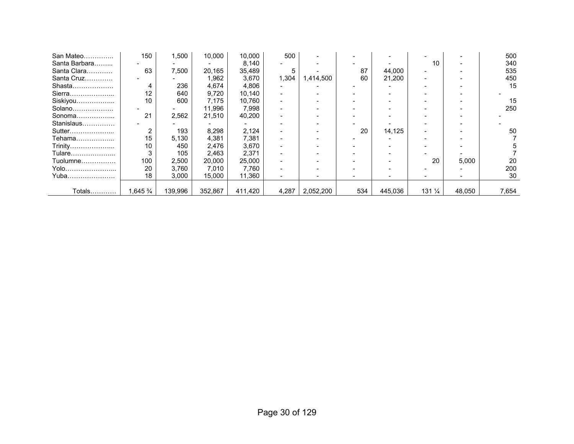| San Mateo     | 150                  | 1,500   | 10,000  | 10,000  | 500   |           |     |         |                  |        | 500   |
|---------------|----------------------|---------|---------|---------|-------|-----------|-----|---------|------------------|--------|-------|
| Santa Barbara |                      |         |         | 8,140   |       |           |     |         | 10               |        | 340   |
| Santa Clara   | 63                   | 7,500   | 20,165  | 35,489  | 5.    |           | 87  | 44,000  |                  |        | 535   |
| Santa Cruz    |                      |         | 1,962   | 3,670   | 1,304 | 1,414,500 | 60  | 21,200  |                  |        | 450   |
| Shasta        | 4                    | 236     | 4,674   | 4,806   |       |           |     |         |                  |        | 15    |
| Sierra        | 12                   | 640     | 9,720   | 10,140  |       |           |     |         |                  |        |       |
| Siskiyou      | 10                   | 600     | 7,175   | 10,760  |       |           |     |         |                  |        | 15    |
| Solano        |                      |         | 11,996  | 7,998   |       |           |     |         |                  |        | 250   |
| Sonoma        | 21                   | 2,562   | 21,510  | 40,200  |       |           |     |         |                  |        |       |
| Stanislaus    |                      |         |         |         |       |           |     |         |                  |        |       |
| Sutter        | 2                    | 193     | 8,298   | 2,124   |       |           | 20  | 14,125  |                  |        | 50    |
| Tehama        | 15                   | 5,130   | 4,381   | 7,381   |       |           |     |         |                  |        |       |
| Trinity       | 10                   | 450     | 2,476   | 3,670   |       |           |     |         |                  |        |       |
| Tulare        |                      | 105     | 2,463   | 2,371   |       |           |     |         |                  |        |       |
| Tuolumne      | 100                  | 2,500   | 20,000  | 25,000  |       |           |     |         | 20               | 5,000  | 20    |
| Yolo          | 20                   | 3,760   | 7,010   | 7,760   |       |           |     |         |                  |        | 200   |
| Yuba          | 18                   | 3,000   | 15,000  | 11,360  |       |           |     |         |                  |        | 30    |
|               |                      |         |         |         |       |           |     |         |                  |        |       |
| Totals        | $1,645\,\frac{3}{4}$ | 139,996 | 352,867 | 411,420 | 4,287 | 2,052,200 | 534 | 445,036 | $131\frac{1}{4}$ | 48,050 | 7,654 |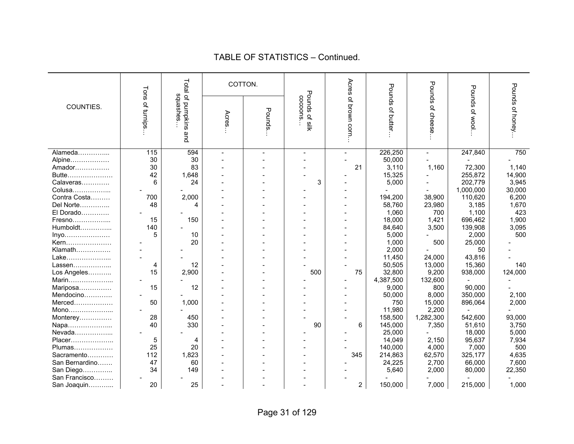| Acres<br>Total of pumpkins<br>COTTON.<br>Pounds of cheese<br>Pounds of honey<br>Pounds<br>Pounds of wool<br>Tons of turnips<br>Pounds of silk<br>salashes<br>cocoons<br>of brown corn.<br>COUNTIES.<br>of butter<br>Pounds.<br>Acres<br>and<br>$\frac{115}{115}$<br>594<br>226,250<br>247,840<br>750<br>Alameda<br>$\overline{\phantom{0}}$<br>30<br>30<br>50,000<br>Alpine<br>Amador<br>30<br>83<br>21<br>3,110<br>1,160<br>72,300<br>1,140<br>255,872<br>14,900<br>Butte<br>42<br>1,648<br>15,325<br>3<br>202,779<br>3,945<br>Calaveras<br>6<br>24<br>5,000<br>Colusa<br>1,000,000<br>30,000<br>2,000<br>194,200<br>6,200<br>Contra Costa<br>700<br>38,900<br>110,620<br>Del Norte<br>48<br>58,760<br>23,980<br>1,670<br>3,185<br>4<br>El Dorado<br>1,060<br>700<br>1,100<br>423<br>18,000<br>1,421<br>1,900<br>Fresno<br>15<br>150<br>696,462<br>Humboldt<br>140<br>84,640<br>3,500<br>139,908<br>3,095<br>5,000<br>2,000<br>500<br>5<br>10<br>Inyo<br>20<br>1,000<br>500<br>25,000<br>Kern<br>Klamath<br>2,000<br>50<br>11,450<br>24,000<br>43,816<br>Lake<br>50,505<br>13,000<br>15,360<br>140<br>Lassen<br>12<br>4<br>15<br>2,900<br>75<br>32,800<br>9,200<br>124,000<br>Los Angeles<br>500<br>938,000<br>4,387,500<br>132,600<br>Marin<br>15<br>12<br>9,000<br>800<br>90,000<br>Mariposa<br>8,000<br>350,000<br>2,100<br>Mendocino<br>50,000<br>2,000<br>Merced<br>50<br>1,000<br>750<br>15,000<br>896,064<br>2,200<br>11,980<br>Mono<br>28<br>450<br>158,500<br>1,282,300<br>542,600<br>93,000<br>Monterey<br>40<br>330<br>6<br>145,000<br>51,610<br>3,750<br>90<br>7,350<br>Napa<br>Nevada<br>25,000<br>18,000<br>5,000<br>14,049<br>2,150<br>95,637<br>7,934<br>Placer<br>5<br>4<br>25<br>20<br>140,000<br>4,000<br>7,000<br>500<br>Plumas<br>1,823<br>112<br>345<br>214,863<br>62,570<br>325,177<br>4,635<br>Sacramento<br>47<br>2,700<br>66,000<br>7,600<br>San Bernardino<br>60<br>24,225<br>34<br>22,350<br>San Diego<br>149<br>5,640<br>2,000<br>80,000<br>San Francisco<br>$\overline{2}$<br>20<br>25<br>150,000<br>7,000<br>215,000<br>1,000<br>San Joaquin |  |  |  |  |  |  |
|------------------------------------------------------------------------------------------------------------------------------------------------------------------------------------------------------------------------------------------------------------------------------------------------------------------------------------------------------------------------------------------------------------------------------------------------------------------------------------------------------------------------------------------------------------------------------------------------------------------------------------------------------------------------------------------------------------------------------------------------------------------------------------------------------------------------------------------------------------------------------------------------------------------------------------------------------------------------------------------------------------------------------------------------------------------------------------------------------------------------------------------------------------------------------------------------------------------------------------------------------------------------------------------------------------------------------------------------------------------------------------------------------------------------------------------------------------------------------------------------------------------------------------------------------------------------------------------------------------------------------------------------------------------------------------------------------------------------------------------------------------------------------------------------------------------------------------------------------------------------------------------------------------------------------------------------------------------------------------------------------------------------------------------------------------------------------|--|--|--|--|--|--|
|                                                                                                                                                                                                                                                                                                                                                                                                                                                                                                                                                                                                                                                                                                                                                                                                                                                                                                                                                                                                                                                                                                                                                                                                                                                                                                                                                                                                                                                                                                                                                                                                                                                                                                                                                                                                                                                                                                                                                                                                                                                                              |  |  |  |  |  |  |
|                                                                                                                                                                                                                                                                                                                                                                                                                                                                                                                                                                                                                                                                                                                                                                                                                                                                                                                                                                                                                                                                                                                                                                                                                                                                                                                                                                                                                                                                                                                                                                                                                                                                                                                                                                                                                                                                                                                                                                                                                                                                              |  |  |  |  |  |  |
|                                                                                                                                                                                                                                                                                                                                                                                                                                                                                                                                                                                                                                                                                                                                                                                                                                                                                                                                                                                                                                                                                                                                                                                                                                                                                                                                                                                                                                                                                                                                                                                                                                                                                                                                                                                                                                                                                                                                                                                                                                                                              |  |  |  |  |  |  |
|                                                                                                                                                                                                                                                                                                                                                                                                                                                                                                                                                                                                                                                                                                                                                                                                                                                                                                                                                                                                                                                                                                                                                                                                                                                                                                                                                                                                                                                                                                                                                                                                                                                                                                                                                                                                                                                                                                                                                                                                                                                                              |  |  |  |  |  |  |
|                                                                                                                                                                                                                                                                                                                                                                                                                                                                                                                                                                                                                                                                                                                                                                                                                                                                                                                                                                                                                                                                                                                                                                                                                                                                                                                                                                                                                                                                                                                                                                                                                                                                                                                                                                                                                                                                                                                                                                                                                                                                              |  |  |  |  |  |  |
|                                                                                                                                                                                                                                                                                                                                                                                                                                                                                                                                                                                                                                                                                                                                                                                                                                                                                                                                                                                                                                                                                                                                                                                                                                                                                                                                                                                                                                                                                                                                                                                                                                                                                                                                                                                                                                                                                                                                                                                                                                                                              |  |  |  |  |  |  |
|                                                                                                                                                                                                                                                                                                                                                                                                                                                                                                                                                                                                                                                                                                                                                                                                                                                                                                                                                                                                                                                                                                                                                                                                                                                                                                                                                                                                                                                                                                                                                                                                                                                                                                                                                                                                                                                                                                                                                                                                                                                                              |  |  |  |  |  |  |
|                                                                                                                                                                                                                                                                                                                                                                                                                                                                                                                                                                                                                                                                                                                                                                                                                                                                                                                                                                                                                                                                                                                                                                                                                                                                                                                                                                                                                                                                                                                                                                                                                                                                                                                                                                                                                                                                                                                                                                                                                                                                              |  |  |  |  |  |  |
|                                                                                                                                                                                                                                                                                                                                                                                                                                                                                                                                                                                                                                                                                                                                                                                                                                                                                                                                                                                                                                                                                                                                                                                                                                                                                                                                                                                                                                                                                                                                                                                                                                                                                                                                                                                                                                                                                                                                                                                                                                                                              |  |  |  |  |  |  |
|                                                                                                                                                                                                                                                                                                                                                                                                                                                                                                                                                                                                                                                                                                                                                                                                                                                                                                                                                                                                                                                                                                                                                                                                                                                                                                                                                                                                                                                                                                                                                                                                                                                                                                                                                                                                                                                                                                                                                                                                                                                                              |  |  |  |  |  |  |
|                                                                                                                                                                                                                                                                                                                                                                                                                                                                                                                                                                                                                                                                                                                                                                                                                                                                                                                                                                                                                                                                                                                                                                                                                                                                                                                                                                                                                                                                                                                                                                                                                                                                                                                                                                                                                                                                                                                                                                                                                                                                              |  |  |  |  |  |  |
|                                                                                                                                                                                                                                                                                                                                                                                                                                                                                                                                                                                                                                                                                                                                                                                                                                                                                                                                                                                                                                                                                                                                                                                                                                                                                                                                                                                                                                                                                                                                                                                                                                                                                                                                                                                                                                                                                                                                                                                                                                                                              |  |  |  |  |  |  |
|                                                                                                                                                                                                                                                                                                                                                                                                                                                                                                                                                                                                                                                                                                                                                                                                                                                                                                                                                                                                                                                                                                                                                                                                                                                                                                                                                                                                                                                                                                                                                                                                                                                                                                                                                                                                                                                                                                                                                                                                                                                                              |  |  |  |  |  |  |
|                                                                                                                                                                                                                                                                                                                                                                                                                                                                                                                                                                                                                                                                                                                                                                                                                                                                                                                                                                                                                                                                                                                                                                                                                                                                                                                                                                                                                                                                                                                                                                                                                                                                                                                                                                                                                                                                                                                                                                                                                                                                              |  |  |  |  |  |  |
|                                                                                                                                                                                                                                                                                                                                                                                                                                                                                                                                                                                                                                                                                                                                                                                                                                                                                                                                                                                                                                                                                                                                                                                                                                                                                                                                                                                                                                                                                                                                                                                                                                                                                                                                                                                                                                                                                                                                                                                                                                                                              |  |  |  |  |  |  |
|                                                                                                                                                                                                                                                                                                                                                                                                                                                                                                                                                                                                                                                                                                                                                                                                                                                                                                                                                                                                                                                                                                                                                                                                                                                                                                                                                                                                                                                                                                                                                                                                                                                                                                                                                                                                                                                                                                                                                                                                                                                                              |  |  |  |  |  |  |
|                                                                                                                                                                                                                                                                                                                                                                                                                                                                                                                                                                                                                                                                                                                                                                                                                                                                                                                                                                                                                                                                                                                                                                                                                                                                                                                                                                                                                                                                                                                                                                                                                                                                                                                                                                                                                                                                                                                                                                                                                                                                              |  |  |  |  |  |  |
|                                                                                                                                                                                                                                                                                                                                                                                                                                                                                                                                                                                                                                                                                                                                                                                                                                                                                                                                                                                                                                                                                                                                                                                                                                                                                                                                                                                                                                                                                                                                                                                                                                                                                                                                                                                                                                                                                                                                                                                                                                                                              |  |  |  |  |  |  |
|                                                                                                                                                                                                                                                                                                                                                                                                                                                                                                                                                                                                                                                                                                                                                                                                                                                                                                                                                                                                                                                                                                                                                                                                                                                                                                                                                                                                                                                                                                                                                                                                                                                                                                                                                                                                                                                                                                                                                                                                                                                                              |  |  |  |  |  |  |
|                                                                                                                                                                                                                                                                                                                                                                                                                                                                                                                                                                                                                                                                                                                                                                                                                                                                                                                                                                                                                                                                                                                                                                                                                                                                                                                                                                                                                                                                                                                                                                                                                                                                                                                                                                                                                                                                                                                                                                                                                                                                              |  |  |  |  |  |  |
|                                                                                                                                                                                                                                                                                                                                                                                                                                                                                                                                                                                                                                                                                                                                                                                                                                                                                                                                                                                                                                                                                                                                                                                                                                                                                                                                                                                                                                                                                                                                                                                                                                                                                                                                                                                                                                                                                                                                                                                                                                                                              |  |  |  |  |  |  |
|                                                                                                                                                                                                                                                                                                                                                                                                                                                                                                                                                                                                                                                                                                                                                                                                                                                                                                                                                                                                                                                                                                                                                                                                                                                                                                                                                                                                                                                                                                                                                                                                                                                                                                                                                                                                                                                                                                                                                                                                                                                                              |  |  |  |  |  |  |
|                                                                                                                                                                                                                                                                                                                                                                                                                                                                                                                                                                                                                                                                                                                                                                                                                                                                                                                                                                                                                                                                                                                                                                                                                                                                                                                                                                                                                                                                                                                                                                                                                                                                                                                                                                                                                                                                                                                                                                                                                                                                              |  |  |  |  |  |  |
|                                                                                                                                                                                                                                                                                                                                                                                                                                                                                                                                                                                                                                                                                                                                                                                                                                                                                                                                                                                                                                                                                                                                                                                                                                                                                                                                                                                                                                                                                                                                                                                                                                                                                                                                                                                                                                                                                                                                                                                                                                                                              |  |  |  |  |  |  |
|                                                                                                                                                                                                                                                                                                                                                                                                                                                                                                                                                                                                                                                                                                                                                                                                                                                                                                                                                                                                                                                                                                                                                                                                                                                                                                                                                                                                                                                                                                                                                                                                                                                                                                                                                                                                                                                                                                                                                                                                                                                                              |  |  |  |  |  |  |
|                                                                                                                                                                                                                                                                                                                                                                                                                                                                                                                                                                                                                                                                                                                                                                                                                                                                                                                                                                                                                                                                                                                                                                                                                                                                                                                                                                                                                                                                                                                                                                                                                                                                                                                                                                                                                                                                                                                                                                                                                                                                              |  |  |  |  |  |  |
|                                                                                                                                                                                                                                                                                                                                                                                                                                                                                                                                                                                                                                                                                                                                                                                                                                                                                                                                                                                                                                                                                                                                                                                                                                                                                                                                                                                                                                                                                                                                                                                                                                                                                                                                                                                                                                                                                                                                                                                                                                                                              |  |  |  |  |  |  |
|                                                                                                                                                                                                                                                                                                                                                                                                                                                                                                                                                                                                                                                                                                                                                                                                                                                                                                                                                                                                                                                                                                                                                                                                                                                                                                                                                                                                                                                                                                                                                                                                                                                                                                                                                                                                                                                                                                                                                                                                                                                                              |  |  |  |  |  |  |
|                                                                                                                                                                                                                                                                                                                                                                                                                                                                                                                                                                                                                                                                                                                                                                                                                                                                                                                                                                                                                                                                                                                                                                                                                                                                                                                                                                                                                                                                                                                                                                                                                                                                                                                                                                                                                                                                                                                                                                                                                                                                              |  |  |  |  |  |  |
|                                                                                                                                                                                                                                                                                                                                                                                                                                                                                                                                                                                                                                                                                                                                                                                                                                                                                                                                                                                                                                                                                                                                                                                                                                                                                                                                                                                                                                                                                                                                                                                                                                                                                                                                                                                                                                                                                                                                                                                                                                                                              |  |  |  |  |  |  |
|                                                                                                                                                                                                                                                                                                                                                                                                                                                                                                                                                                                                                                                                                                                                                                                                                                                                                                                                                                                                                                                                                                                                                                                                                                                                                                                                                                                                                                                                                                                                                                                                                                                                                                                                                                                                                                                                                                                                                                                                                                                                              |  |  |  |  |  |  |
|                                                                                                                                                                                                                                                                                                                                                                                                                                                                                                                                                                                                                                                                                                                                                                                                                                                                                                                                                                                                                                                                                                                                                                                                                                                                                                                                                                                                                                                                                                                                                                                                                                                                                                                                                                                                                                                                                                                                                                                                                                                                              |  |  |  |  |  |  |
|                                                                                                                                                                                                                                                                                                                                                                                                                                                                                                                                                                                                                                                                                                                                                                                                                                                                                                                                                                                                                                                                                                                                                                                                                                                                                                                                                                                                                                                                                                                                                                                                                                                                                                                                                                                                                                                                                                                                                                                                                                                                              |  |  |  |  |  |  |
|                                                                                                                                                                                                                                                                                                                                                                                                                                                                                                                                                                                                                                                                                                                                                                                                                                                                                                                                                                                                                                                                                                                                                                                                                                                                                                                                                                                                                                                                                                                                                                                                                                                                                                                                                                                                                                                                                                                                                                                                                                                                              |  |  |  |  |  |  |
|                                                                                                                                                                                                                                                                                                                                                                                                                                                                                                                                                                                                                                                                                                                                                                                                                                                                                                                                                                                                                                                                                                                                                                                                                                                                                                                                                                                                                                                                                                                                                                                                                                                                                                                                                                                                                                                                                                                                                                                                                                                                              |  |  |  |  |  |  |
|                                                                                                                                                                                                                                                                                                                                                                                                                                                                                                                                                                                                                                                                                                                                                                                                                                                                                                                                                                                                                                                                                                                                                                                                                                                                                                                                                                                                                                                                                                                                                                                                                                                                                                                                                                                                                                                                                                                                                                                                                                                                              |  |  |  |  |  |  |
|                                                                                                                                                                                                                                                                                                                                                                                                                                                                                                                                                                                                                                                                                                                                                                                                                                                                                                                                                                                                                                                                                                                                                                                                                                                                                                                                                                                                                                                                                                                                                                                                                                                                                                                                                                                                                                                                                                                                                                                                                                                                              |  |  |  |  |  |  |
|                                                                                                                                                                                                                                                                                                                                                                                                                                                                                                                                                                                                                                                                                                                                                                                                                                                                                                                                                                                                                                                                                                                                                                                                                                                                                                                                                                                                                                                                                                                                                                                                                                                                                                                                                                                                                                                                                                                                                                                                                                                                              |  |  |  |  |  |  |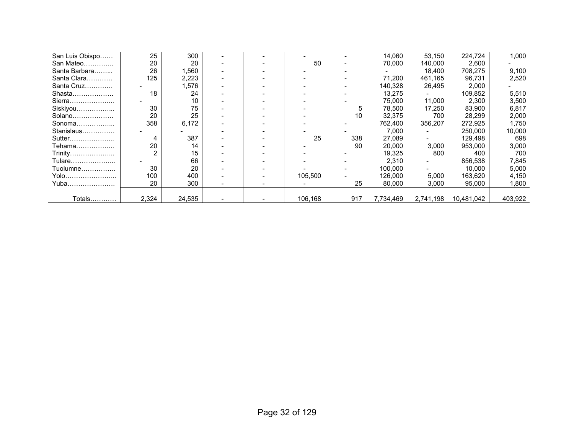| San Luis Obispo | 25    | 300    |  |         |     | 14,060    | 53,150    | 224,724    | 1,000   |
|-----------------|-------|--------|--|---------|-----|-----------|-----------|------------|---------|
| San Mateo       | 20    | 20     |  | 50      |     | 70,000    | 140,000   | 2,600      |         |
| Santa Barbara   | 26    | 560, ا |  |         |     |           | 18,400    | 708,275    | 9,100   |
| Santa Clara     | 125   | 2,223  |  |         |     | 71.200    | 461,165   | 96,731     | 2,520   |
| Santa Cruz      |       | 1,576  |  |         |     | 140,328   | 26,495    | 2,000      |         |
| Shasta          | 18    | 24     |  |         |     | 13,275    |           | 109,852    | 5,510   |
| Sierra          |       | 10     |  |         |     | 75,000    | 11.000    | 2,300      | 3,500   |
| Siskiyou        | 30    | 75     |  |         | 5   | 78,500    | 17.250    | 83,900     | 6,817   |
| Solano          | 20    | 25     |  |         | 10  | 32,375    | 700       | 28,299     | 2,000   |
| Sonoma          | 358   | 6,172  |  |         |     | 762.400   | 356,207   | 272,925    | 1,750   |
| Stanislaus      |       |        |  |         |     | 7,000     |           | 250,000    | 10,000  |
| Sutter          | 4     | 387    |  | 25      | 338 | 27,089    |           | 129,498    | 698     |
| Tehama          | 20    | 14     |  |         | 90  | 20,000    | 3,000     | 953,000    | 3,000   |
| Trinity         |       | 15     |  |         |     | 19,325    | 800       | 400        | 700     |
| Tulare          |       | 66     |  |         |     | 2,310     |           | 856,538    | 7,845   |
| Tuolumne        | 30    | 20     |  |         |     | 100,000   |           | 10,000     | 5,000   |
| Yolo            | 100   | 400    |  | 105,500 |     | 126,000   | 5,000     | 163,620    | 4,150   |
| Yuba            | 20    | 300    |  |         | 25  | 80,000    | 3,000     | 95,000     | 1,800   |
|                 |       |        |  |         |     |           |           |            |         |
| Totals          | 2,324 | 24,535 |  | 106,168 | 917 | 7,734,469 | 2,741,198 | 10,481,042 | 403,922 |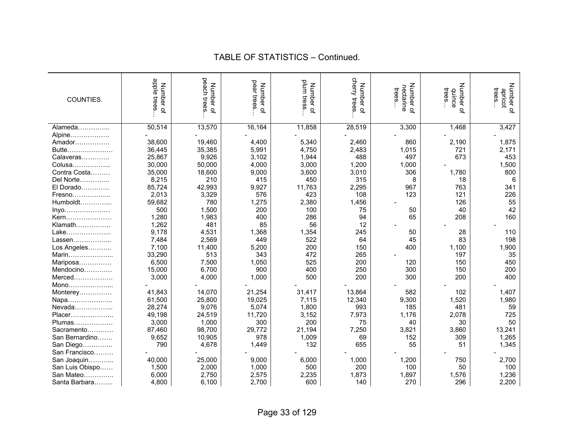| COUNTIES.       | apple trees<br>Number of | peach trees<br>Number of | pear trees<br>Number of | plum tress<br>Number<br>$\overline{a}$ | cherry trees<br>Number of | Number<br>nectarine<br>trees<br>$\overline{Q}$ | Number of<br>trees<br>duince | Number of<br>trees<br>apricot |
|-----------------|--------------------------|--------------------------|-------------------------|----------------------------------------|---------------------------|------------------------------------------------|------------------------------|-------------------------------|
| Alameda         | 50,514                   | 13,570                   | 16,164                  | 11,858                                 | 28,519                    | 3,300                                          | 1,468                        | 3,427                         |
| Alpine          |                          |                          |                         |                                        |                           |                                                |                              |                               |
| Amador          | 38,600                   | 19,460                   | 4,400                   | 5,340                                  | 2,460                     | 860                                            | 2,190                        | 1,875                         |
| Butte           | 36,445                   | 35,385                   | 5,991                   | 4,750                                  | 2,483                     | 1,015                                          | 721                          | 2,171                         |
| Calaveras       | 25,867                   | 9,926                    | 3,102                   | 1,944                                  | 488                       | 497                                            | 673                          | 453                           |
| Colusa          | 30,000                   | 50,000                   | 4,000                   | 3,000                                  | 1,200                     | 1,000                                          |                              | 1,500                         |
| Contra Costa    | 35,000                   | 18,600                   | 9,000                   | 3,600                                  | 3,010                     | 306                                            | 1,780                        | 800                           |
| Del Norte       | 8,215                    | 210                      | 415                     | 450                                    | 315                       | 8                                              | 18                           | 6                             |
| El Dorado       | 85,724                   | 42,993                   | 9,927                   | 11,763                                 | 2,295                     | 967                                            | 763                          | 341                           |
| Fresno          | 2,013                    | 3,329                    | 576                     | 423                                    | 108                       | 123                                            | 121                          | 226                           |
| $Humboldt$      | 59,682                   | 780                      | 1,275                   | 2,380                                  | 1,456                     |                                                | 126                          | 55                            |
| Inyo            | 500                      | 1,500                    | 200                     | 100                                    | 75                        | 50                                             | 40                           | 42                            |
| Kern            | 1,280                    | 1,983                    | 400                     | 286                                    | 94                        | 65                                             | 208                          | 160                           |
| Klamath         | 1,262                    | 481                      | 85                      | 56                                     | 12                        |                                                |                              |                               |
| Lake            | 9,178                    | 4,531                    | 1,368                   | 1,354                                  | 245                       | 50                                             | 28                           | 110                           |
| Lassen          | 7,484                    | 2,569                    | 449                     | 522                                    | 64                        | 45                                             | 83                           | 198                           |
| Los Angeles     | 7,100                    | 11,400                   | 5,200                   | 200                                    | 150                       | 400                                            | 1,100                        | 1,900                         |
| Marin           | 33,290                   | 513                      | 343                     | 472                                    | 265                       |                                                | 197                          | 35                            |
| Mariposa        | 6,500                    | 7,500                    | 1,050                   | 525                                    | 200                       | 120                                            | 150                          | 450                           |
| Mendocino       | 15,000                   | 6,700                    | 900                     | 400                                    | 250                       | 300                                            | 150                          | 200                           |
| Merced          | 3,000                    | 4,000                    | 1,000                   | 500                                    | 200                       | 300                                            | 200                          | 400                           |
| Mono            |                          |                          |                         |                                        |                           |                                                |                              |                               |
| Monterey        | 41,843                   | 14,070                   | 21,254                  | 31,417                                 | 13,864                    | 582                                            | 102                          | 1,407                         |
| Napa            | 61,500                   | 25,800                   | 19,025                  | 7,115                                  | 12,340                    | 9,300                                          | 1,520                        | 1,980                         |
| Nevada          | 28,274                   | 9,076                    | 5,074                   | 1,800                                  | 993                       | 185                                            | 481                          | 59                            |
| Placer          | 49,198                   | 24,519                   | 11,720                  | 3,152                                  | 7,973                     | 1,176                                          | 2,078                        | 725                           |
| Plumas          | 3,000                    | 1,000                    | 300                     | 200                                    | 75                        | 40                                             | 30                           | 50                            |
| Sacramento      | 87,460                   | 98,700                   | 29,772                  | 21,194                                 | 7,250                     | 3,821                                          | 3,860                        | 13,241                        |
| San Bernardino  | 9,652                    | 10,905                   | 978                     | 1,009                                  | 69                        | 152                                            | 309                          | 1,265                         |
| San Diego       | 790                      | 4,678                    | 1,449                   | 132                                    | 655                       | 55                                             | 51                           | 1,345                         |
| San Francisco   |                          |                          |                         |                                        |                           |                                                |                              |                               |
| San Joaquin     | 40,000                   | 25,000                   | 9,000                   | 6,000                                  | 1,000                     | 1,200                                          | 750                          | 2,700                         |
| San Luis Obispo | 1,500                    | 2,000                    | 1,000                   | 500                                    | 200                       | 100                                            | 50                           | 100                           |
| San Mateo       | 6,000                    | 2,750                    | 2,575                   | 2,235                                  | 1,873                     | 1,897                                          | 1,576                        | 1,236                         |
| Santa Barbara   | 4,800                    | 6,100                    | 2,700                   | 600                                    | 140                       | 270                                            | 296                          | 2,200                         |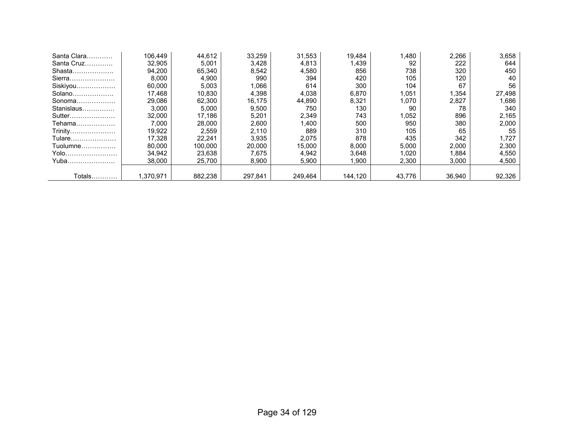| Santa Clara | 106.449   | 44,612  | 33.259  | 31,553  | 19.484  | 1,480  | 2,266  | 3,658  |
|-------------|-----------|---------|---------|---------|---------|--------|--------|--------|
| Santa Cruz  | 32,905    | 5,001   | 3,428   | 4,813   | 1,439   | 92     | 222    | 644    |
| Shasta      | 94,200    | 65,340  | 8,542   | 4,580   | 856     | 738    | 320    | 450    |
| Sierra      | 8,000     | 4,900   | 990     | 394     | 420     | 105    | 120    | 40     |
| Siskiyou    | 60,000    | 5,003   | 1,066   | 614     | 300     | 104    | 67     | 56     |
| Solano      | 17.468    | 10,830  | 4,398   | 4,038   | 6,870   | 1,051  | 1,354  | 27,498 |
| Sonoma      | 29.086    | 62.300  | 16.175  | 44,890  | 8,321   | 1.070  | 2,827  | 1,686  |
| Stanislaus  | 3,000     | 5,000   | 9,500   | 750     | 130     | 90     | 78     | 340    |
| Sutter      | 32.000    | 17.186  | 5,201   | 2,349   | 743     | 1,052  | 896    | 2,165  |
| Tehama      | 7.000     | 28.000  | 2.600   | 400.ا   | 500     | 950    | 380    | 2,000  |
| Trinity     | 19,922    | 2,559   | 2,110   | 889     | 310     | 105    | 65     | 55     |
| Tulare      | 17,328    | 22.241  | 3.935   | 2,075   | 878     | 435    | 342    | 1,727  |
| Tuolumne    | 80.000    | 100.000 | 20,000  | 15,000  | 8,000   | 5,000  | 2,000  | 2,300  |
| Yolo        | 34,942    | 23.638  | 7.675   | 4,942   | 3,648   | 1.020  | 1,884  | 4,550  |
| Yuba        | 38,000    | 25,700  | 8,900   | 5,900   | .900    | 2,300  | 3,000  | 4,500  |
|             |           |         |         |         |         |        |        |        |
| Totals      | 1,370,971 | 882,238 | 297,841 | 249,464 | 144,120 | 43,776 | 36,940 | 92,326 |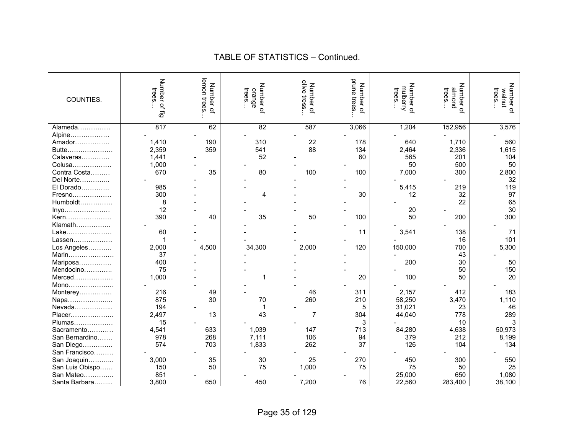| COUNTIES.       | <b>Number</b><br>trees.<br>$\subseteq$<br>ඨි | lemon trees<br>Number<br>$\overline{a}$ | Number of<br>trees.<br>orange | olive tress.<br>Number of | prune<br>Number of<br>trees | Number of<br>mulberry<br>trees. | Number of<br>puouu<br>trees | Number of<br>trees<br>walnut |
|-----------------|----------------------------------------------|-----------------------------------------|-------------------------------|---------------------------|-----------------------------|---------------------------------|-----------------------------|------------------------------|
| Alameda         | 817                                          | 62                                      | 82                            | 587                       | 3,066                       | 1,204                           | 152,956                     | 3,576                        |
| Alpine          |                                              |                                         |                               |                           |                             |                                 |                             |                              |
| Amador          | 1,410                                        | 190                                     | 310                           | 22                        | 178                         | 640                             | 1,710                       | 560                          |
| Butte           | 2,359                                        | 359                                     | 541                           | 88                        | 134                         | 2,464                           | 2,336                       | 1,615                        |
| Calaveras       | 1,441                                        |                                         | 52                            |                           | 60                          | 565                             | 201                         | 104                          |
| Colusa          | 1,000                                        |                                         |                               |                           |                             | 50                              | 500                         | 50                           |
| Contra Costa    | 670                                          | 35                                      | 80                            | 100                       | 100                         | 7,000                           | 300                         | 2,800                        |
| Del Norte       |                                              |                                         |                               |                           |                             |                                 |                             | 32                           |
| El Dorado       | 985                                          |                                         |                               |                           |                             | 5,415                           | 219                         | 119                          |
| Fresno          | 300                                          |                                         | 4                             |                           | 30                          | 12                              | 32                          | 97                           |
| Humboldt        | 8                                            |                                         |                               |                           |                             |                                 | 22                          | 65                           |
| $lny0$          | 12                                           |                                         |                               |                           |                             | 20                              |                             | 30                           |
| Kern            | 390                                          | 40                                      | 35                            | 50                        | 100                         | 50                              | 200                         | 300                          |
| Klamath         |                                              |                                         |                               |                           |                             |                                 |                             |                              |
| Lake            | 60                                           |                                         |                               |                           | 11                          | 3,541                           | 138                         | 71                           |
| Lassen          |                                              |                                         |                               |                           |                             |                                 | 16                          | 101                          |
| Los Angeles     | 2,000                                        | 4,500                                   | 34,300                        | 2,000                     | 120                         | 150,000                         | 700                         | 5,300                        |
| Marin           | 37                                           |                                         |                               |                           |                             |                                 | 43                          |                              |
| Mariposa        | 400                                          |                                         |                               |                           |                             | 200                             | 30                          | 50                           |
| Mendocino       | 75                                           |                                         |                               |                           |                             |                                 | 50                          | 150                          |
| Merced          | 1,000                                        |                                         | 1                             |                           | 20                          | 100                             | 50                          | 20                           |
| Mono            |                                              |                                         |                               |                           |                             |                                 |                             |                              |
| Monterey        | 216                                          | 49                                      |                               | 46                        | 311                         | 2,157                           | 412                         | 183                          |
| Napa            | 875                                          | 30                                      | 70                            | 260                       | 210                         | 58,250                          | 3,470                       | 1,110                        |
| Nevada          | 194                                          |                                         | 1                             |                           | 5                           | 31,021                          | 23                          | 46                           |
| Placer          | 2,497                                        | 13                                      | 43                            | $\overline{7}$            | 304                         | 44,040                          | 778                         | 289                          |
| Plumas          | 15                                           |                                         |                               |                           | 3                           |                                 | 10                          | 3                            |
| Sacramento      | 4,541                                        | 633                                     | 1,039                         | 147                       | 713                         | 84,280                          | 4,638                       | 50,973                       |
| San Bernardino  | 978                                          | 268                                     | 7,111                         | 106                       | 94                          | 379                             | 212                         | 8,199                        |
| San Diego       | 574                                          | 703                                     | 1,833                         | 262                       | 37                          | 126                             | 104                         | 134                          |
| San Francisco   |                                              |                                         |                               |                           |                             |                                 |                             |                              |
| San Joaquin     | 3,000                                        | 35                                      | 30                            | 25                        | 270                         | 450                             | 300                         | 550                          |
| San Luis Obispo | 150                                          | 50                                      | 75                            | 1,000                     | 75                          | 75                              | 50                          | 25                           |
| San Mateo       | 851                                          |                                         |                               |                           |                             | 25,000                          | 650                         | 1,080                        |
| Santa Barbara   | 3,800                                        | 650                                     | 450                           | 7,200                     | 76                          | 22,560                          | 283,400                     | 38,100                       |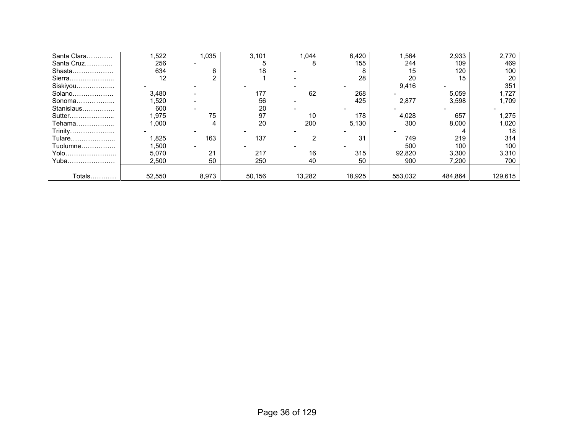| Santa Clara | ,522   | 1,035 | 3,101  | 1,044  | 6,420  | ,564    | 2,933   | 2,770   |
|-------------|--------|-------|--------|--------|--------|---------|---------|---------|
| Santa Cruz  | 256    |       |        | 8      | 155    | 244     | 109     | 469     |
| Shasta      | 634    | 6     | 18     |        |        | 15      | 120     | 100     |
| Sierra      | 12     |       |        |        | 28     | 20      | 15      | 20      |
| Siskiyou    |        |       |        |        |        | 9,416   |         | 351     |
| Solano      | 3,480  |       | 177    | 62     | 268    |         | 5,059   | .727    |
| Sonoma      | .520   |       | 56     |        | 425    | 2,877   | 3,598   | 1.709   |
| Stanislaus  | 600    |       | 20     |        |        |         |         |         |
| Sutter      | 1,975  | 75    | 97     | 10     | 178    | 4,028   | 657     | 1,275   |
| Tehama      | .000   | 4     | 20     | 200    | 5,130  | 300     | 8,000   | 1,020   |
| Trinity     |        |       |        |        |        |         |         | 18      |
| Tulare      | ,825   | 163   | 137    | ⌒      | 31     | 749     | 219     | 314     |
| Tuolumne    | 1,500  |       |        |        |        | 500     | 100     | 100     |
| Yolo        | 5,070  | 21    | 217    | 16     | 315    | 92,820  | 3,300   | 3,310   |
| Yuba        | 2,500  | 50    | 250    | 40     | 50     | 900     | 7,200   | 700     |
|             |        |       |        |        |        |         |         |         |
| Totals      | 52,550 | 8,973 | 50,156 | 13,282 | 18,925 | 553,032 | 484,864 | 129,615 |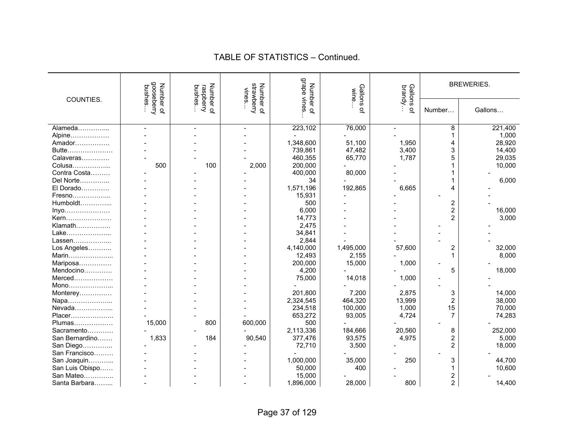| COUNTIES.       | gooseberry<br>Number<br>bushes | Number<br>bushes<br>raspberry | strawberry<br>Number<br>vines | <b>adeu6</b><br>Number | Gallons<br>wine | Gallons<br>brandy. |                         | <b>BREWERIES.</b> |
|-----------------|--------------------------------|-------------------------------|-------------------------------|------------------------|-----------------|--------------------|-------------------------|-------------------|
|                 | 5ť                             | $\Omega$                      | $\overline{a}$                | vines.<br>$\Omega$     | $\Omega$        | Q                  | Number                  | Gallons           |
| Alameda         |                                |                               |                               | 223,102                | 76,000          |                    | 8                       | 221,400           |
| Alpine          |                                |                               |                               |                        |                 |                    | 1                       | 1,000             |
| Amador          |                                |                               |                               | 1,348,600              | 51,100          | 1,950              | 4                       | 28,920            |
| Butte           |                                |                               |                               | 739,861                | 47,482          | 3,400              | 3                       | 14,400            |
| Calaveras       |                                |                               |                               | 460,355                | 65,770          | 1,787              | 5                       | 29,035            |
| Colusa          | 500                            | 100                           | 2,000                         | 200,000                |                 |                    |                         | 10,000            |
| Contra Costa    |                                |                               |                               | 400,000                | 80,000          |                    |                         |                   |
| Del Norte       |                                |                               |                               | 34                     |                 |                    |                         | 6,000             |
| El Dorado       |                                |                               |                               | 1,571,196              | 192,865         | 6,665              | 4                       |                   |
| Fresno          |                                |                               |                               | 15,931                 |                 |                    |                         |                   |
| Humboldt        |                                |                               |                               | 500                    |                 |                    | 2                       |                   |
| Inyo            |                                |                               |                               | 6,000                  |                 |                    | $\overline{2}$          | 16,000            |
| Kern            |                                |                               |                               | 14,773                 |                 |                    | $\overline{2}$          | 3,000             |
| Klamath         |                                |                               |                               | 2,475                  |                 |                    |                         |                   |
| Lake            |                                |                               |                               | 34,841                 |                 |                    |                         |                   |
| Lassen          |                                |                               |                               | 2,844                  |                 |                    |                         |                   |
| Los Angeles     |                                |                               |                               | 4,140,000              | 1,495,000       | 57,600             | $\overline{\mathbf{c}}$ | 32,000            |
| Marin           |                                |                               |                               | 12,493                 | 2,155           |                    | $\mathbf 1$             | 8,000             |
| Mariposa        |                                |                               |                               | 200,000                | 15,000          | 1,000              |                         |                   |
| Mendocino       |                                |                               |                               | 4,200                  |                 |                    | 5                       | 18,000            |
| Merced          |                                |                               |                               | 75,000                 | 14,018          | 1,000              |                         |                   |
| Mono            |                                |                               |                               |                        |                 |                    |                         |                   |
| Monterey        |                                |                               |                               | 201,800                | 7,200           | 2,875              | 3                       | 14,000            |
| Napa            |                                |                               |                               | 2,324,545              | 464,320         | 13,999             | $\overline{2}$          | 38,000            |
| Nevada          |                                |                               |                               | 234,518                | 100,000         | 1,000              | 15                      | 70,000            |
| Placer          |                                |                               |                               | 653,272                | 93,005          | 4,724              | $\overline{7}$          | 74,283            |
| Plumas          | 15,000                         | 800                           | 600,000                       | 500                    |                 |                    |                         |                   |
| Sacramento      |                                |                               |                               | 2,113,336              | 184,666         | 20,560             | 8                       | 252,000           |
| San Bernardino  | 1,833                          | 184                           | 90,540                        | 377,476                | 93,575          | 4,975              | $\overline{2}$          | 5,000             |
| San Diego       |                                |                               |                               | 72,710                 | 3,500           |                    | $\overline{2}$          | 18,000            |
| San Francisco   |                                |                               |                               |                        |                 |                    |                         |                   |
| San Joaquin     |                                |                               |                               | 1,000,000              | 35,000          | 250                | 3                       | 44,700            |
| San Luis Obispo |                                |                               |                               | 50,000                 | 400             |                    | 1                       | 10,600            |
| San Mateo       |                                |                               |                               | 15,000                 |                 |                    | 2                       |                   |
| Santa Barbara   |                                |                               |                               | 1,896,000              | 28,000          | 800                | $\overline{2}$          | 14,400            |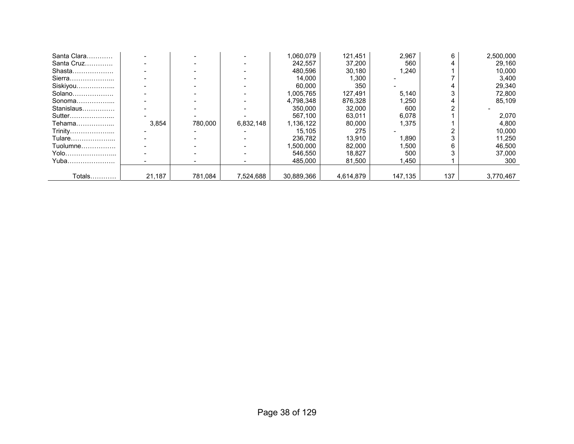| Santa Clara   |        |         |           | 1,060,079  | 121.451   | 2,967   | 6   | 2,500,000 |
|---------------|--------|---------|-----------|------------|-----------|---------|-----|-----------|
| Santa Cruz    |        |         |           | 242.557    | 37,200    | 560     |     | 29.160    |
| Shasta        |        |         |           | 480.596    | 30,180    | 1,240   |     | 10,000    |
| Sierra        |        |         |           | 14,000     | 1,300     |         |     | 3,400     |
| Siskiyou      |        |         |           | 60,000     | 350       |         |     | 29,340    |
| Solano        |        |         |           | 1,005,765  | 127.491   | 5,140   | 3   | 72,800    |
| Sonoma        |        |         |           | 4.798.348  | 876.328   | 1,250   | 4   | 85.109    |
| Stanislaus    |        |         |           | 350,000    | 32.000    | 600     |     |           |
| Sutter        |        |         |           | 567.100    | 63,011    | 6,078   |     | 2,070     |
| Tehama        | 3.854  | 780.000 | 6.832.148 | 1,136,122  | 80.000    | 1.375   |     | 4,800     |
| Trinity       |        |         |           | 15.105     | 275       |         |     | 10,000    |
| Tulare        |        |         |           | 236.782    | 13,910    | 1,890   |     | 11,250    |
| Tuolumne      |        |         |           | 1,500,000  | 82,000    | 1,500   | 6   | 46,500    |
| Yolo          |        |         |           | 546.550    | 18.827    | 500     |     | 37.000    |
| Yuba          |        |         |           | 485.000    | 81,500    | 1.450   |     | 300       |
|               |        |         |           |            |           |         |     |           |
| <b>Totals</b> | 21,187 | 781,084 | 7,524,688 | 30.889.366 | 4.614.879 | 147,135 | 137 | 3.770.467 |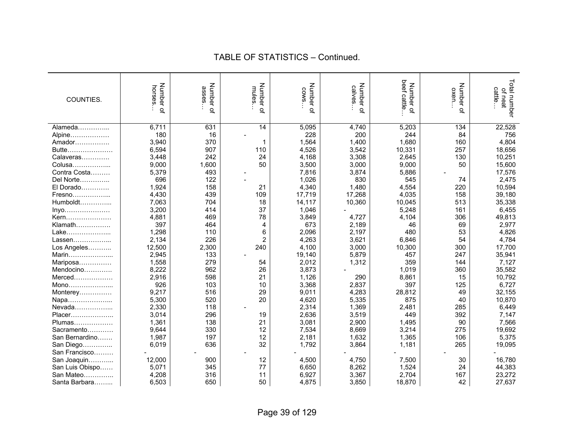| COUNTIES.       | Number<br>horses<br>$\overline{a}$ | Number of<br>asses | Number of<br>mules | Number of<br>SMO <sub>2</sub> | Number of<br>calves | beef cattle<br>Number of | Number of<br>oxen. | Total number<br>of neat<br>cattle |
|-----------------|------------------------------------|--------------------|--------------------|-------------------------------|---------------------|--------------------------|--------------------|-----------------------------------|
| Alameda         | 6,711                              | 631                | 14                 | 5,095                         | 4,740               | 5,203                    | 134                | 22,528                            |
| Alpine          | 180                                | 16                 |                    | 228                           | 200                 | 244                      | 84                 | 756                               |
| Amador          | 3,940                              | 370                | 1                  | 1,564                         | 1,400               | 1,680                    | 160                | 4,804                             |
| Butte           | 6,594                              | 907                | 110                | 4,526                         | 3,542               | 10,331                   | 257                | 18,656                            |
| Calaveras       | 3,448                              | 242                | 24                 | 4,168                         | 3,308               | 2,645                    | 130                | 10,251                            |
| Colusa          | 9,000                              | 1,600              | 50                 | 3,500                         | 3,000               | 9,000                    | 50                 | 15,600                            |
| Contra Costa    | 5,379                              | 493                |                    | 7,816                         | 3,874               | 5,886                    |                    | 17,576                            |
|                 | 696                                | 122                |                    | 1,026                         | 830                 |                          | 74                 | 2,475                             |
| Del Norte       |                                    |                    |                    |                               | 1,480               | 545                      |                    | 10,594                            |
| El Dorado       | 1,924                              | 158                | 21                 | 4,340                         |                     | 4,554                    | 220                |                                   |
| Fresno          | 4,430                              | 439                | 109                | 17,719                        | 17,268              | 4,035                    | 158                | 39,180                            |
| Humboldt        | 7,063                              | 704                | 18                 | 14,117                        | 10,360              | 10,045                   | 513                | 35,338                            |
| $lnyo$          | 3,200                              | 414                | 37                 | 1,046                         |                     | 5,248                    | 161                | 6,455                             |
| Kern            | 4,881                              | 469                | 78                 | 3,849                         | 4,727               | 4,104                    | 306                | 49,813                            |
| Klamath         | 397                                | 464                | 4                  | 673                           | 2,189               | 46                       | 69                 | 2,977                             |
| Lake            | 1,298                              | 110                | 6                  | 2,096                         | 2,197               | 480                      | 53                 | 4,826                             |
| Lassen          | 2,134                              | 226                | $\overline{2}$     | 4,263                         | 3,621               | 6,846                    | 54                 | 4,784                             |
| Los Angeles     | 12,500                             | 2,300              | 240                | 4,100                         | 3,000               | 10,300                   | 300                | 17,700                            |
| Marin           | 2,945                              | 133                |                    | 19,140                        | 5,879               | 457                      | 247                | 35,941                            |
| Mariposa        | 1,558                              | 279                | 54                 | 2,012                         | 1,312               | 359                      | 144                | 7,127                             |
| Mendocino       | 8,222                              | 962                | 26                 | 3,873                         |                     | 1,019                    | 360                | 35,582                            |
| Merced          | 2,916                              | 598                | 21                 | 1,126                         | 290                 | 8,861                    | 15                 | 10,792                            |
| Mono            | 926                                | 103                | 10                 | 3,368                         | 2,837               | 397                      | 125                | 6,727                             |
| Monterey        | 9,217                              | 516                | 29                 | 9,011                         | 4,283               | 28,812                   | 49                 | 32,155                            |
| Napa            | 5,300                              | 520                | 20                 | 4,620                         | 5,335               | 875                      | 40                 | 10,870                            |
| Nevada          | 2,330                              | 118                |                    | 2,314                         | 1,369               | 2,481                    | 285                | 6,449                             |
| Placer          | 3,014                              | 296                | 19                 | 2,636                         | 3,519               | 449                      | 392                | 7,147                             |
| Plumas          | 1,361                              | 138                | 21                 | 3,081                         | 2,900               | 1,495                    | 90                 | 7,566                             |
| Sacramento      | 9,644                              | 330                | 12                 | 7,534                         | 8,669               | 3,214                    | 275                | 19,692                            |
| San Bernardino  | 1,987                              | 197                | 12                 | 2,181                         | 1,632               | 1,365                    | 106                | 5,375                             |
| San Diego       | 6,019                              | 636                | 32                 | 1,792                         | 3,864               | 1,181                    | 265                | 19,095                            |
| San Francisco   |                                    |                    |                    |                               |                     |                          |                    |                                   |
| San Joaquin     | 12,000                             | 900                | 12                 | 4,500                         | 4,750               | 7,500                    | 30                 | 16,780                            |
| San Luis Obispo | 5,071                              | 345                | 77                 | 6,650                         | 8,262               | 1,524                    | 24                 | 44,383                            |
| San Mateo       | 4,208                              | 316                | 11                 | 6,927                         | 3,367               | 2,704                    | 167                | 23,272                            |
| Santa Barbara   | 6,503                              | 650                | 50                 | 4,875                         | 3,850               | 18,870                   | 42                 | 27,637                            |
|                 |                                    |                    |                    |                               |                     |                          |                    |                                   |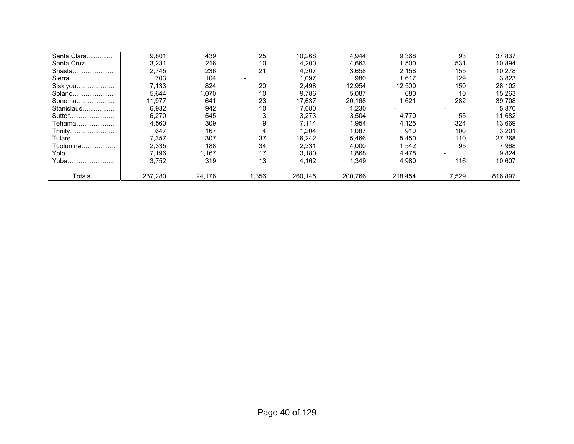| Santa Clara   | 9,801   | 439    | 25   | 10.268  | 4,944   | 9,368   | 93    | 37,837  |
|---------------|---------|--------|------|---------|---------|---------|-------|---------|
| Santa Cruz    | 3,231   | 216    | 10   | 4,200   | 4,663   | .500 ا  | 531   | 10,894  |
| Shasta        | 2.745   | 236    | 21   | 4,307   | 3,658   | 2,158   | 155   | 10,278  |
| Sierra        | 703     | 104    |      | 1.097   | 980     | 1,617   | 129   | 3,823   |
| Siskiyou      | 7,133   | 824    | 20   | 2,498   | 12,954  | 12,500  | 150   | 28,102  |
| Solano        | 5,644   | 070. ا | 10   | 9,786   | 5,087   | 680     | 10    | 15,263  |
| Sonoma        | 11,977  | 641    | 23   | 17,637  | 20,168  | 1,621   | 282   | 39,708  |
| Stanislaus    | 6,932   | 942    | 10   | 7,080   | 1,230   |         |       | 5,870   |
| Sutter        | 6,270   | 545    | 3    | 3,273   | 3,504   | 4,770   | 55    | 11,682  |
| Tehama        | 4,560   | 309    | 9    | 7.114   | 1,954   | 4,125   | 324   | 13,669  |
| Trinity       | 647     | 167    |      | 1,204   | 1,087   | 910     | 100   | 3,201   |
| Tulare        | 7,357   | 307    | 37   | 16,242  | 5,466   | 5,450   | 110   | 27,268  |
| Tuolumne      | 2,335   | 188    | 34   | 2,331   | 4,000   | 1,542   | 95    | 7,968   |
| Yolo          | 7.196   | ,167   | 17   | 3.180   | 1.868   | 4,478   |       | 9,824   |
| Yuba          | 3,752   | 319    | 13   | 4,162   | 1.349   | 4,980   | 116   | 10,607  |
|               |         |        |      |         |         |         |       |         |
| <b>Totals</b> | 237,280 | 24,176 | ,356 | 260,145 | 200.766 | 218.454 | 7,529 | 816,897 |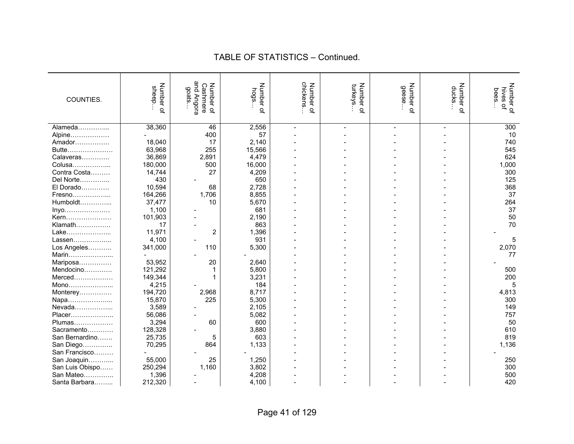| COUNTIES.       | Number<br>sheep<br>$\overline{a}$ | and Angora<br>Number<br>Cashmere<br>goats<br>$\Omega$ | Number of<br>hogs | chickens<br>Number of | Number of<br>turkeys | Number of<br>geese | Number<br>ducks<br>$\Omega$ | Number of<br>hives of<br>bees |
|-----------------|-----------------------------------|-------------------------------------------------------|-------------------|-----------------------|----------------------|--------------------|-----------------------------|-------------------------------|
| Alameda         | 38,360                            | 46                                                    | 2,556             | $\overline{a}$        |                      |                    |                             | 300                           |
| Alpine          |                                   | 400                                                   | 57                |                       |                      |                    |                             | 10                            |
| Amador          | 18,040                            | 17                                                    | 2,140             |                       |                      |                    |                             | 740                           |
| Butte           | 63,968                            | 255                                                   | 15,566            |                       |                      |                    |                             | 545                           |
| Calaveras       | 36,869                            | 2,891                                                 | 4,479             |                       |                      |                    |                             | 624                           |
| Colusa          | 180,000                           | 500                                                   | 16,000            |                       |                      |                    |                             | 1,000                         |
| Contra Costa    | 14,744                            | 27                                                    | 4,209             |                       |                      |                    |                             | 300                           |
| Del Norte       | 430                               |                                                       | 650               |                       |                      |                    |                             | 125                           |
| El Dorado       | 10,594                            | 68                                                    | 2,728             |                       |                      |                    |                             | 368                           |
| Fresno          | 164,266                           | 1,706                                                 | 8,855             |                       |                      |                    |                             | 37                            |
| Humboldt        | 37,477                            | 10                                                    | 5,670             |                       |                      |                    |                             | 264                           |
| Inyo            | 1,100                             |                                                       | 681               |                       |                      |                    |                             | 37                            |
| Kern            | 101,903                           |                                                       | 2,190             |                       |                      |                    |                             | 50                            |
| Klamath         | 17                                |                                                       | 863               |                       |                      |                    |                             | 70                            |
| Lake            | 11,971                            | $\overline{2}$                                        | 1,396             |                       |                      |                    |                             |                               |
| Lassen          | 4,100                             |                                                       | 931               |                       |                      |                    |                             | 5                             |
| Los Angeles     | 341,000                           | 110                                                   | 5,300             |                       |                      |                    |                             | 2,070                         |
| Marin           |                                   |                                                       |                   |                       |                      |                    |                             | 77                            |
| Mariposa        | 53,952                            | 20                                                    | 2,640             |                       |                      |                    |                             |                               |
| Mendocino       | 121,292                           |                                                       | 5,800             |                       |                      |                    |                             | 500                           |
| Merced          | 149,344                           |                                                       | 3,231             |                       |                      |                    |                             | 200                           |
| Mono            | 4,215                             |                                                       | 184               |                       |                      |                    |                             | 5                             |
| Monterey        | 194,720                           | 2,968                                                 | 8,717             |                       |                      |                    |                             | 4,813                         |
| Napa            | 15,870                            | 225                                                   | 5,300             |                       |                      |                    |                             | 300                           |
| Nevada          | 3,589                             |                                                       | 2,105             |                       |                      |                    |                             | 149                           |
| Placer          | 56,086                            |                                                       | 5,082             |                       |                      |                    |                             | 757                           |
| Plumas          | 3,294                             | 60                                                    | 600               |                       |                      |                    |                             | 50                            |
| Sacramento      | 128,328                           |                                                       | 3,880             |                       |                      |                    |                             | 610                           |
| San Bernardino  | 25,735                            | 5                                                     | 603               |                       |                      |                    |                             | 819                           |
| San Diego       | 70,295                            | 864                                                   | 1,133             |                       |                      |                    |                             | 1,136                         |
| San Francisco   |                                   |                                                       |                   |                       |                      |                    |                             |                               |
| San Joaquin     | 55,000                            | 25                                                    | 1,250             |                       |                      |                    |                             | 250                           |
| San Luis Obispo | 250,294                           | 1,160                                                 | 3,802             |                       |                      |                    |                             | 300                           |
| San Mateo       | 1,396                             |                                                       | 4,208             |                       |                      |                    |                             | 500                           |
| Santa Barbara   | 212,320                           |                                                       | 4,100             |                       |                      |                    |                             | 420                           |
|                 |                                   |                                                       |                   |                       |                      |                    |                             |                               |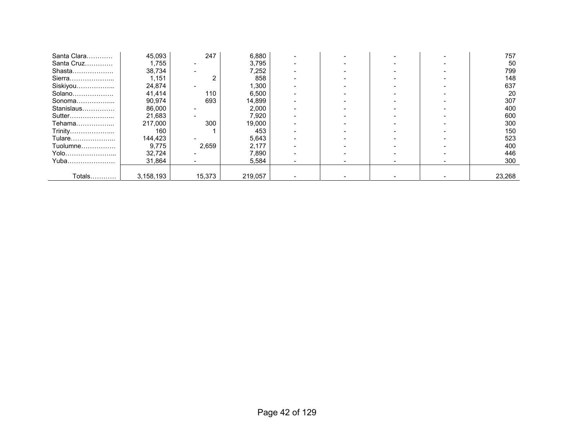| Santa Clara | 45,093    | 247    | 6,880   |  |  | 757    |
|-------------|-----------|--------|---------|--|--|--------|
| Santa Cruz  | 1,755     |        | 3,795   |  |  | 50     |
| Shasta      | 38,734    |        | 7,252   |  |  | 799    |
| Sierra      | 1,151     |        | 858     |  |  | 148    |
| Siskiyou    | 24,874    |        | 1,300   |  |  | 637    |
| Solano      | 41,414    | 110    | 6,500   |  |  | 20     |
| Sonoma      | 90,974    | 693    | 14,899  |  |  | 307    |
| Stanislaus  | 86,000    |        | 2,000   |  |  | 400    |
| Sutter      | 21,683    |        | 7,920   |  |  | 600    |
| Tehama      | 217,000   | 300    | 19,000  |  |  | 300    |
| Trinity     | 160       |        | 453     |  |  | 150    |
| Tulare      | 144,423   |        | 5,643   |  |  | 523    |
| Tuolumne    | 9,775     | 2,659  | 2,177   |  |  | 400    |
| Yolo        | 32.724    |        | 7,890   |  |  | 446    |
| Yuba        | 31,864    |        | 5,584   |  |  | 300    |
|             |           |        |         |  |  |        |
| Totals…………  | 3,158,193 | 15,373 | 219,057 |  |  | 23,268 |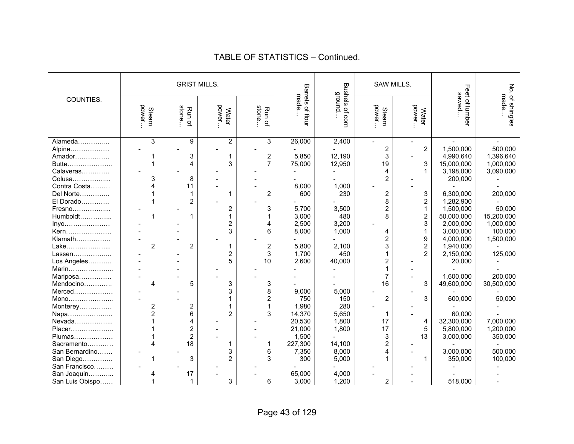|                 |                 |                         | <b>GRIST MILLS.</b>    |                         |                           | <b>Bushels</b>    |                         | SAW MILLS.          |                         |                         |
|-----------------|-----------------|-------------------------|------------------------|-------------------------|---------------------------|-------------------|-------------------------|---------------------|-------------------------|-------------------------|
| COUNTIES.       | power.<br>Steam | stone<br>Run of         | power.<br><b>Water</b> | stone<br>Run of         | Barrels of flour<br>made. | ground.<br>of com | Steam<br>power          | power.<br>Water     | Feet of lumber<br>sawed | No. of shingles<br>made |
| Alameda         | 3               | 9                       | $\overline{2}$         | 3                       | 26,000                    | 2,400             |                         |                     |                         |                         |
| Alpine          |                 |                         |                        |                         |                           |                   | 2                       | $\overline{c}$      | 1,500,000               | 500,000                 |
| Amador          |                 | 3                       | 1                      | $\overline{c}$          | 5,850                     | 12,190            | 3                       |                     | 4,990,640               | 1,396,640               |
| Butte           |                 | 4                       | 3                      | $\overline{7}$          | 75,000                    | 12,950            | 19                      | 3                   | 15,000,000              | 1,000,000               |
| Calaveras       |                 |                         |                        |                         |                           |                   | 4                       | 1                   | 3,198,000               | 3,090,000               |
| Colusa          | 3               | 8                       |                        |                         |                           |                   | $\overline{c}$          |                     | 200,000                 |                         |
| Contra Costa    | 4               | 11                      |                        |                         | 8,000                     | 1,000             |                         |                     |                         |                         |
| Del Norte       |                 |                         |                        | $\overline{2}$          | 600                       | 230               | 2                       | 3                   | 6,300,000               | 200,000                 |
| El Dorado       |                 | $\overline{2}$          |                        |                         |                           |                   | 8                       | $\overline{2}$      | 1,282,900               |                         |
| Fresno          |                 |                         | $\overline{2}$         | 3                       | 5,700                     | 3,500             | $\overline{2}$          | $\mathbf{1}$        | 1,500,000               | 50,000                  |
| Humboldt        |                 | 1                       | 1                      |                         | 3,000                     | 480               | 8                       | $\overline{2}$      | 50,000,000              | 15,200,000              |
|                 |                 |                         | $\overline{c}$         | 4                       | 2,500                     | 3,200             |                         | 3                   | 2,000,000               | 1,000,000               |
| Inyo<br>Kern    |                 |                         | 3                      | 6                       | 8,000                     | 1,000             | 4                       | $\mathbf{1}$        | 3,000,000               | 100,000                 |
| Klamath         |                 |                         |                        |                         |                           |                   | $\overline{2}$          |                     | 4,000,000               |                         |
|                 | $\overline{2}$  | $\overline{2}$          | 1                      | $\overline{\mathbf{c}}$ | 5,800                     | 2,100             | 3                       | 9<br>$\overline{2}$ | 1,940,000               | 1,500,000               |
| Lake            |                 |                         |                        | 3                       | 1,700                     | 450               |                         | $\overline{2}$      | 2,150,000               | 125,000                 |
| Lassen          |                 |                         | $\boldsymbol{2}$<br>5  | 10                      |                           |                   |                         |                     |                         |                         |
| Los Angeles     |                 |                         |                        |                         | 2,600                     | 40,000            | $\overline{\mathbf{c}}$ |                     | 20,000                  |                         |
| Marin           |                 |                         |                        |                         |                           |                   | 1                       |                     |                         |                         |
| Mariposa        |                 |                         |                        |                         |                           |                   | $\overline{7}$          |                     | 1,600,000               | 200,000                 |
| Mendocino       | 4               | 5                       | 3                      | 3                       |                           |                   | 16                      | 3                   | 49,600,000              | 30,500,000              |
| Merced          |                 |                         | 3                      | 8                       | 9,000                     | 5,000             |                         |                     |                         |                         |
| $Mono$          |                 |                         |                        | $\overline{2}$          | 750                       | 150               | 2                       | 3                   | 600,000                 | 50,000                  |
| Monterey        | 2               | 2                       |                        |                         | 1,980                     | 280               |                         |                     |                         |                         |
| Napa            | $\overline{c}$  | 6                       | $\overline{2}$         | 3                       | 14,370                    | 5,650             | 1                       |                     | 60,000                  |                         |
| Nevada          |                 | 4                       |                        |                         | 20,530                    | 1,800             | 17                      | 4                   | 32,300,000              | 7,000,000               |
| Placer          |                 | $\overline{\mathbf{c}}$ |                        |                         | 21,000                    | 1,800             | 17                      | 5                   | 5,800,000               | 1,200,000               |
| Plumas          |                 | $\overline{2}$          |                        |                         | 1,500                     |                   | 3                       | 13                  | 3,000,000               | 350,000                 |
| Sacramento      | 4               | 18                      |                        | 1                       | 227,300                   | 14,100            | $\overline{\mathbf{c}}$ |                     |                         |                         |
| San Bernardino  |                 |                         | 3                      | 6                       | 7,350                     | 8,000             | 4                       |                     | 3,000,000               | 500,000                 |
| San Diego       |                 | 3                       | $\overline{2}$         | 3                       | 300                       | 5,000             |                         | 1                   | 350,000                 | 100,000                 |
| San Francisco   |                 |                         |                        |                         |                           |                   |                         |                     |                         |                         |
| San Joaquin     | 4               | 17                      |                        |                         | 65,000                    | 4,000             |                         |                     |                         |                         |
| San Luis Obispo | 1               | $\mathbf{1}$            | 3                      | 6                       | 3,000                     | 1,200             | $\overline{c}$          |                     | 518,000                 |                         |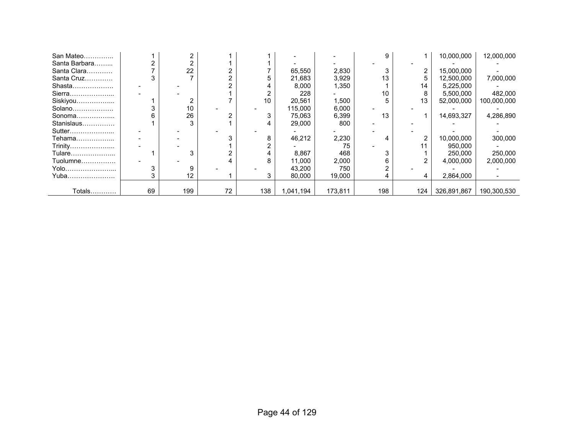| San Mateo     |    |     |    |     |          |         |     |                | 10,000,000  | 12,000,000  |
|---------------|----|-----|----|-----|----------|---------|-----|----------------|-------------|-------------|
| Santa Barbara |    |     |    |     |          |         |     |                |             |             |
| Santa Clara   |    | 22  |    |     | 65,550   | 2,830   |     | 2              | 15,000,000  |             |
| Santa Cruz    |    |     |    |     | 21,683   | 3,929   | 13  |                | 12,500,000  | 7,000,000   |
| Shasta        |    |     |    |     | 8,000    | 1,350   |     | 14             | 5,225,000   |             |
| Sierra        |    |     |    |     | 228      |         | 10  |                | 5,500,000   | 482,000     |
| Siskiyou      |    |     |    | 10  | 20.561   | 1,500   |     | 13             | 52.000.000  | 100,000,000 |
| Solano        |    | 10  |    |     | 115,000  | 6,000   |     |                |             |             |
| Sonoma        |    | 26  |    | 3   | 75,063   | 6,399   | 13  |                | 14,693,327  | 4,286,890   |
| Stanislaus    |    |     |    |     | 29,000   | 800     |     |                |             |             |
| Sutter        |    |     |    |     |          |         |     |                |             |             |
| Tehama        |    |     |    | 8   | 46,212   | 2,230   |     | $\overline{2}$ | 10,000,000  | 300,000     |
| Trinity       |    |     |    |     |          | 75      |     |                | 950.000     |             |
| Tulare        |    |     |    |     | 8,867    | 468     |     |                | 250,000     | 250,000     |
| Tuolumne      |    |     |    | 8   | 11,000   | 2,000   |     |                | 4,000,000   | 2,000,000   |
| Yolo          |    |     |    |     | 43,200   | 750     |     |                |             |             |
| Yuba          |    | 12  |    |     | 80,000   | 19,000  |     | 4              | 2,864,000   |             |
|               |    |     |    |     |          |         |     |                |             |             |
| Totals        | 69 | 199 | 72 | 138 | ,041,194 | 173,811 | 198 | 124            | 326,891,867 | 190,300,530 |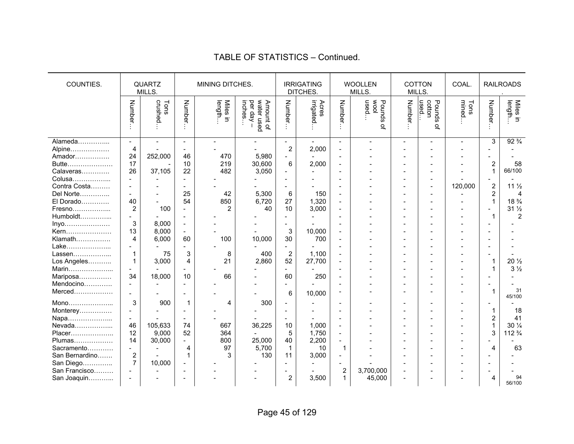#### QUARTZ MILLS. MINING DITCHES. **IRRIGATING** DITCHES. WOOLLEN MILLS. COTTON MILLS. COAL. | RAILROADS . COUNTIES. Number… crushed… Tons Number… length… Miles in inches… per day – Amount of water used Number… irrigated… Acres Number… used… wool Pounds of Number… used… cotton Pounds of mined… Tons Number… length… Miles in Alameda…………... - - - - - - - - - - - - 3 92 ¾  $92\frac{3}{4}$ Alpine……………… | 4 | - | - | - | 2 | 2,000 | - | - | - | - | - | - | -Amador……………. | 24 | 252,000 | 46 | 470 | 5,980 | - | - | - | - | - | - | -Butte………………… 17 - 10 219 30,600 6 2,000 - - - - - 2 58 Calaveras…………. | 26 | 37,105 | 22 | 482 | 3,050 | - | - | - | - | - | - | - | - | 1 | 66/100 Colusa……………... - - - - - - - - - - - - - - Contra Costa……… - - - - - - - - - - - 120,000 2 11 ½ Del Norte………….. - - 25 42 5,300 6 150 - - - - - 2 4 El Dorado…………. | 40 | - | 54 | 850 | 6,720 | 27 | 1,320 | - | - | - | - | - | - | 1 | 18  $\frac{3}{4}$ Fresno………………... | 2 | 100 | - | 2 | 2 | 40 | 10 | 3,000 | - | - | - | - | - | - | - | 31 ½ Humboldt…………... - - - - - - - - - - - - 1 2 Inyo………………… 3 8,000 - - - - - - - - - - - - Kern………………… | 13 | 8,000 | - | - - | - | 3 | 10,000 | - | - - | - | - | - | - | -Klamath……………. | 4 | 6,000 | 60 | 100 | 10,000 | 30 | 700 | - | - - | -Lake………………... - - - - - - - - - - - - - - Lassen………………... | 1 | 75 | 3 | 8 | 400 | 2 | 1,100 | - | - | - | - | - | - | -Los Angeles……….. | 1 | 3,000 | 4 | 21 | 2,860 | 52 | 27,700 | - | - | - | - | - | - | 1 | 20 ½ Marin………………... - - - - - - - - - - - - 1 3 ½ Mariposa…………… | 34 | 18,000 | 10 | 66 | 66 | 60 | 250 | - | - | - | - | - | - | -Mendocino…………. - - - - - - - - - - - - - - Merced……………… | - | - | - | - | - | - | 6 | 10,000 | <sup>-</sup> | - | - | - | - | - | 1 | 3<sup>31</sup> | 45/100 Mono………………... 3 900 1 4 300 - - - - - - - - - Monterey……………  $\begin{vmatrix} - & - & - & - \\ - & - & - & - \end{vmatrix}$  -  $\begin{vmatrix} - & - & - \\ - & - & - \end{vmatrix}$  -  $\begin{vmatrix} - & - & - \\ - & - & - \end{vmatrix}$  -  $\begin{vmatrix} - & - & - \\ - & - & - \end{vmatrix}$  -  $\begin{vmatrix} - & - & - \\ - & - & - \end{vmatrix}$  -  $\begin{vmatrix} 1 & 18 \\ 2 & 41 \end{vmatrix}$ Napa………………... - - - - - - - - - - - - 2 41 Nevada………………... | 46 | 105,633 | 74 | 667 | 36,225 | 10 | 1,000 | - | - - | - | - | - | - | - | 1 | 30 ¼ Placer……………….. 12 9,000 52 364 - 5 1,750 - - - - - 3 112 ¾ Plumas……………… | 14 | 30,000 | - | 800 | 25,000 | 40 | 2,200 | - | - | - | - | - | - | - | -Sacramento………… - - 4 97 5,700 1 10 1 - - - - 4 63 San Bernardino……. | 2 | - | 1 | 3 | 130 | 11 | 3,000 | - | - | - | - | - | - | -San Diego………….. 7 10,000 - - - - - - - - - - - - San Francisco……… - - - - - - - 2 3,700,000 - - - - - San Joaquin………... - - - - - 2 3,500 1 45,000 - - - 4 94 56/100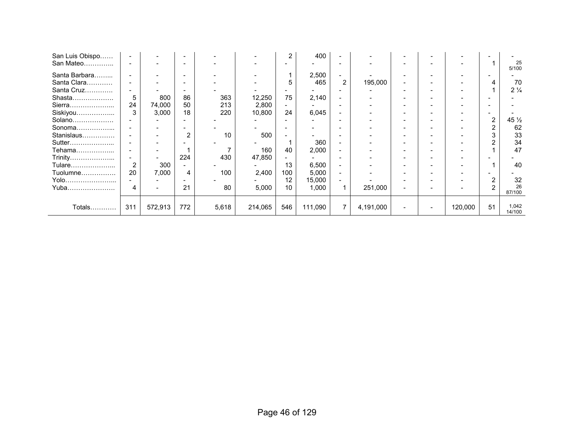| San Luis Obispo |          |         |     |       |         | $\overline{2}$           | 400     |                          |           |  |         |                |                 |
|-----------------|----------|---------|-----|-------|---------|--------------------------|---------|--------------------------|-----------|--|---------|----------------|-----------------|
| San Mateo       |          |         |     |       |         |                          |         |                          |           |  |         |                | 25<br>5/100     |
| Santa Barbara   |          |         |     |       |         |                          | 2,500   |                          |           |  |         |                |                 |
| Santa Clara     |          |         |     |       |         | 5                        | 465     | $\overline{2}$           | 195,000   |  |         |                | 70              |
| Santa Cruz      |          |         |     |       |         |                          |         |                          |           |  |         |                | $2\frac{1}{4}$  |
| Shasta          | 5        | 800     | 86  | 363   | 12,250  | 75                       | 2,140   |                          |           |  |         |                |                 |
| Sierra          | 24       | 74,000  | 50  | 213   | 2,800   | $\overline{\phantom{0}}$ |         |                          |           |  |         |                |                 |
| Siskiyou        | 3        | 3,000   | 18  | 220   | 10,800  | 24                       | 6,045   |                          |           |  |         |                |                 |
| Solano          |          |         |     |       |         |                          |         |                          |           |  |         | $\overline{2}$ | $45\frac{1}{2}$ |
| Sonoma          |          |         |     |       |         | $\overline{\phantom{0}}$ |         |                          |           |  |         |                | 62              |
| Stanislaus      |          |         | 2   | 10    | 500     |                          |         |                          |           |  |         |                | 33              |
| Sutter          |          |         |     |       |         |                          | 360     |                          |           |  |         |                | 34              |
| Tehama          | $\equiv$ |         |     |       | 160     | 40                       | 2,000   |                          |           |  |         |                | 47              |
| Trinity         |          |         | 224 | 430   | 47,850  |                          |         |                          |           |  |         |                |                 |
| Tulare          | 2        | 300     |     |       |         | 13                       | 6,500   |                          |           |  |         |                | 40              |
| Tuolumne        | 20       | 7,000   | 4   | 100   | 2,400   | 100                      | 5,000   | $\overline{\phantom{0}}$ |           |  |         |                |                 |
| Yolo            |          |         |     |       |         | 12                       | 15,000  |                          |           |  |         |                | 32              |
| Yuba            |          |         | 21  | 80    | 5,000   | 10                       | 1,000   |                          | 251,000   |  |         | 2              | 26<br>87/100    |
| Totals          | 311      | 572,913 | 772 | 5,618 | 214,065 | 546                      | 111,090 | 7                        | 4,191,000 |  | 120,000 | 51             | 1,042<br>14/100 |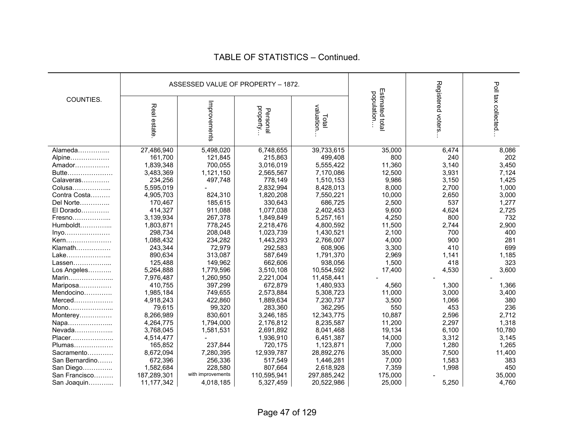|                |             |                   | ASSESSED VALUE OF PROPERTY - 1872. |                    |                                |                   |                    |
|----------------|-------------|-------------------|------------------------------------|--------------------|--------------------------------|-------------------|--------------------|
| COUNTIES.      | Real estate | Improvements      | property<br>Personal               | valuation<br>Total | Estimated total<br>population. | Registered voters | Poll tax collected |
| Alameda        | 27,486,940  | 5,498,020         | 6,748,655                          | 39,733,615         | 35,000                         | 6,474             | 8,086              |
| Alpine         | 161,700     | 121,845           | 215,863                            | 499,408            | 800                            | 240               | 202                |
| Amador         | 1,839,348   | 700,055           | 3,016,019                          | 5,555,422          | 11,360                         | 3,140             | 3,450              |
| Butte          | 3,483,369   | 1,121,150         | 2,565,567                          | 7,170,086          | 12,500                         | 3,931             | 7,124              |
| Calaveras      | 234,256     | 497,748           | 778,149                            | 1,510,153          | 9,986                          | 3,150             | 1,425              |
| Colusa         | 5,595,019   |                   | 2,832,994                          | 8,428,013          | 8,000                          | 2,700             | 1,000              |
| Contra Costa   | 4,905,703   | 824,310           | 1,820,208                          | 7,550,221          | 10,000                         | 2,650             | 3,000              |
| Del Norte      | 170,467     | 185,615           | 330.643                            | 686,725            | 2,500                          | 537               | 1,277              |
| El Dorado      | 414,327     | 911,088           | 1,077,038                          | 2,402,453          | 9,600                          | 4,624             | 2,725              |
| Fresno         | 3,139,934   | 267,378           | 1,849,849                          | 5,257,161          | 4,250                          | 800               | 732                |
| $Humboldt$     | 1,803,871   | 778,245           | 2,218,476                          | 4,800,592          | 11,500                         | 2,744             | 2,900              |
| Inyo           | 298,734     | 208,048           | 1,023,739                          | 1,430,521          | 2,100                          | 700               | 400                |
| Kern           | 1,088,432   | 234,282           | 1,443,293                          | 2,766,007          | 4,000                          | 900               | 281                |
| Klamath        | 243,344     | 72,979            | 292,583                            | 608,906            | 3,300                          | 410               | 699                |
| Lake           | 890,634     | 313,087           | 587,649                            | 1,791,370          | 2,969                          | 1,141             | 1,185              |
| Lassen         | 125,488     | 149,962           | 662,606                            | 938,056            | 1,500                          | 418               | 323                |
| Los Angeles    | 5,264,888   | 1,779,596         | 3,510,108                          | 10,554,592         | 17,400                         | 4,530             | 3,600              |
| Marin          | 7,976,487   | 1,260,950         | 2,221,004                          | 11,458,441         |                                |                   |                    |
| Mariposa       | 410,755     | 397,299           | 672,879                            | 1,480,933          | 4,560                          | 1,300             | 1,366              |
| Mendocino      | 1,985,184   | 749,655           | 2,573,884                          | 5,308,723          | 11,000                         | 3,000             | 3,400              |
| $Merced$       | 4,918,243   | 422.860           | 1,889,634                          | 7,230,737          | 3,500                          | 1,066             | 380                |
| Mono           | 79,615      | 99,320            | 283,360                            | 362,295            | 550                            | 453               | 236                |
| Monterey       | 8,266,989   | 830,601           | 3,246,185                          | 12,343,775         | 10,887                         | 2,596             | 2,712              |
| Napa           | 4,264,775   | 1,794,000         | 2,176,812                          | 8,235,587          | 11,200                         | 2,297             | 1,318              |
| Nevada         | 3,768,045   | 1,581,531         | 2,691,892                          | 8,041,468          | 19,134                         | 6,100             | 10,780             |
| Placer         | 4,514,477   |                   | 1,936,910                          | 6,451,387          | 14,000                         | 3,312             | 3,145              |
| Plumas         | 165,852     | 237,844           | 720,175                            | 1,123,871          | 7,000                          | 1,280             | 1,265              |
| Sacramento     | 8,672,094   | 7,280,395         | 12,939,787                         | 28,892,276         | 35,000                         | 7,500             | 11,400             |
| San Bernardino | 672,396     | 256,336           | 517,549                            | 1,446,281          | 7,000                          | 1,583             | 383                |
| San Diego      | 1,582,684   | 228,580           | 807,664                            | 2,618,928          | 7,359                          | 1,998             | 450                |
| San Francisco  | 187,289,301 | with improvements | 110,595,941                        | 297,885,242        | 175,000                        |                   | 35,000             |
| San Joaquin    | 11,177,342  | 4,018,185         | 5,327,459                          | 20,522,986         | 25,000                         | 5,250             | 4,760              |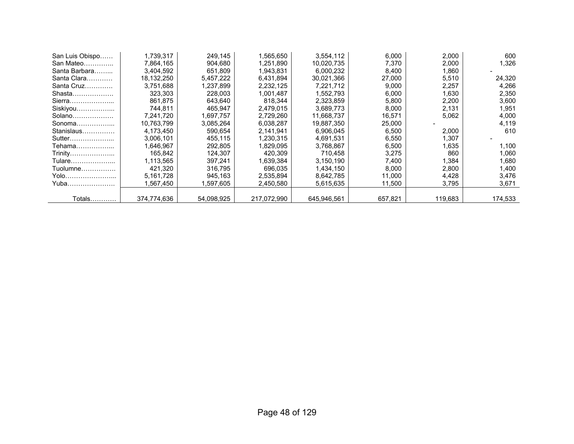| San Luis Obispo | 1,739,317   | 249,145    | 1,565,650   | 3,554,112   | 6,000   | 2,000   | 600     |
|-----------------|-------------|------------|-------------|-------------|---------|---------|---------|
| San Mateo       | 7,864,165   | 904.680    | 1,251,890   | 10,020,735  | 7.370   | 2,000   | 1,326   |
| Santa Barbara   | 3,404,592   | 651,809    | 1,943,831   | 6,000,232   | 8,400   | 1,860   |         |
| Santa Clara     | 18,132,250  | 5,457,222  | 6,431,894   | 30,021,366  | 27,000  | 5,510   | 24,320  |
| Santa Cruz      | 3,751,688   | 1,237,899  | 2,232,125   | 7,221,712   | 9,000   | 2,257   | 4,266   |
| Shasta          | 323,303     | 228,003    | 1,001,487   | 1,552,793   | 6,000   | 1.630   | 2,350   |
| Sierra          | 861.875     | 643.640    | 818.344     | 2,323,859   | 5,800   | 2,200   | 3,600   |
| Siskiyou        | 744,811     | 465,947    | 2,479,015   | 3,689,773   | 8,000   | 2,131   | 1,951   |
| Solano          | 7,241,720   | 1,697,757  | 2,729,260   | 11,668,737  | 16,571  | 5,062   | 4,000   |
| Sonoma          | 10,763,799  | 3,085,264  | 6,038,287   | 19,887,350  | 25,000  |         | 4,119   |
| Stanislaus      | 4,173,450   | 590.654    | 2,141,941   | 6,906,045   | 6,500   | 2,000   | 610     |
| Sutter          | 3,006,101   | 455,115    | 1,230,315   | 4,691,531   | 6,550   | 1,307   |         |
| Tehama          | 1,646,967   | 292,805    | 1,829,095   | 3,768,867   | 6,500   | 1.635   | 1,100   |
| Trinity         | 165.842     | 124.307    | 420.309     | 710.458     | 3,275   | 860     | 1.060   |
| Tulare…………………   | 1,113,565   | 397,241    | 1,639,384   | 3,150,190   | 7,400   | 1,384   | 1,680   |
| Tuolumne        | 421,320     | 316,795    | 696,035     | 1,434,150   | 8,000   | 2,800   | 1,400   |
| Yolo            | 5,161,728   | 945,163    | 2,535,894   | 8,642,785   | 11,000  | 4,428   | 3,476   |
| Yuba            | 1,567,450   | .597,605   | 2,450,580   | 5,615,635   | 11,500  | 3,795   | 3,671   |
|                 |             |            |             |             |         |         |         |
| Totals          | 374.774.636 | 54.098.925 | 217.072.990 | 645.946.561 | 657,821 | 119.683 | 174,533 |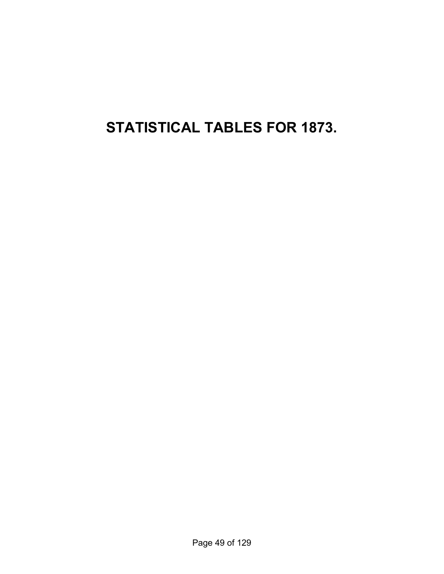**STATISTICAL TABLES FOR 1873.**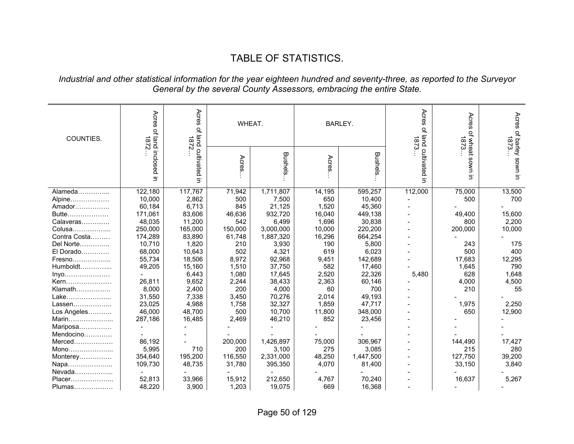# TABLE OF STATISTICS.

#### *Industrial and other statistical information for the year eighteen hundred and seventy-three, as reported to the Surveyor General by the several County Assessors, embracing the entire State.*

| COUNTIES.    | Acres<br>Acres<br>$\vec{\sigma}$<br>jand<br><b>1872</b><br>1872 |                         | WHEAT.  |           |        | <b>BARLEY.</b> | Acres<br>$\vec{\sigma}$<br>1873 | Acres<br>of wheat<br>1873 | 1873                    |
|--------------|-----------------------------------------------------------------|-------------------------|---------|-----------|--------|----------------|---------------------------------|---------------------------|-------------------------|
|              | of land inclosed<br>$\overline{5}$                              | cultivated<br>$\exists$ | Acres   | Bushels   | Acres  | <b>Bushels</b> | land cultivated<br>Ξ.           | uwos<br>Ξ.                | Acres of barley sown in |
| Alameda      | 122,180                                                         | 117,767                 | 71,942  | 1,711,807 | 14,195 | 595,257        | 112,000                         | 75,000                    | 13,500                  |
| Alpine       | 10,000                                                          | 2,862                   | 500     | 7,500     | 650    | 10,400         |                                 | 500                       | 700                     |
| Amador       | 60,184                                                          | 6,713                   | 845     | 21,125    | 1,520  | 45,360         |                                 |                           |                         |
| Butte        | 171,061                                                         | 83,606                  | 46,636  | 932,720   | 16,040 | 449,138        |                                 | 49,400                    | 15,600                  |
| Calaveras    | 48,035                                                          | 11,200                  | 542     | 6,499     | 1,696  | 30,838         |                                 | 800                       | 2,200                   |
| Colusa       | 250,000                                                         | 165,000                 | 150,000 | 3,000,000 | 10,000 | 220,200        |                                 | 200,000                   | 10,000                  |
| Contra Costa | 174,289                                                         | 83,890                  | 61,748  | 1,887,320 | 16,296 | 664,254        |                                 |                           |                         |
| Del Norte    | 10,710                                                          | 1,820                   | 210     | 3,930     | 190    | 5,800          |                                 | 243                       | 175                     |
| El Dorado    | 68,000                                                          | 10,643                  | 502     | 4,321     | 619    | 6,023          |                                 | 500                       | 400                     |
| Fresno       | 55,734                                                          | 18,506                  | 8,972   | 92,968    | 9,451  | 142,689        |                                 | 17,683                    | 12,295                  |
| Humboldt     | 49,205                                                          | 15,160                  | 1,510   | 37,750    | 582    | 17,460         |                                 | 1,645                     | 790                     |
| Inyo         |                                                                 | 6,443                   | 1,080   | 17,645    | 2,520  | 22,326         | 5,480                           | 628                       | 1,648                   |
| Kern         | 26,811                                                          | 9,652                   | 2,244   | 38,433    | 2,363  | 60,146         |                                 | 4,000                     | 4,500                   |
| Klamath      | 8,000                                                           | 2,400                   | 200     | 4,000     | 60     | 700            |                                 | 210                       | 55                      |
| Lake         | 31,550                                                          | 7,338                   | 3,450   | 70,276    | 2,014  | 49,193         |                                 |                           |                         |
| Lassen       | 23,025                                                          | 4,988                   | 1,758   | 32,327    | 1,859  | 47,717         |                                 | 1,975                     | 2,250                   |
| Los Angeles  | 46,000                                                          | 48,700                  | 500     | 10,700    | 11,800 | 348,000        |                                 | 650                       | 12,900                  |
| Marin        | 287,186                                                         | 16,485                  | 2.469   | 46,210    | 852    | 23,456         |                                 |                           |                         |
| Mariposa     |                                                                 |                         |         |           |        |                |                                 |                           |                         |
| Mendocino    |                                                                 |                         |         |           |        |                |                                 |                           |                         |
| $Merced$     | 86,192                                                          |                         | 200,000 | 1,426,897 | 75,000 | 306,967        |                                 | 144,490                   | 17,427                  |
| Mono         | 5,995                                                           | 710                     | 200     | 3,100     | 275    | 3,085          |                                 | 215                       | 280                     |
| Monterey     | 354,640                                                         | 195,200                 | 116,550 | 2,331,000 | 48,250 | 1,447,500      |                                 | 127,750                   | 39,200                  |
| Napa         | 109,730                                                         | 48,735                  | 31,780  | 395,350   | 4,070  | 81,400         |                                 | 33,150                    | 3,840                   |
| Nevada       |                                                                 |                         |         |           |        |                |                                 |                           |                         |
| Placer       | 52,813                                                          | 33,966                  | 15,912  | 212,650   | 4,767  | 70,240         |                                 | 16,637                    | 5,267                   |
| Plumas       | 48,220                                                          | 3,900                   | 1,203   | 19,075    | 669    | 16,368         |                                 |                           |                         |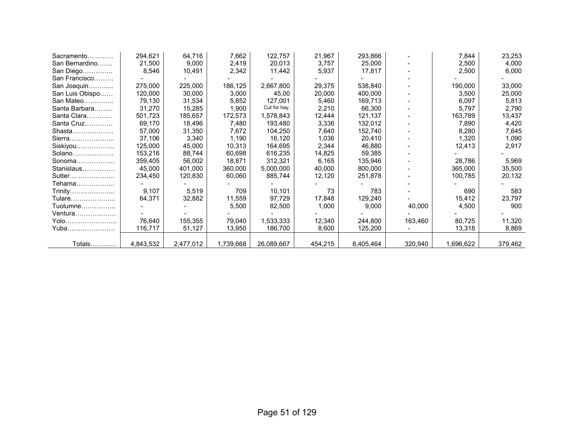| Sacramento      | 294,621   | 64,716    | 7,662     | 122,757      | 21,967  | 293,866   |         | 7,844     | 23,253  |
|-----------------|-----------|-----------|-----------|--------------|---------|-----------|---------|-----------|---------|
| San Bernardino  | 21,500    | 9,000     | 2,419     | 20,013       | 3,757   | 25,000    |         | 2,500     | 4,000   |
| San Diego       | 8,546     | 10,491    | 2,342     | 11,442       | 5,937   | 17,817    |         | 2,500     | 6,000   |
| San Francisco   |           |           |           |              |         |           |         |           |         |
| San Joaquin     | 275,000   | 225,000   | 186,125   | 2,667,800    | 29,375  | 538,840   |         | 190,000   | 33,000  |
| San Luis Obispo | 120,000   | 30,000    | 3,000     | 45,00        | 20,000  | 400,000   |         | 3,500     | 25,000  |
| San Mateo       | 79,130    | 31,534    | 5,852     | 127,001      | 5,460   | 169,713   |         | 6,097     | 5,813   |
| Santa Barbara   | 31,270    | 15,285    | 1,900     | Cut for hay. | 2,210   | 66,300    |         | 5,797     | 2,790   |
| Santa Clara     | 501,723   | 185,657   | 172,573   | 1,578,843    | 12,444  | 121,137   |         | 163,789   | 13,437  |
| Santa Cruz      | 69,170    | 18,496    | 7,480     | 193,480      | 3,336   | 132,012   |         | 7,890     | 4,420   |
| Shasta          | 57,000    | 31,350    | 7,672     | 104,250      | 7,640   | 152,740   |         | 8,280     | 7,645   |
| Sierra          | 37,106    | 3,340     | 1,190     | 16,120       | 1,036   | 20,410    |         | 1,320     | 1,090   |
| Siskiyou        | 125,000   | 45,000    | 10,313    | 164,695      | 2,344   | 46,880    |         | 12,413    | 2,917   |
| Solano          | 153,216   | 88,744    | 60,698    | 616,235      | 14,825  | 59,385    |         |           |         |
| Sonoma          | 359.405   | 56,002    | 18,871    | 312,321      | 6,165   | 135,946   |         | 28,786    | 5,969   |
| Stanislaus      | 45,000    | 401,000   | 360,000   | 5,000,000    | 40,000  | 800,000   |         | 365,000   | 35,500  |
| Sutter          | 234,450   | 120,830   | 60,060    | 885,744      | 12,120  | 251,878   |         | 100,785   | 20,132  |
| Tehama          |           |           |           |              |         |           |         |           |         |
| Trinity         | 9,107     | 5,519     | 709       | 10,101       | 73      | 783       |         | 690       | 583     |
| Tulare          | 64,371    | 32,882    | 11,559    | 97,729       | 17,848  | 129,240   |         | 15,412    | 23,797  |
| $Tuolumne$      |           |           | 5,500     | 82,500       | 1,000   | 9,000     | 40,000  | 4,500     | 900     |
| Ventura         |           |           |           |              |         |           |         |           |         |
| Yolo            | 76,640    | 155,355   | 79,040    | 1,533,333    | 12,340  | 244,800   | 163,460 | 80,725    | 11,320  |
| Yuba            | 116,717   | 51,127    | 13,950    | 186,700      | 8,600   | 125,200   |         | 13,318    | 8,869   |
|                 |           |           |           |              |         |           |         |           |         |
| Totals          | 4,843,532 | 2,477,012 | 1,739,668 | 26,089,667   | 454,215 | 8,405,464 | 320,940 | 1,696,622 | 379,462 |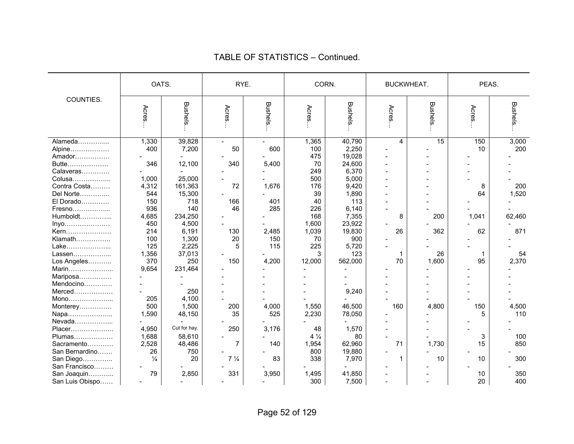|                 | OATS.         |                | RYE.           |         | CORN.          |                 | <b>BUCKWHEAT.</b> |         | PEAS. |                |
|-----------------|---------------|----------------|----------------|---------|----------------|-----------------|-------------------|---------|-------|----------------|
| COUNTIES.       | Acres         | <b>Bushels</b> | Acres          | Bushels | Acres          | <b>Bushels.</b> | Acres             | Bushels | Acres | <b>Bushels</b> |
| Alameda         | 1,330         | 39,828         |                |         | 1,365          | 40,790          | 4                 | 15      | 150   | 3,000          |
| Alpine          | 400           | 7,200          | 50             | 600     | 100            | 2,250           |                   |         | 10    | 200            |
| Amador          |               |                |                |         | 475            | 19,028          |                   |         |       |                |
| Butte           | 346           | 12,100         | 340            | 5,400   | 70             | 24,600          |                   |         |       |                |
| Calaveras       |               |                |                |         | 249            | 6,370           |                   |         |       |                |
| Colusa          | 1,000         | 25,000         |                |         | 500            | 5,000           |                   |         |       |                |
| Contra Costa    | 4,312         | 161,363        | 72             | 1,676   | 176            | 9,420           |                   |         | 8     | 200            |
| Del Norte       | 544           | 15,300         |                |         | 39             | 1,890           |                   |         | 64    | 1,520          |
| El Dorado       | 150           | 718            | 166            | 401     | 40             | 113             |                   |         |       |                |
| Fresno          | 936           | 140            | 46             | 285     | 226            | 6,140           |                   |         |       |                |
| Humboldt        | 4,685         | 234,250        |                |         | 168            | 7,355           | 8                 | 200     | 1,041 | 62,460         |
| Inyo            | 450           | 4,500          |                |         | 1,600          | 23,922          |                   |         |       |                |
| Kern            | 214           | 6,191          | 130            | 2,485   | 1,039          | 19,830          | 26                | 362     | 62    | 871            |
| Klamath         | 100           | 1,300          | 20             | 150     | 70             | 900             |                   |         |       |                |
| Lake            | 125           | 2,225          | 5              | 115     | 225            | 5,720           |                   |         |       |                |
| Lassen          | 1,356         | 37,013         |                |         | 3              | 123             | 1                 | 26      | -1    | 54             |
| Los Angeles     | 370           | 250            | 150            | 4,200   | 12,000         | 562,000         | 70                | 1,600   | 95    | 2,370          |
| Marin           | 9,654         | 231,464        |                |         |                |                 |                   |         |       |                |
| Mariposa        |               |                |                |         |                |                 |                   |         |       |                |
| Mendocino       |               |                |                |         |                |                 |                   |         |       |                |
| Merced          |               | 250            |                |         |                | 9,240           |                   |         |       |                |
| Mono            | 205           | 4,100          |                |         |                |                 |                   |         |       |                |
| Monterey        | 500           | 1,500          | 200            | 4,000   | 1,550          | 46,500          | 160               | 4,800   | 150   | 4,500          |
| Napa            | 1,590         | 48,150         | 35             | 525     | 2,230          | 78,050          |                   |         | 5     | 110            |
| Nevada          |               |                |                |         |                |                 |                   |         |       |                |
| Placer          | 4,950         | Cut for hay.   | 250            | 3,176   | 48             | 1,570           |                   |         |       |                |
| Plumas          | 1,688         | 58,610         |                |         | $4\frac{1}{4}$ | 80              |                   |         | 3     | 100            |
| Sacramento      | 2,528         | 48,486         | $\overline{7}$ | 140     | 1,954          | 62,960          | 71                | 1,730   | 15    | 850            |
| San Bernardino  | 26            | 750            |                |         | 800            | 19,880          |                   |         |       |                |
| San Diego       | $\frac{1}{4}$ | 20             | $7\frac{1}{4}$ | 83      | 338            | 7,970           | 1                 | 10      | 10    | 300            |
| San Francisco   |               |                |                |         |                |                 |                   |         |       |                |
| San Joaquin     | 79            | 2,850          | 331            | 3,950   | 1,495          | 41,850          |                   |         | 10    | 350            |
| San Luis Obispo |               |                |                |         | 300            | 7,500           |                   |         | 20    | 400            |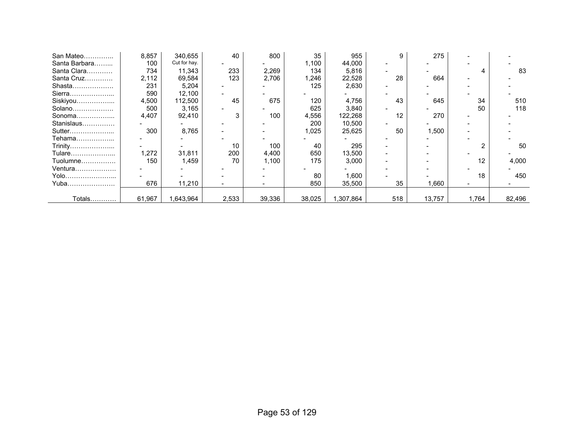| San Mateo     | 8,857  | 340,655      | 40    | 800    | 35     | 955       | 9   | 275    |                   |        |
|---------------|--------|--------------|-------|--------|--------|-----------|-----|--------|-------------------|--------|
| Santa Barbara | 100    | Cut for hay. |       |        | 1,100  | 44,000    |     |        |                   |        |
| Santa Clara   | 734    | 11,343       | 233   | 2,269  | 134    | 5,816     |     |        |                   | 83     |
| Santa Cruz    | 2,112  | 69,584       | 123   | 2,706  | 1,246  | 22,528    | 28  | 664    |                   |        |
| Shasta        | 231    | 5,204        |       |        | 125    | 2,630     |     |        |                   |        |
| Sierra        | 590    | 12,100       |       |        |        |           |     |        |                   |        |
| Siskiyou      | 4,500  | 112,500      | 45    | 675    | 120    | 4,756     | 43  | 645    | 34                | 510    |
| Solano        | 500    | 3,165        |       |        | 625    | 3,840     |     |        | 50                | 118    |
| Sonoma        | 4,407  | 92,410       |       | 100    | 4,556  | 122,268   | 12  | 270    |                   |        |
| Stanislaus    |        |              |       |        | 200    | 10,500    |     |        |                   |        |
| Sutter        | 300    | 8,765        |       |        | 1,025  | 25,625    | 50  | 1,500  |                   |        |
| Tehama        |        |              |       |        |        |           |     |        |                   |        |
| Trinity       |        |              | 10    | 100    | 40     | 295       |     |        |                   | 50     |
| Tulare        | 1,272  | 31,811       | 200   | 4,400  | 650    | 13,500    |     |        |                   |        |
| Tuolumne      | 150    | 1,459        | 70    | 1,100  | 175    | 3,000     |     |        | $12 \overline{ }$ | 4,000  |
| Ventura       |        |              |       |        |        |           |     |        |                   |        |
|               |        |              |       |        | 80     | 1,600     |     |        | 18                | 450    |
| Yuba          | 676    | 11,210       |       |        | 850    | 35,500    | 35  | 1,660  |                   |        |
|               |        |              |       |        |        |           |     |        |                   |        |
| Totals        | 61,967 | 1,643,964    | 2,533 | 39,336 | 38,025 | 1,307,864 | 518 | 13,757 | 1.764             | 82,496 |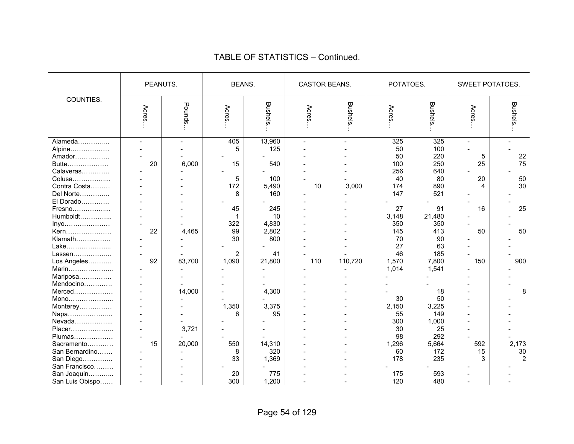|                                                                                          | PEANUTS.     |                 | <b>BEANS.</b>                   |                                             | CASTOR BEANS.        |                                   | POTATOES.                                         |                                                     | SWEET POTATOES.                      |                                   |
|------------------------------------------------------------------------------------------|--------------|-----------------|---------------------------------|---------------------------------------------|----------------------|-----------------------------------|---------------------------------------------------|-----------------------------------------------------|--------------------------------------|-----------------------------------|
| COUNTIES.                                                                                | Acres        | Pounds          | Acres.                          | <b>Bushels</b>                              | Acres                | <b>Bushels</b>                    | Acres                                             | <b>Bushels</b>                                      | Acres.                               | <b>Bushels</b>                    |
| Alameda<br>Alpine<br>Amador<br>Butte<br>Calaveras<br>Colusa<br>Contra Costa<br>Del Norte | $\sim$<br>20 | 6,000           | 405<br>5<br>15<br>5<br>172<br>8 | 13,960<br>125<br>540<br>100<br>5,490<br>160 | $\overline{a}$<br>10 | $\overline{\phantom{a}}$<br>3,000 | 325<br>50<br>50<br>100<br>256<br>40<br>174<br>147 | 325<br>100<br>220<br>250<br>640<br>80<br>890<br>521 | $\overline{a}$<br>5<br>25<br>20<br>4 | 22<br>75<br>50<br>30              |
| El Dorado<br>Fresno<br>Humboldt<br>Inyo<br>Kern<br>Klamath                               | 22           | 4,465           | 45<br>1<br>322<br>99<br>30      | 245<br>10<br>4,830<br>2,802<br>800          |                      |                                   | 27<br>3,148<br>350<br>145<br>70                   | 91<br>21,480<br>350<br>413<br>90                    | 16<br>50                             | 25<br>50                          |
| Lake<br>Lassen<br>Los Angeles<br>Marin<br>Mariposa                                       | 92           | 83,700          | 2<br>1,090                      | 41<br>21,800                                | 110                  | 110,720                           | 27<br>46<br>1,570<br>1,014                        | 63<br>185<br>7,800<br>1,541                         | 150                                  | 900                               |
| Mendocino<br>Merced<br>Mono<br>Monterey<br>Napa                                          |              | 14,000          | 1,350<br>6                      | 4,300<br>3,375<br>95                        |                      |                                   | 30<br>2,150<br>55                                 | 18<br>50<br>3,225<br>149                            |                                      | 8                                 |
| Nevada<br>Placer<br>Plumas<br>Sacramento<br>San Bernardino<br>San Diego                  | 15           | 3,721<br>20,000 | 550<br>8<br>33                  | 14,310<br>320<br>1,369                      |                      |                                   | 300<br>30<br>98<br>1,296<br>60<br>178             | 1,000<br>25<br>292<br>5,664<br>172<br>235           | 592<br>15<br>3                       | 2,173<br>$30\,$<br>$\overline{2}$ |
| San Francisco<br>San Joaquin<br>San Luis Obispo                                          |              | ۳               | 20<br>300                       | 775<br>1,200                                | $\sim$               |                                   | 175<br>120                                        | 593<br>480                                          |                                      |                                   |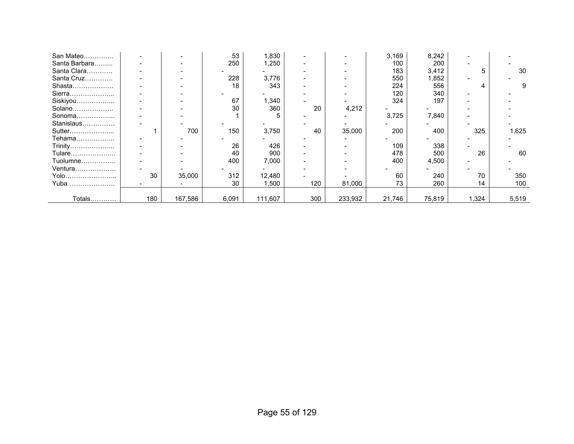| San Mateo     |     |         | 53    | 1,830   |     |         | 3,169  | 8,242  |       |       |
|---------------|-----|---------|-------|---------|-----|---------|--------|--------|-------|-------|
| Santa Barbara |     |         | 250   | 1,250   |     |         | 100    | 200    |       |       |
| Santa Clara   |     |         |       |         |     |         | 183    | 3,412  |       | 30    |
| Santa Cruz    |     |         | 228   | 3,776   |     |         | 550    | 1,852  |       |       |
| Shasta        |     |         | 18    | 343     |     |         | 224    | 556    |       |       |
| Sierra        |     |         |       |         |     |         | 120    | 340    |       |       |
| Siskiyou      |     |         | 67    | 340. ا  |     |         | 324    | 197    |       |       |
| Solano        |     |         | 30    | 360     | 20  | 4,212   |        |        |       |       |
| Sonoma        |     |         |       | 5       |     |         | 3,725  | 7,840  |       |       |
| Stanislaus    |     |         |       |         |     |         |        |        |       |       |
| Sutter        |     | 700     | 150   | 3,750   | 40  | 35,000  | 200    | 400    | 325   | 1,625 |
| Tehama        |     |         |       |         |     |         |        |        |       |       |
| Trinity       |     |         | 26    | 426     |     |         | 109    | 338    |       |       |
| Tulare        |     |         | 40    | 900     |     |         | 478    | 500    | 26    | 60    |
| Tuolumne      |     |         | 400   | 7,000   |     |         | 400    | 4,500  |       |       |
| Ventura       |     |         |       |         |     |         |        |        |       |       |
| Yolo          | 30  | 35,000  | 312   | 12,480  |     |         | 60     | 240    | 70    | 350   |
| Yuba          |     |         | 30    | 1,500   | 120 | 81,000  | 73     | 260    | 14    | 100   |
|               |     |         |       |         |     |         |        |        |       |       |
| Totals        | 180 | 167,586 | 6,091 | 111,607 | 300 | 233,932 | 21,746 | 75,819 | 1,324 | 5,519 |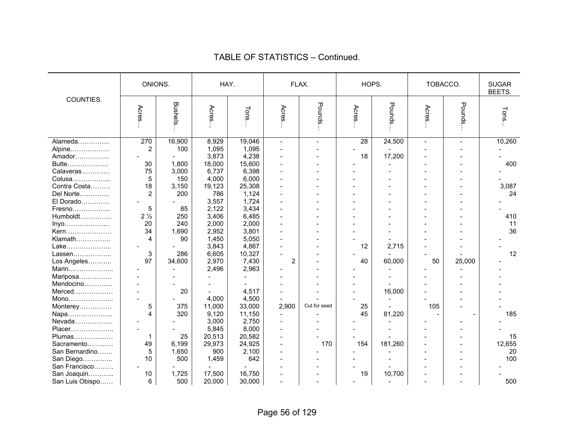|                 | ONIONS.        |                 | HAY.   |        |                | FLAX.        | HOPS. |         | TOBACCO. |                | <b>SUGAR</b><br>BEETS. |
|-----------------|----------------|-----------------|--------|--------|----------------|--------------|-------|---------|----------|----------------|------------------------|
| COUNTIES.       | Acres          | <b>Bushels.</b> | Acres  | Tons   | Acres          | Pounds       | Acres | Pounds. | Acres    | Pounds         | Tons.                  |
| Alameda         | 270            | 16,900          | 8,929  | 19,046 | $\sim$         |              | 28    | 24,500  |          | $\overline{a}$ | 10,260                 |
| Alpine          | $\overline{2}$ | 100             | 1,095  | 1,095  |                |              |       |         |          |                |                        |
| Amador          |                |                 | 3,873  | 4,238  |                |              | 18    | 17,200  |          |                |                        |
| Butte           | 30             | 1,800           | 18,000 | 15,600 |                |              |       |         |          |                | 400                    |
| Calaveras       | 75             | 3,000           | 6,737  | 6,398  |                |              |       |         |          |                |                        |
| Colusa          | 5              | 150             | 4,000  | 6,000  |                |              |       |         |          |                |                        |
| Contra Costa    | 18             | 3,150           | 19,123 | 25,308 |                |              |       |         |          |                | 3,087                  |
| Del Norte       | 2              | 200             | 786    | 1,124  |                |              |       |         |          |                | 24                     |
| El Dorado       |                |                 | 3,557  | 1,724  |                |              |       |         |          |                |                        |
| Fresno          | 5              | 85              | 2,122  | 3,434  |                |              |       |         |          |                |                        |
| Humboldt        | 2 <sub>2</sub> | 250             | 3,406  | 6,485  |                |              |       |         |          |                | 410                    |
| Inyo            | 20             | 240             | 2,000  | 2,000  |                |              |       |         |          |                | 11                     |
| Kern            | 34             | 1,690           | 2,952  | 3,801  |                |              |       |         |          |                | 36                     |
| Klamath         | 4              | 90              | 1,450  | 5,050  |                |              |       |         |          |                |                        |
| Lake            |                |                 | 3,843  | 4,867  |                |              | 12    | 2,715   |          |                |                        |
| Lassen          | 3              | 286             | 6,605  | 10,327 |                |              |       |         |          |                | 12                     |
| Los Angeles     | 97             | 34,600          | 2,970  | 7,430  | 2              |              | 40    | 60,000  | 50       | 25,000         |                        |
| Marin           |                |                 | 2,496  | 2,963  |                |              |       |         |          |                |                        |
| Mariposa        |                |                 |        |        |                |              |       |         |          |                |                        |
| Mendocino       |                |                 |        |        |                |              |       |         |          |                |                        |
| Merced          |                | 20              |        | 4,517  |                |              |       | 16,000  |          |                |                        |
| Mono            |                |                 | 4,000  | 4,500  |                |              |       |         |          |                |                        |
| Monterey        | 5              | 375             | 11,000 | 33,000 | 2,900          | Cut for seed | 25    |         | 105      |                |                        |
| Napa            | 4              | 320             | 9,120  | 11,150 |                |              | 45    | 81,220  |          |                | 185                    |
| Nevada          |                |                 | 3,000  | 2,750  |                |              |       |         |          |                |                        |
| Placer          |                |                 | 5,845  | 8,000  |                |              |       |         |          |                |                        |
| Plumas          | 1              | 25              | 20,513 | 20,582 |                |              |       |         |          |                | 15                     |
| Sacramento      | 49             | 6,199           | 29,973 | 24,925 |                | 170          | 154   | 181,260 |          |                | 12,655                 |
| San Bernardino  | 5              | 1,650           | 900    | 2,100  | $\overline{a}$ |              |       |         |          |                | 20                     |
| San Diego       | 10             | 500             | 1,459  | 642    |                |              |       |         |          |                | 100                    |
| San Francisco   |                |                 |        |        |                |              |       |         |          |                |                        |
| San Joaquin     | 10             | 1,725           | 17,500 | 16,750 |                |              | 19    | 10,700  |          |                |                        |
| San Luis Obispo | 6              | 500             | 20,000 | 30,000 |                |              |       |         |          |                | 500                    |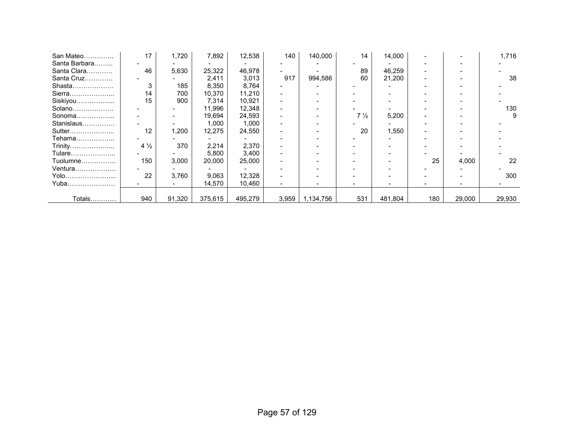| San Mateo     | 17             | 1,720  | 7,892   | 12,538  | 140   | 140,000   | 14                            | 14,000  |     |        | 1,716  |
|---------------|----------------|--------|---------|---------|-------|-----------|-------------------------------|---------|-----|--------|--------|
| Santa Barbara |                |        |         |         |       |           |                               |         |     |        |        |
| Santa Clara   | 46             | 5,630  | 25,322  | 46,978  |       |           | 89                            | 46,259  |     |        |        |
| Santa Cruz    |                |        | 2,411   | 3,013   | 917   | 994,586   | 60                            | 21,200  |     |        | 38     |
| Shasta        | 3              | 185    | 8,350   | 8,764   |       |           |                               |         |     |        |        |
| Sierra        | 14             | 700    | 10,370  | 11,210  |       |           |                               |         |     |        |        |
| Siskiyou      | 15             | 900    | 7,314   | 10.921  |       |           |                               |         |     |        |        |
| Solano        |                |        | 11,996  | 12,348  |       |           |                               |         |     |        | 130    |
| Sonoma        |                |        | 19,694  | 24,593  |       |           | 7 <sup>1</sup> / <sub>2</sub> | 5,200   |     |        | 9      |
| Stanislaus    |                |        | 1,000   | 1,000   |       |           |                               |         |     |        |        |
| Sutter        | 12             | 1,200  | 12,275  | 24,550  |       |           | 20                            | 1,550   |     |        |        |
| Tehama        |                |        |         |         |       |           |                               |         |     |        |        |
| Trinity       | $4\frac{1}{2}$ | 370    | 2,214   | 2,370   |       |           |                               |         |     |        |        |
| Tulare………………… |                |        | 5,800   | 3,400   |       |           |                               |         |     |        |        |
| Tuolumne      | 150            | 3,000  | 20,000  | 25,000  |       |           |                               |         | 25  | 4,000  | 22     |
| Ventura       |                |        |         |         |       |           |                               |         |     |        |        |
| Yolo          | 22             | 3,760  | 9,063   | 12,328  |       |           |                               |         |     |        | 300    |
| Yuba          |                |        | 14,570  | 10,460  |       |           |                               |         |     |        |        |
|               |                |        |         |         |       |           |                               |         |     |        |        |
| Totals        | 940            | 91,320 | 375,615 | 495,279 | 3,959 | 1,134,756 | 531                           | 481,804 | 180 | 29,000 | 29,930 |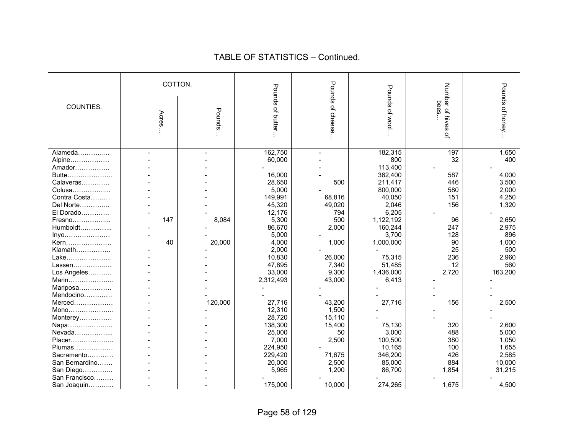|                | COTTON.        |         |                   | Pounds                   |                 |                               |                 |
|----------------|----------------|---------|-------------------|--------------------------|-----------------|-------------------------------|-----------------|
| COUNTIES.      | Acres          | Pounds. | Pounds of butter. | of cheese                | Pounds of wool. | Number of hives<br>bees.<br>읷 | Pounds of honey |
| Alameda        | $\overline{a}$ | ٠       | 162,750           | $\overline{\phantom{a}}$ | 182,315         | 197                           | 1,650           |
| Alpine         |                |         | 60,000            |                          | 800             | 32                            | 400             |
| Amador         |                |         |                   |                          | 113,400         |                               |                 |
| Butte          |                |         | 16,000            |                          | 362,400         | 587                           | 4,000           |
| Calaveras      |                |         | 28,650            | 500                      | 211,417         | 446                           | 3,500           |
| Colusa         |                |         | 5,000             |                          | 800,000         | 580                           | 2,000           |
| Contra Costa   |                |         | 149,991           | 68,816                   | 40,050          | 151                           | 4,250           |
| Del Norte      |                |         | 45,320            | 49,020                   | 2,046           | 156                           | 1,320           |
| El Dorado      |                |         | 12,176            | 794                      | 6,205           |                               |                 |
| Fresno         | 147            | 8,084   | 5,300             | 500                      | 1,122,192       | 96                            | 2,650           |
| Humboldt       |                |         | 86,670            | 2,000                    | 160,244         | 247                           | 2,975           |
| Inyo           |                |         | 5,000             |                          | 3,700           | 128                           | 896             |
| Kern           | 40             | 20,000  | 4,000             | 1,000                    | 1,000,000       | 90                            | 1,000           |
| Klamath        |                |         | 2,000             |                          |                 | 25                            | 500             |
| Lake           |                |         | 10,830            | 26,000                   | 75,315          | 236                           | 2,960           |
| Lassen         |                |         | 47,895            | 7,340                    | 51,485          | 12                            | 560             |
| Los Angeles    |                |         | 33,000            | 9,300                    | 1,436,000       | 2,720                         | 163,200         |
| Marin          |                |         | 2,312,493         | 43,000                   | 6,413           |                               |                 |
| Mariposa       |                |         |                   |                          |                 |                               |                 |
| Mendocino      |                |         |                   |                          |                 |                               |                 |
| Merced         |                | 120,000 | 27,716            | 43,200                   | 27,716          | 156                           | 2,500           |
| Mono           |                |         | 12,310            | 1,500                    |                 |                               |                 |
| Monterey       |                |         | 28,720            | 15,110                   |                 |                               |                 |
| Napa           |                |         | 138,300           | 15,400                   | 75,130          | 320                           | 2,600           |
| Nevada         |                |         | 25,000            | 50                       | 3,000           | 488                           | 5,000           |
| Placer         |                |         | 7,000             | 2,500                    | 100,500         | 380                           | 1,050           |
| Plumas         |                |         | 224,950           |                          | 10,165          | 100                           | 1,655           |
| Sacramento     |                |         | 229,420           | 71,675                   | 346,200         | 426                           | 2,585           |
| San Bernardino |                |         | 20,000            | 2,500                    | 85,000          | 884                           | 10,000          |
| San Diego      |                |         | 5,965             | 1,200                    | 86,700          | 1,854                         | 31,215          |
| San Francisco  |                |         |                   |                          |                 |                               |                 |
| San Joaquin    |                |         | 175,000           | 10,000                   | 274,265         | 1,675                         | 4,500           |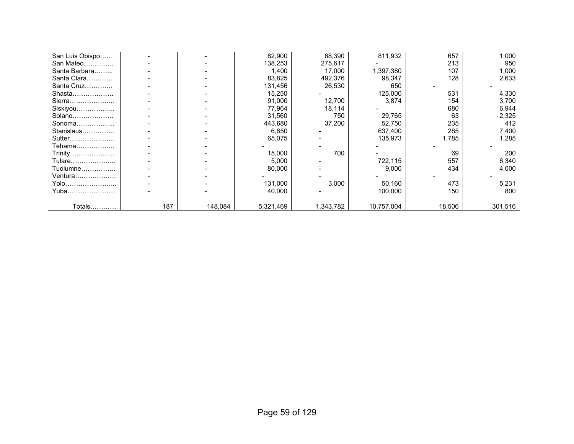| San Luis Obispo |     |         | 82,900    | 88,390    | 811,932    | 657    | 1,000   |
|-----------------|-----|---------|-----------|-----------|------------|--------|---------|
| San Mateo       |     |         | 138,253   | 275,617   |            | 213    | 950     |
| Santa Barbara   |     |         | 1,400     | 17,000    | 1,397,380  | 107    | 1,000   |
| Santa Clara     |     |         | 83,825    | 492,376   | 98,347     | 128    | 2,633   |
| Santa Cruz      |     |         | 131,456   | 26,530    | 650        |        |         |
| Shasta          |     |         | 15,250    |           | 125,000    | 531    | 4,330   |
| Sierra          |     |         | 91,000    | 12,700    | 3,874      | 154    | 3,700   |
| Siskiyou        |     |         | 77,964    | 18,114    |            | 680    | 6,944   |
| Solano          |     |         | 31,560    | 750       | 29,765     | 63     | 2,325   |
| Sonoma          |     |         | 443,680   | 37,200    | 52,750     | 235    | 412     |
| Stanislaus      |     |         | 6,650     |           | 637,400    | 285    | 7,400   |
| Sutter          |     |         | 65,075    |           | 135,973    | 1,785  | 1,285   |
| Tehama          |     |         |           |           |            |        |         |
| Trinity         |     |         | 15,000    | 700       |            | 69     | 200     |
| Tulare          |     |         | 5,000     |           | 722,115    | 557    | 6,340   |
| Tuolumne        |     |         | 80,000    |           | 9,000      | 434    | 4,000   |
| Ventura         |     |         |           |           |            |        |         |
| Yolo            |     |         | 131,000   | 3,000     | 50,160     | 473    | 5,231   |
| Yuba……………………    |     |         | 40,000    |           | 100,000    | 150    | 800     |
|                 |     |         |           |           |            |        |         |
| Totals…………      | 187 | 148,084 | 5,321,469 | 1,343,782 | 10,757,004 | 18,506 | 301,516 |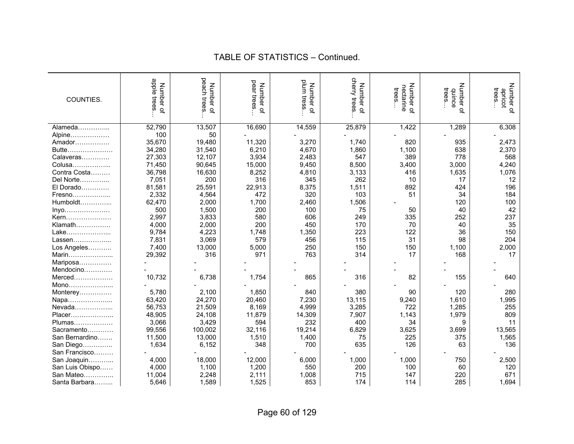| COUNTIES.       | apple trees<br>Number<br>$\overline{a}$ | peach trees<br>Number<br>$\overline{a}$ | pear trees<br>Number of | plum tress<br>Number of | cherry trees<br>Number of | Number<br>nectarine<br>trees.<br>$\overline{a}$ | Number<br>trees<br>duince<br>$\overline{a}$ | Number of<br>trees<br>apricot |
|-----------------|-----------------------------------------|-----------------------------------------|-------------------------|-------------------------|---------------------------|-------------------------------------------------|---------------------------------------------|-------------------------------|
| Alameda         | 52,790                                  | 13,507                                  | 16,690                  | 14,559                  | 25,879                    | 1,422                                           | 1,289                                       | 6,308                         |
| Alpine          | 100                                     | 50                                      |                         |                         |                           |                                                 |                                             |                               |
| Amador          | 35,670                                  | 19,480                                  | 11,320                  | 3,270                   | 1,740                     | 820                                             | 935                                         | 2,473                         |
| Butte           | 34,280                                  | 31,540                                  | 6,210                   | 4,670                   | 1,860                     | 1,100                                           | 638                                         | 2,370                         |
| Calaveras       | 27,303                                  | 12,107                                  | 3,934                   | 2,483                   | 547                       | 389                                             | 778                                         | 568                           |
| Colusa          | 71,450                                  | 90,645                                  | 15,000                  | 9,450                   | 8,500                     | 3,400                                           | 3,000                                       | 4,240                         |
| Contra Costa    | 36,798                                  | 16,630                                  | 8,252                   | 4,810                   | 3,133                     | 416                                             | 1,635                                       | 1,076                         |
| Del Norte       | 7,051                                   | 200                                     | 316                     | 345                     | 262                       | 10                                              | 17                                          | 12                            |
| El Dorado       | 81,581                                  | 25,591                                  | 22,913                  | 8,375                   | 1,511                     | 892                                             | 424                                         | 196                           |
| Fresno          | 2,332                                   | 4,564                                   | 472                     | 320                     | 103                       | 51                                              | 34                                          | 184                           |
| Humboldt        | 62,470                                  | 2,000                                   | 1,700                   | 2,460                   | 1,506                     |                                                 | 120                                         | 100                           |
| Inyo            | 500                                     | 1,500                                   | 200                     | 100                     | 75                        | 50                                              | 40                                          | 42                            |
| Kern            | 2,997                                   | 3,833                                   | 580                     | 606                     | 249                       | 335                                             | 252                                         | 237                           |
| Klamath         | 4,000                                   | 2,000                                   | 200                     | 450                     | 170                       | 70                                              | 40                                          | 35                            |
| Lake            | 9,784                                   | 4,223                                   | 1,748                   | 1,350                   | 223                       | 122                                             | 36                                          | 150                           |
| Lassen          | 7,831                                   | 3,069                                   | 579                     | 456                     | 115                       | 31                                              | 98                                          | 204                           |
| Los Angeles     | 7,400                                   | 13,000                                  | 5,000                   | 250                     | 150                       | 150                                             | 1,100                                       | 2,000                         |
| Marin           | 29,392                                  | 316                                     | 971                     | 763                     | 314                       | 17                                              | 168                                         | 17                            |
| Mariposa        |                                         |                                         |                         |                         |                           |                                                 |                                             |                               |
| Mendocino       |                                         |                                         |                         |                         |                           |                                                 |                                             |                               |
| Merced          | 10,732                                  | 6,738                                   | 1,754                   | 865                     | 316                       | 82                                              | 155                                         | 640                           |
| Mono            |                                         |                                         |                         |                         |                           |                                                 |                                             |                               |
| Monterey        | 5,780                                   | 2,100                                   | 1,850                   | 840                     | 380                       | 90                                              | 120                                         | 280                           |
| Napa            | 63,420                                  | 24,270                                  | 20,460                  | 7,230                   | 13,115                    | 9,240                                           | 1,610                                       | 1,995                         |
| Nevada          | 56,753                                  | 21,509                                  | 8,169                   | 4,999                   | 3,285                     | 722                                             | 1,285                                       | 255                           |
| Placer          | 48,905                                  | 24,108                                  | 11,879                  | 14,309                  | 7,907                     | 1,143                                           | 1,979                                       | 809                           |
| Plumas          | 3,066                                   | 3,429                                   | 594                     | 232                     | 400                       | 34                                              | 9                                           | 11                            |
| Sacramento      | 99,556                                  | 100,002                                 | 32,116                  | 19,214                  | 6,829                     | 3,625                                           | 3,699                                       | 13,565                        |
| San Bernardino  | 11,500                                  | 13,000                                  | 1,510                   | 1,400                   | 75                        | 225                                             | 375                                         | 1,565                         |
| San Diego       | 1,634                                   | 6,152                                   | 348                     | 700                     | 635                       | 126                                             | 63                                          | 136                           |
| San Francisco   |                                         |                                         |                         |                         |                           |                                                 |                                             |                               |
| San Joaquin     | 4,000                                   | 18,000                                  | 12,000                  | 6,000                   | 1,000                     | 1,000                                           | 750                                         | 2,500                         |
| San Luis Obispo | 4,000                                   | 1,100                                   | 1,200                   | 550                     | 200                       | 100                                             | 60                                          | 120                           |
| San Mateo       | 11,004                                  | 2,248                                   | 2,111                   | 1,008                   | 715                       | 147                                             | 220                                         | 671                           |
| Santa Barbara   | 5,646                                   | 1,589                                   | 1,525                   | 853                     | 174                       | 114                                             | 285                                         | 1,694                         |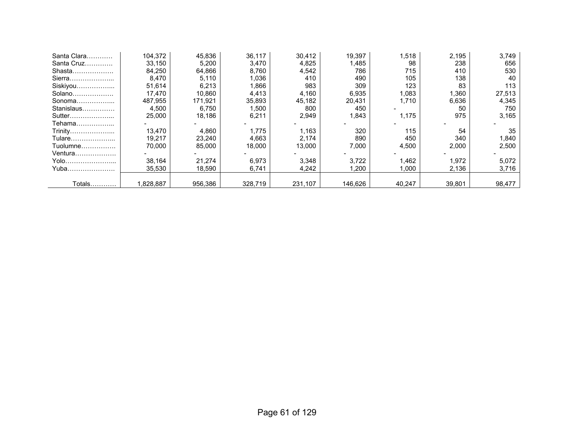| Santa Clara | 104.372   | 45.836  | 36.117  | 30.412  | 19.397  | 1,518  | 2.195  | 3,749  |
|-------------|-----------|---------|---------|---------|---------|--------|--------|--------|
| Santa Cruz  | 33,150    | 5,200   | 3,470   | 4,825   | 1,485   | 98     | 238    | 656    |
| Shasta      | 84,250    | 64.866  | 8.760   | 4,542   | 786     | 715    | 410    | 530    |
| Sierra      | 8,470     | 5,110   | 1,036   | 410     | 490     | 105    | 138    | 40     |
| Siskiyou    | 51.614    | 6,213   | .866    | 983     | 309     | 123    | 83     | 113    |
| Solano      | 17.470    | 10.860  | 4.413   | 4,160   | 6,935   | 1,083  | 1.360  | 27,513 |
| Sonoma      | 487.955   | 171.921 | 35,893  | 45.182  | 20.431  | 1.710  | 6,636  | 4,345  |
| Stanislaus  | 4,500     | 6.750   | 1.500   | 800     | 450     |        | 50     | 750    |
| Sutter      | 25,000    | 18.186  | 6,211   | 2,949   | 1.843   | 1.175  | 975    | 3,165  |
| Tehama      |           |         |         |         |         |        |        |        |
| Trinity     | 13.470    | 4,860   | 1.775   | 1.163   | 320     | 115    | 54     | 35     |
| Tulare      | 19,217    | 23,240  | 4,663   | 2,174   | 890     | 450    | 340    | 1,840  |
| Tuolumne    | 70.000    | 85,000  | 18,000  | 13,000  | 7,000   | 4,500  | 2,000  | 2,500  |
| Ventura     |           |         |         |         |         |        |        |        |
| Yolo        | 38,164    | 21,274  | 6,973   | 3,348   | 3,722   | A62,   | 1,972  | 5,072  |
| Yuba        | 35,530    | 18,590  | 6,741   | 4,242   | 1,200   | 1,000  | 2,136  | 3,716  |
|             |           |         |         |         |         |        |        |        |
| Totals      | 1,828,887 | 956,386 | 328,719 | 231,107 | 146.626 | 40,247 | 39,801 | 98,477 |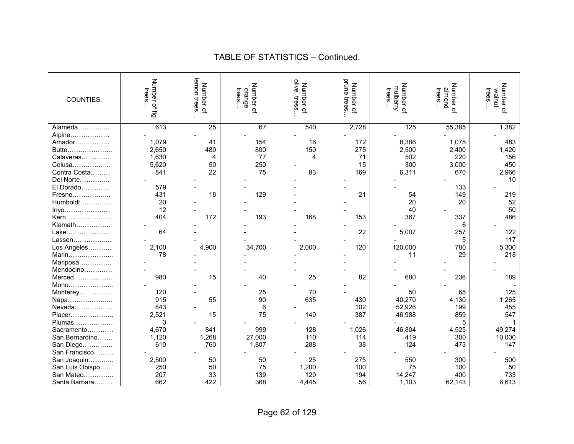| COUNTIES.       | Number of fig<br>trees | lemon trees<br>Number of | Number of<br>trees<br>orange | olive<br>Number of<br>tress | prune<br>Number of<br>trees | Number of<br>mulberry<br>trees | Number of<br>puouu<br>trees. | Number of<br>trees.<br>walnut |
|-----------------|------------------------|--------------------------|------------------------------|-----------------------------|-----------------------------|--------------------------------|------------------------------|-------------------------------|
| Alameda         | 613                    | 25                       | 67                           | 540                         | 2,728                       | 125                            | 55,385                       | 1,382                         |
| Alpine          |                        |                          |                              |                             |                             |                                |                              |                               |
| Amador          | 1,079                  | 41                       | 154                          | 16                          | 172                         | 8,386                          | 1,075                        | 483                           |
| Butte           | 2,650                  | 480                      | 800                          | 150                         | 275                         | 2,500                          | 2,400                        | 1,420                         |
| Calaveras       | 1,630                  | 4                        | 77                           | 4                           | 71                          | 502                            | 220                          | 156                           |
| Colusa          | 5,620                  | 50                       | 250                          |                             | 15                          | 300                            | 3,000                        | 450                           |
| Contra Costa    | 841                    | 22                       | 75                           | 83                          | 169                         | 6,311                          | 670                          | 2,966                         |
| Del Norte       |                        |                          |                              |                             |                             |                                |                              | 10                            |
| El Dorado       | 579                    |                          |                              |                             |                             |                                | 133                          |                               |
| Fresno          | 431                    | 18                       | 129                          |                             | 21                          | 54                             | 149                          | 219                           |
| Humboldt        | 20                     |                          |                              |                             |                             | 20                             | 20                           | 52                            |
| Inyo            | 12                     |                          |                              |                             |                             | 40                             |                              | 50                            |
| Kern            | 404                    | 172                      | 193                          | 168                         | 153                         | 367                            | 337                          | 486                           |
| Klamath         |                        |                          |                              |                             |                             |                                | 6                            |                               |
| Lake            | 64                     |                          |                              |                             | 22                          | 5,007                          | 257                          | 122                           |
| Lassen          |                        |                          |                              |                             |                             |                                | 5                            | 117                           |
| Los Angeles     | 2,100                  | 4,900                    | 34,700                       | 2,000                       | 120                         | 120,000                        | 780                          | 5,300                         |
| Marin           | 78                     |                          |                              |                             |                             | 11                             | 29                           | 218                           |
| Mariposa        |                        |                          |                              |                             |                             |                                |                              |                               |
| Mendocino       |                        |                          |                              |                             |                             |                                |                              |                               |
| Merced          | 980                    | 15                       | 40                           | 25                          | 82                          | 680                            | 236                          | 189                           |
| Mono            |                        |                          |                              |                             |                             |                                |                              |                               |
| Monterey        | 120                    |                          | 25                           | 70                          |                             | 50                             | 65                           | 125                           |
| Napa            | 915                    | 55                       | 90                           | 635                         | 430                         | 40,270                         | 4,130                        | 1,265                         |
| Nevada          | 843                    |                          | 6                            |                             | 102                         | 52,926                         | 199                          | 455                           |
| Placer          | 2,521                  | 15                       | 75                           | 140                         | 387                         | 46,988                         | 859                          | 547                           |
| Plumas          | 3                      |                          |                              |                             |                             |                                |                              |                               |
| Sacramento      | 4,670                  | 841                      | 999                          | 128                         | 1,026                       | 46,804                         | 4,525                        | 49,274                        |
| San Bernardino  | 1,120                  | 1,268                    | 27,000                       | 110                         | 114                         | 419                            | 300                          | 10,000                        |
| San Diego       | 610                    | 760                      | 1,807                        | 288                         | 38                          | 124                            | 473                          | 147                           |
| San Francisco   |                        |                          |                              |                             |                             |                                |                              |                               |
| San Joaquin     | 2,500                  | 50                       | 50                           | 25                          | 275                         | 550                            | 300                          | 500                           |
| San Luis Obispo | 250                    | 50                       | 75                           | 1,200                       | 100                         | 75                             | 100                          | 50                            |
| San Mateo       | 207                    | 33                       | 139                          | 120                         | 194                         | 14,247                         | 400                          | 733                           |
| Santa Barbara   | 662                    | 422                      | 368                          | 4,445                       | 56                          | 1,103                          | 62,143                       | 6,613                         |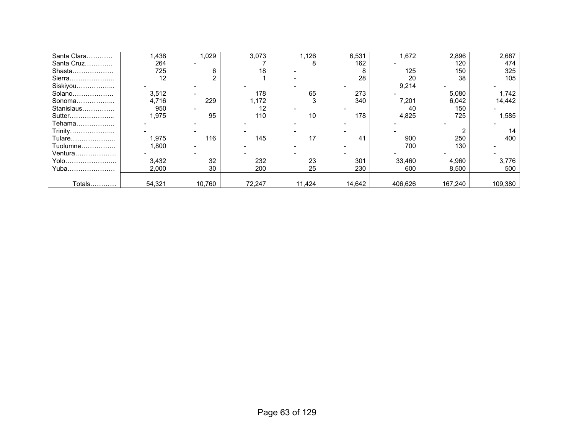| Santa Clara | ,438   | 1,029  | 3,073  | 1,126  | 6,531  | 1,672   | 2,896   | 2,687   |
|-------------|--------|--------|--------|--------|--------|---------|---------|---------|
| Santa Cruz  | 264    |        |        | 8      | 162    |         | 120     | 474     |
| Shasta      | 725    | 6      | 18     |        | 8      | 125     | 150     | 325     |
| Sierra      | 12     |        |        |        | 28     | 20      | 38      | 105     |
| Siskiyou    |        |        |        |        |        | 9,214   |         |         |
| Solano      | 3,512  |        | 178    | 65     | 273    |         | 5,080   | 1,742   |
| Sonoma      | 4,716  | 229    | ,172   | 3      | 340    | 7,201   | 6,042   | 14,442  |
| Stanislaus  | 950    |        | 12     |        |        | 40      | 150     |         |
| Sutter      | .975   | 95     | 110    | 10     | 178    | 4,825   | 725     | 1,585   |
| Tehama      |        |        |        |        |        |         |         |         |
| Trinity     |        |        |        |        |        |         |         |         |
| Tulare      | 1,975  | 116    | 145    | 17     | 41     | 900     | 250     | 400     |
| Tuolumne    | .800   |        |        |        |        | 700     | 130     |         |
| Ventura     |        |        |        |        |        |         |         |         |
| Yolo        | 3,432  | 32     | 232    | 23     | 301    | 33,460  | 4,960   | 3,776   |
| Yuba        | 2,000  | 30     | 200    | 25     | 230    | 600     | 8,500   | 500     |
|             |        |        |        |        |        |         |         |         |
| Totals…………  | 54,321 | 10,760 | 72,247 | 11,424 | 14,642 | 406,626 | 167,240 | 109,380 |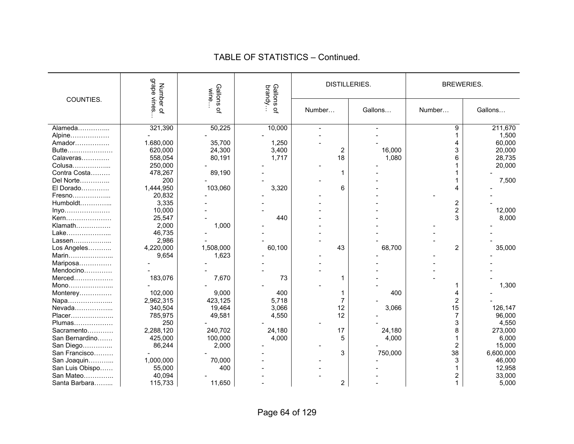|                 | grape vines<br>Number of<br>Gallons<br>wine |           | Gallons<br>brandy | <b>DISTILLERIES</b> |         | <b>BREWERIES.</b>       |           |  |
|-----------------|---------------------------------------------|-----------|-------------------|---------------------|---------|-------------------------|-----------|--|
| COUNTIES.       |                                             | $\Omega$  | $\Omega$          | Number              | Gallons | Number                  | Gallons   |  |
| Alameda         | 321,390                                     | 50,225    | 10,000            |                     |         | 9                       | 211,670   |  |
| Alpine          |                                             |           |                   |                     |         |                         | 1,500     |  |
| Amador          | 1.680,000                                   | 35,700    | 1,250             |                     |         |                         | 60,000    |  |
| Butte           | 620,000                                     | 24,300    | 3,400             | 2                   | 16,000  |                         | 20,000    |  |
| Calaveras       | 558,054                                     | 80,191    | 1,717             | 18                  | 1,080   | 6                       | 28,735    |  |
| Colusa          | 250,000                                     |           |                   |                     |         |                         | 20,000    |  |
| Contra Costa    | 478,267                                     | 89,190    |                   | 1                   |         |                         |           |  |
| Del Norte       | 200                                         |           |                   |                     |         |                         | 7,500     |  |
| El Dorado       | 1,444,950                                   | 103,060   | 3,320             | 6                   |         |                         |           |  |
| Fresno          | 20,832                                      |           |                   |                     |         |                         |           |  |
| Humboldt        | 3,335                                       |           |                   |                     |         | $\overline{\mathbf{c}}$ |           |  |
| Inyo            | 10,000                                      |           |                   |                     |         | $\overline{2}$          | 12,000    |  |
| Kern            | 25,547                                      |           | 440               |                     |         | 3                       | 8,000     |  |
| Klamath         | 2,000                                       | 1,000     |                   |                     |         |                         |           |  |
| Lake            | 46,735                                      |           |                   |                     |         |                         |           |  |
| Lassen          | 2,986                                       |           |                   |                     |         |                         |           |  |
| Los Angeles     | 4,220,000                                   | 1,508,000 | 60,100            | 43                  | 68,700  | 2                       | 35,000    |  |
| Marin           | 9,654                                       | 1,623     |                   |                     |         |                         |           |  |
| Mariposa        |                                             |           |                   |                     |         |                         |           |  |
| Mendocino       |                                             |           |                   |                     |         |                         |           |  |
| $Merced$        | 183,076                                     | 7,670     | 73                | 1                   |         |                         |           |  |
| Mono            |                                             |           |                   |                     |         |                         | 1,300     |  |
| Monterey        | 102,000                                     | 9,000     | 400               |                     | 400     |                         |           |  |
| Napa            | 2,962,315                                   | 423,125   | 5,718             |                     |         | 2                       |           |  |
| Nevada          | 340,504                                     | 19,464    | 3,066             | 12                  | 3,066   | 15                      | 126,147   |  |
| Placer          | 785,975                                     | 49,581    | 4,550             | 12                  |         | 7                       | 96,000    |  |
| Plumas          | 250                                         |           |                   |                     |         | 3                       | 4,550     |  |
| Sacramento      | 2,288,120                                   | 240,702   | 24,180            | 17                  | 24,180  | 8                       | 273,000   |  |
| San Bernardino  |                                             | 100,000   | 4,000             | 5                   | 4,000   |                         | 6,000     |  |
|                 | 425,000<br>86,244                           | 2,000     |                   |                     |         |                         | 15,000    |  |
| San Diego       |                                             |           |                   |                     |         | 2                       |           |  |
| San Francisco   |                                             |           |                   | 3                   | 750,000 | 38                      | 6,600,000 |  |
| San Joaquin     | 1,000,000                                   | 70,000    |                   |                     |         | 3                       | 46,000    |  |
| San Luis Obispo | 55,000                                      | 400       |                   |                     |         |                         | 12,958    |  |
| San Mateo       | 40,094                                      |           |                   |                     |         | 2                       | 33,000    |  |
| Santa Barbara   | 115,733                                     | 11,650    |                   | $\overline{c}$      |         | 1                       | 5,000     |  |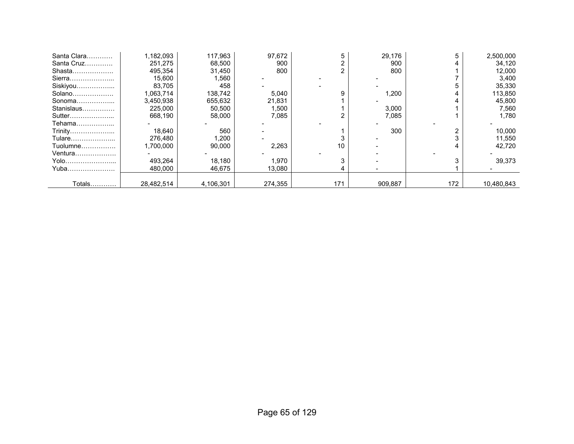| Santa Clara   | 1,182,093  | 117,963   | 97,672  |     | 29,176  |     | 2,500,000  |
|---------------|------------|-----------|---------|-----|---------|-----|------------|
| Santa Cruz    | 251,275    | 68,500    | 900     |     | 900     |     | 34,120     |
| Shasta        | 495,354    | 31,450    | 800     |     | 800     |     | 12,000     |
| Sierra        | 15,600     | 1,560     |         |     |         |     | 3,400      |
| Siskiyou      | 83,705     | 458       |         |     |         |     | 35,330     |
| Solano        | 1,063,714  | 138,742   | 5,040   |     | 1,200   |     | 113,850    |
| Sonoma        | 3,450,938  | 655,632   | 21,831  |     |         |     | 45,800     |
| Stanislaus    | 225,000    | 50,500    | 1,500   |     | 3,000   |     | 7,560      |
| Sutter        | 668,190    | 58,000    | 7,085   |     | 7,085   |     | 1.780      |
| Tehama        |            |           |         |     |         |     |            |
| Trinity       | 18,640     | 560       |         |     | 300     |     | 10,000     |
| Tulare        | 276,480    | 1,200     |         |     |         |     | 11,550     |
| Tuolumne      | 1,700,000  | 90,000    | 2,263   | 10  |         |     | 42,720     |
| Ventura       |            |           |         |     |         |     |            |
| Yolo          | 493,264    | 18,180    | 1,970   |     |         |     | 39,373     |
| Yuba          | 480,000    | 46,675    | 13,080  |     |         |     |            |
|               |            |           |         |     |         |     |            |
| <b>Totals</b> | 28,482,514 | 4,106,301 | 274,355 | 171 | 909,887 | 172 | 10,480,843 |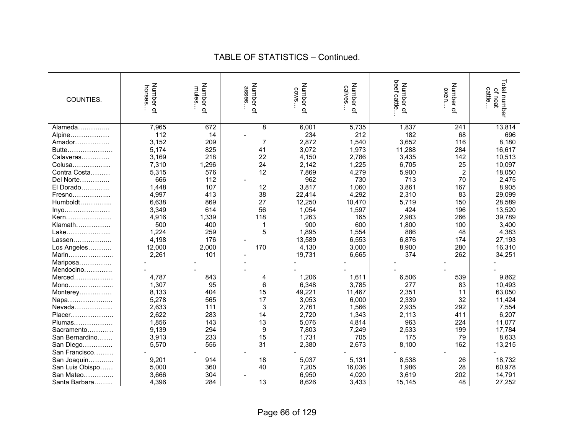| COUNTIES.       | Number of<br>horses. | Number of<br>mules | Number of<br>asses | Number of<br><b>COWS</b> | Number of<br>calves | beef cattle<br>Number of | Number of<br>oxen | Total number<br>of neat<br>cattle |
|-----------------|----------------------|--------------------|--------------------|--------------------------|---------------------|--------------------------|-------------------|-----------------------------------|
| Alameda         | 7,965                | 672                | 8                  | 6,001                    | 5,735               | 1,837                    | 241               | 13,814                            |
| Alpine          | 112                  | 14                 |                    | 234                      | 212                 | 182                      | 68                | 696                               |
| Amador          | 3,152                | 209                | 7                  | 2,872                    | 1,540               | 3,652                    | 116               | 8,180                             |
| Butte           | 5,174                | 825                | 41                 | 3,072                    | 1,973               | 11,288                   | 284               | 16,617                            |
| Calaveras       | 3,169                | 218                | 22                 | 4,150                    | 2,786               | 3,435                    | 142               | 10,513                            |
| Colusa          | 7,310                | 1,296              | 24                 | 2,142                    | 1,225               | 6,705                    | 25                | 10,097                            |
| Contra Costa    | 5,315                | 576                | 12                 | 7,869                    | 4,279               | 5,900                    | $\overline{2}$    | 18,050                            |
| Del Norte       | 666                  | 112                |                    | 962                      | 730                 | 713                      | 70                | 2,475                             |
| El Dorado       | 1,448                | 107                | 12                 | 3,817                    | 1,060               | 3,861                    | 167               | 8,905                             |
| Fresno          | 4,997                | 413                | 38                 | 22,414                   | 4,292               | 2,310                    | 83                | 29,099                            |
| Humboldt        | 6,638                | 869                | 27                 | 12,250                   | 10,470              | 5,719                    | 150               | 28,589                            |
| Inyo            | 3,349                | 614                | 56                 | 1,054                    | 1,597               | 424                      | 196               | 13,520                            |
| Kern            | 4,916                | 1,339              | 118                | 1,263                    | 165                 | 2,983                    | 266               | 39,789                            |
| Klamath         | 500                  | 400                |                    | 900                      | 600                 | 1,800                    | 100               | 3,400                             |
| Lake            | 1,224                | 259                | 5                  | 1,895                    | 1,554               | 886                      | 48                | 4,383                             |
| Lassen          | 4,198                | 176                |                    | 13,589                   | 6,553               | 6,876                    | 174               | 27,193                            |
| Los Angeles     | 12,000               | 2,000              | 170                | 4,130                    | 3,000               | 8,900                    | 280               | 16,310                            |
| Marin           | 2,261                | 101                |                    | 19,731                   | 6,665               | 374                      | 262               | 34,251                            |
| Mariposa        |                      |                    |                    |                          |                     |                          |                   |                                   |
| Mendocino       |                      |                    |                    |                          |                     |                          |                   |                                   |
| Merced          | 4,787                | 843                | 4                  | 1,206                    | 1,611               | 6,506                    | 539               | 9,862                             |
| Mono            | 1,307                | 95                 | 6                  | 6,348                    | 3,785               | 277                      | 83                | 10,493                            |
| Monterey        | 8,133                | 404                | 15                 | 49,221                   | 11,467              | 2,351                    | 11                | 63,050                            |
| Napa            | 5,278                | 565                | 17                 | 3,053                    | 6,000               | 2,339                    | 32                | 11,424                            |
| Nevada          | 2,633                | 111                | 3                  | 2,761                    | 1,566               | 2,935                    | 292               | 7,554                             |
| Placer          | 2,622                | 283                | 14                 | 2,720                    | 1,343               | 2,113                    | 411               | 6,207                             |
| Plumas          | 1,856                | 143                | 13                 | 5,076                    | 4,814               | 963                      | 224               | 11,077                            |
| Sacramento      | 9,139                | 294                | 9                  | 7,803                    | 7,249               | 2,533                    | 199               | 17,784                            |
| San Bernardino  | 3,913                | 233                | 15                 | 1,731                    | 705                 | 175                      | 79                | 8,633                             |
| San Diego       | 5,570                | 556                | 31                 | 2,380                    | 2,673               | 8,100                    | 162               | 13,215                            |
| San Francisco   |                      |                    |                    |                          |                     |                          |                   |                                   |
| San Joaquin     | 9,201                | 914                | 18                 | 5,037                    | 5,131               | 8,538                    | 26                | 18,732                            |
| San Luis Obispo | 5,000                | 360                | 40                 | 7,205                    | 16,036              | 1,986                    | 28                | 60,978                            |
| San Mateo       | 3,666                | 304                |                    | 6,950                    | 4,020               | 3,619                    | 202               | 14,791                            |
| Santa Barbara   | 4,396                | 284                | 13                 | 8,626                    | 3,433               | 15,145                   | 48                | 27,252                            |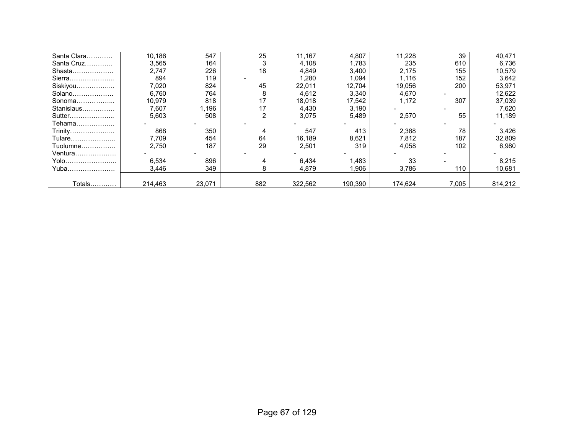| Santa Clara | 10.186  | 547    | 25  | 11,167  | 4,807   | 11,228  | 39    | 40,471  |
|-------------|---------|--------|-----|---------|---------|---------|-------|---------|
| Santa Cruz  | 3,565   | 164    |     | 4,108   | 1.783   | 235     | 610   | 6,736   |
| Shasta      | 2.747   | 226    | 18  | 4,849   | 3,400   | 2,175   | 155   | 10,579  |
| Sierra      | 894     | 119    |     | 1,280   | 1.094   | 1,116   | 152   | 3,642   |
| Siskiyou    | 7,020   | 824    | 45  | 22,011  | 12.704  | 19,056  | 200   | 53,971  |
| Solano      | 6,760   | 764    | 8   | 4,612   | 3,340   | 4,670   |       | 12,622  |
| Sonoma      | 10.979  | 818    | 17  | 18.018  | 17,542  | 1.172   | 307   | 37,039  |
| Stanislaus  | 7,607   | 1,196  | 17  | 4,430   | 3,190   |         |       | 7,620   |
| Sutter      | 5.603   | 508    | 2   | 3,075   | 5,489   | 2,570   | 55    | 11,189  |
| Tehama      |         |        |     |         |         |         |       |         |
| Trinity     | 868     | 350    |     | 547     | 413     | 2,388   | 78    | 3,426   |
| Tulare      | 7,709   | 454    | 64  | 16,189  | 8,621   | 7,812   | 187   | 32,809  |
| Tuolumne    | 2.750   | 187    | 29  | 2,501   | 319     | 4,058   | 102   | 6,980   |
| Ventura     |         |        |     |         |         |         |       |         |
| Yolo        | 6,534   | 896    |     | 6,434   | 1,483   | 33      |       | 8,215   |
| Yuba        | 3,446   | 349    | 8   | 4,879   | 1,906   | 3,786   | 110   | 10,681  |
|             |         |        |     |         |         |         |       |         |
| Totals      | 214,463 | 23,071 | 882 | 322,562 | 190.390 | 174,624 | 7,005 | 814,212 |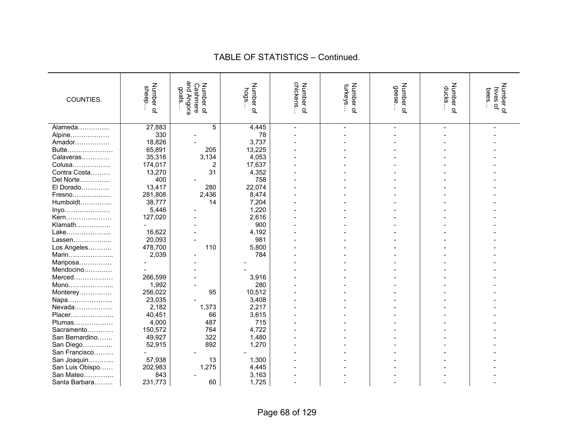|                 |                    | and Angora                     |                   |                       |                      |                 |                    |                             |
|-----------------|--------------------|--------------------------------|-------------------|-----------------------|----------------------|-----------------|--------------------|-----------------------------|
| COUNTIES.       | Number of<br>sheep | Number of<br>Cashmere<br>goats | Number of<br>hogs | chickens<br>Number of | Number of<br>turkeys | Number<br>geese | Number of<br>ducks | Number of<br>hives<br>bees. |
|                 |                    |                                |                   |                       |                      |                 |                    | ā,                          |
|                 |                    |                                |                   |                       |                      | $\overline{a}$  |                    |                             |
|                 |                    |                                |                   |                       |                      |                 |                    |                             |
| Alameda         | 27,883             | 5                              | 4,445             |                       |                      | $\overline{a}$  |                    |                             |
| Alpine          | 330                |                                | 78                |                       |                      |                 |                    |                             |
| Amador          | 18,826             |                                | 3,737             |                       |                      |                 |                    |                             |
| Butte           | 65,891             | 205                            | 13,225            |                       |                      |                 |                    |                             |
| Calaveras       | 35,316             | 3,134                          | 4,053             |                       |                      |                 |                    |                             |
| Colusa          | 174,017            | $\overline{2}$                 | 17,637            |                       |                      |                 |                    |                             |
| Contra Costa    | 13,270             | 31                             | 4,352             |                       |                      |                 |                    |                             |
| Del Norte       | 400                |                                | 758               |                       |                      |                 |                    |                             |
| El Dorado       | 13,417             | 280                            | 22,074            |                       |                      |                 |                    |                             |
| Fresno          | 281,808            | 2,436                          | 8,474             |                       |                      |                 |                    |                             |
| Humboldt        | 38,777             | 14                             | 7,204             |                       |                      |                 |                    |                             |
| $lnyo$          | 5,446              |                                | 1,220             |                       |                      |                 |                    |                             |
| Kern            | 127,020            |                                | 2,616             |                       |                      |                 |                    |                             |
| Klamath         |                    |                                | 900               |                       |                      |                 |                    |                             |
| Lake            | 16,622             |                                | 4,192             |                       |                      |                 |                    |                             |
| Lassen          | 20,093             |                                | 981               |                       |                      |                 |                    |                             |
| Los Angeles     | 478,700            | 110                            | 5,800             |                       |                      |                 |                    |                             |
| Marin           | 2,039              |                                | 784               |                       |                      |                 |                    |                             |
| Mariposa        |                    |                                |                   |                       |                      |                 |                    |                             |
| Mendocino       |                    |                                |                   |                       |                      |                 |                    |                             |
| Merced          | 266,599            |                                | 3,916             |                       |                      |                 |                    |                             |
| Mono            | 1,992              |                                | 280               |                       |                      |                 |                    |                             |
| Monterey        | 256,022            | 95                             | 10,512            |                       |                      |                 |                    |                             |
| Napa            | 23,035             |                                | 3,408             |                       |                      |                 |                    |                             |
| Nevada          | 2,182              | 1,373                          | 2,217             |                       |                      |                 |                    |                             |
| Placer          | 40,451             | 66                             | 3,615             |                       |                      |                 |                    |                             |
| Plumas          | 4,000              | 487                            | 715               |                       |                      |                 |                    |                             |
| Sacramento      | 150,572            | 764                            | 4,722             |                       |                      |                 |                    |                             |
| San Bernardino  | 49,927             | 322                            | 1,480             |                       |                      |                 |                    |                             |
| San Diego       | 52,915             | 892                            | 1,270             |                       |                      |                 |                    |                             |
| San Francisco   |                    |                                |                   |                       |                      |                 |                    |                             |
| San Joaquin     | 57,938             | 13                             | 1,300             |                       |                      |                 |                    |                             |
| San Luis Obispo | 202,983            | 1,275                          | 4,445             |                       |                      |                 |                    |                             |
| San Mateo       | 843                |                                | 3,163             |                       |                      |                 |                    |                             |
| Santa Barbara   | 231,773            | 60                             | 1,725             |                       |                      |                 |                    |                             |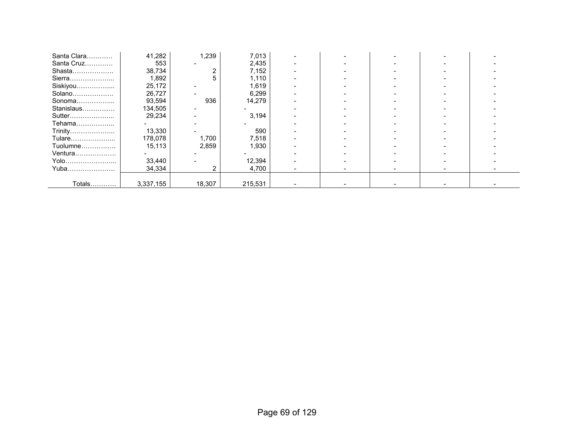| Santa Clara | 41,282    | 1,239  | 7,013   |  |  |  |
|-------------|-----------|--------|---------|--|--|--|
| Santa Cruz  | 553       |        | 2,435   |  |  |  |
| Shasta      | 38,734    |        | 7,152   |  |  |  |
| Sierra      | 1,892     | 5      | 1,110   |  |  |  |
| Siskiyou    | 25,172    |        | 1.619   |  |  |  |
| Solano      | 26,727    |        | 6,299   |  |  |  |
| Sonoma      | 93,594    | 936    | 14,279  |  |  |  |
| Stanislaus  | 134,505   |        |         |  |  |  |
| Sutter      | 29,234    |        | 3,194   |  |  |  |
| Tehama      |           |        |         |  |  |  |
| Trinity     | 13,330    |        | 590     |  |  |  |
| Tulare      | 178,078   | 1,700  | 7,518   |  |  |  |
| Tuolumne    | 15,113    | 2,859  | 1,930   |  |  |  |
| Ventura     |           |        |         |  |  |  |
| Yolo        | 33,440    |        | 12,394  |  |  |  |
| Yuba        | 34,334    | ົ      | 4,700   |  |  |  |
|             |           |        |         |  |  |  |
| Totals      | 3,337,155 | 18,307 | 215,531 |  |  |  |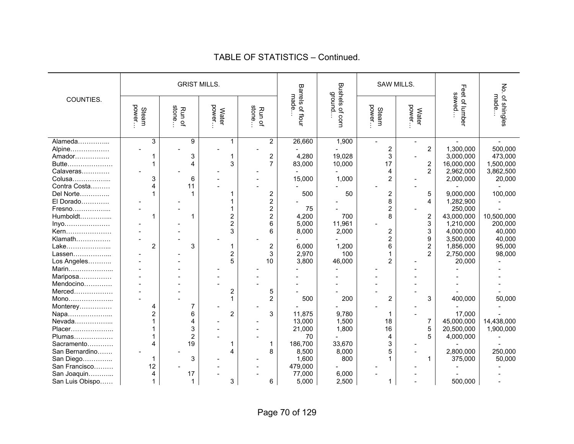#### Buenes of the street is the street in the street in the street in the street in the street in the street in the street in the street in the street in the street in the street in the street in the street in the street in th SAW MILLS. COUNTIES. Steam power… Run of stone… Water power… Run of stone… Barrels of flour made… Bushels of corn Bushels of corn<br>ground… Steam power… Water power… Feet of lumber Feet of lumber<br>sawed… No. of shingles No. of shingles<br>made… Alameda…………... 3 9 1 2 26,660 1,900 - - - - Alpine……………… | - | - | - | - | - | - | 2 | 2 | 1,300,000 | 500,000 Amador…………… | 1 | 3 | 1 | 2 | 4,280 | 19,028 | 3 | - | 3,000,000 | 473,000 Butte………………… | 1 4 4 3 7 83,000 10,000 17 2 16,000,000 1,500,000 1,500,000 1<br>Calaveras………… | - 1 - 1 - 1 - 1 - 1 - 1 - 1 - 4 2 2,962,000 3,862,500 Calaveras………….. | - | - | - | - | - | - | - | 4 | 2 Colusa………………... │ 3│ 6│ - │ - │ 15,000│ 1,000│ 2│ - │ 2,000,000│ 20,000 Contra Costa……… | 4 | 11 | - | - | - | - | - | - | -Del Norte………….. 1 1 1 2 500 50 2 5 9,000,000 100,000 El Dorado………… | - | - | - | 1 | 2 | - | - | 8 | 4 | 1,282,900<br>Fresno……………… | - | - | 1 | 2 | 75 | - | 2 | - | 250,000 Fresno……………... - - 1 2 75 - 2 - 250,000 - Humboldt…………… │ 1 │ 1 │ 2 │ 2 │ 4,200 │ 700 │ 8 │ 2 │ 43,000,000 │10,500,000<br>Invo………………… │ - - 2 │ 6 │ 5.000 │ 11.961 │ 3 1.210.000 │ 200.000 Inyo………………… - - 2 6 5,000 11,961 - 3 1,210,000 200,000 Kern………………… | - | - | 3| 6| 8,000| 2,000| 2| 3| 4,000,000| 40,000 Klamath……………. - - - - - - 2 9 3,500,000 40,000 Lake………………... 2 3 1 2 6,000 1,200 6 2 1,856,000 95,000 Lassen………………... │ - │ - │ 2 │ 3 │ 2.970 │ 100 │ 1 │ 2 │ 2.750.000 │ 98.000  $\textsf{Log Angeles}$ ............ | - | - | 5 | 10 | 3,800 | 46,000 | 2 | - | 20,000 | -Marin...................... Mariposa............... Mendocino…………. - - - - - - - - - - Merced……………… | - | - | - | 2 | 5 Mono………………... - - 1 2 500 200 2 3 400,000 50,000 Monterey…………… 4 7 - 2 - 3 Napa………………... 2 6 2 3 11,875 9,780 1 - 17,000 - Nevada………………... | 1 1 4 - | - | 13,000 1,500 18 7 45,000,000 14,438,000<br>Placer…………………. | 1 3 - 1 - 21.000 1.800 1.800 16 5 20.500.000 1.900.000 Placer………………… | 1 | 3 | - | - | 21,000 | 1,800 | 16 | 5 | 20,500,000 | 1,900,000 Plumas……………… | 1 | 2 | - | - | 70 | - | 4 | 5 | 4,000,000 Sacramento………… | 4 | 19 | 1 | 186,700 | 33,670 | 3 San Bernardino……. | - | - | 4 | 8 | 8,500 | 8,000 | 5 | - | 2,800,000 | 250,000 | 250,000 | 250,000 | 250,000 <br>San Diego…………… | 1 | 3 | - | - | 1,600 | 800 | 1 | 1 | 375,000 | 50,000 San Diego………….. 1 3 - - 1,600 800 1 1 375,000 50,000 San Francisco……… 12 | - | - | 479.000 | - | - | - | -San Joaquin………….. | 4 | 17 | - | - | 77,000 | 6,000<br>San Luis Obispo……. | 1 | 1 | 3 | 6 | 5.000 | 2.500 San Luis Obispo…… | 1 | 1 | 3 | 6 | 5,000 | 2,500 | 1 | - | 500,000 | -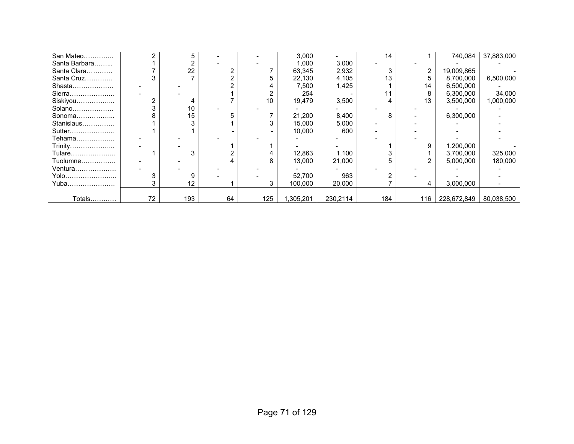| San Mateo     |    |     |    |     | 3,000     |          | 14  |     | 740,084     | 37,883,000 |
|---------------|----|-----|----|-----|-----------|----------|-----|-----|-------------|------------|
| Santa Barbara |    |     |    |     | 1,000     | 3,000    |     |     |             |            |
| Santa Clara   |    | 22  |    |     | 63,345    | 2,932    | ົ   | 2   | 19,009,865  |            |
| Santa Cruz    |    |     |    |     | 22,130    | 4,105    | 13  | h.  | 8,700,000   | 6,500,000  |
| Shasta        |    |     |    |     | 7,500     | 1,425    |     | 14  | 6,500,000   |            |
| Sierra        |    |     |    |     | 254       |          | 11  | 8   | 6,300,000   | 34,000     |
| Siskiyou      |    |     |    | 10  | 19,479    | 3,500    |     | 13  | 3,500,000   | 1,000,000  |
| Solano        |    | 10  |    |     |           |          |     |     |             |            |
| Sonoma        |    | 15  |    |     | 21,200    | 8,400    | 8   |     | 6,300,000   |            |
| Stanislaus    |    |     |    |     | 15,000    | 5,000    |     |     |             |            |
| Sutter        |    |     |    |     | 10,000    | 600      |     |     |             |            |
| Tehama        |    |     |    |     |           |          |     |     |             |            |
| Trinity       |    |     |    |     |           |          |     | 9   | 1,200,000   |            |
| Tulare        |    | 3   |    |     | 12,863    | 1,100    |     |     | 3,700,000   | 325,000    |
| Tuolumne      |    |     |    |     | 13,000    | 21,000   |     |     | 5,000,000   | 180,000    |
| Ventura       |    |     |    |     |           |          |     |     |             |            |
| Yolo          |    | 9   |    |     | 52,700    | 963      |     |     |             |            |
| Yuba          |    | 12  |    |     | 100.000   | 20,000   |     | 4   | 3.000.000   |            |
|               |    |     |    |     |           |          |     |     |             |            |
| Totals        | 72 | 193 | 64 | 125 | 1,305,201 | 230,2114 | 184 | 116 | 228,672,849 | 80,038,500 |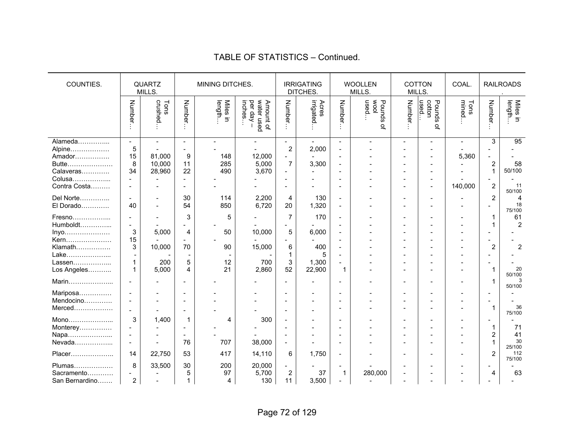#### QUARTZ MILLS. MINING DITCHES. **IRRIGATING** DITCHES. WOOLLEN MILLS. COTTON MILLS. COAL. | RAILROADS . COUNTIES. Number… crushed… Tons Number… length… Miles in inches… per day – Amount of water used Number… irrigated… Acres Number… used… wool Pounds of Number… used… cotton Pounds of mined… Tons Number… length… Miles in Alameda…………... - - - - - - - - - - - - 3 95 Alpine……………… | 5 | - | - | - | 2 | 2,000 | - | - | - | - | - | - | - | -Amador……………. | 15 | 81,000 | 9 | 148 | 12,000 | - | - | - | - | - | - | 5,360 | -Butte………………… | 8 | 10,000 | 11 | 285 | 5,000 | 7 | 3,300 | - | - | - | - | - | - | 2 | 58 Calaveras…………. | 34 | 28,960 | 22 | 490 | 3,670 | - | - | - | - | - | - | - | - | 1 | 50/100 Colusa……………... - - - - - - - - - - - - - - Contra Costa……… - - - - - - - - - - - 140,000 2 11 50/100 Del Norte…………... | - | - | 30 | 114 | 2,200 | 4 | 130 | - | - | - | - | - | - | 2 | 4 El Dorado…………. | 40 | - | 54 | 850 | 6,720 | 20 | 1,320 | - | - | - | - | - | - | <sub>75/100</sub> Fresno………………... | - | - | 3 | 5 | - | 7 | 170 | - | - | - | - | - | 1 | 61 Humboldt…………... - - - - - - - - - - - - 1 2 Inyo………………… 3 5,000 4 50 10,000 5 6,000 - - - - - - - Kern………………… 15 - - - - - - - - - - - - - Klamath……………. 3 10,000 70 90 15,000 6 400 - - - - - 2 2 ـ | Lake………………….. | - | - | - | - | - | - | - | - | - | - | - | - | - | -Lassen……………….. | 1 | 200 | 5 | 12 | 700 | 3 | 1,300 | - | - | - | - | - | - | - | - | -<br>Los Angeles | 1 | 5,000 | 4 | 21 | 2860 | 52 | 22,900 | 1 | - | - | - | - | - | 1 | - 20 Los Angeles……….. 1 5,000 4 21 2,860 52 22,900 1 - - - - 1 20 50/100 50/100 Marin………………... - - - - - - - - - - - - 1 3 50/100 Mariposa…………… - - - - - - - - - - - - - - Mendocino…………. - - - - - - - - - - - - - - 36 Merced……………… - - - - - - - - | - | - | - | - | 1| 36 75/100 Mono………………... 3 1,400 1 4 300 - - - - - - - - - Monterey…………… - - - - - - - - - - - - 1 71 Napa………………... - - - - - - - - - - - - 2 41 Nevada……………... - - 76 707 38,000 - - - - - - - 1 30 25/100 Placer……………….. 14 22,750 53 417 14,110 6 1,750 - - - - - 2 112 75/100 Plumas……………… 8 33,500 30 200 20,000 - - - - - - - - - - - -<br>Sacramento………… - - 5 97 5,700 2 37 1 280,000 - - - -Sacramento………… - - 5 97 5,700 2 37 1 280,000 - - - 4 63 San Bernardino……. | 2 | - | 1 | 4 | 130 | 11 | 3,500 | - | - | - | - | - | - | -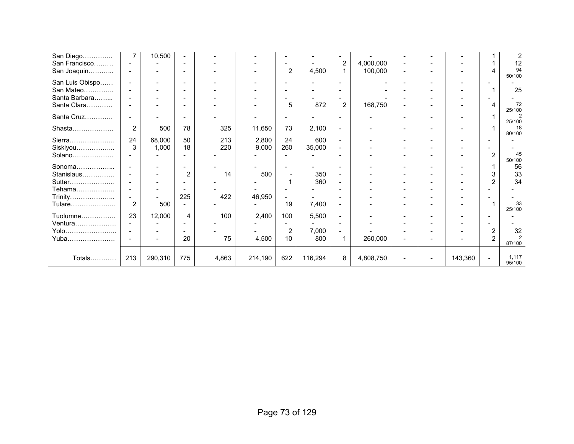| San Diego<br>San Francisco<br>San Joaquin | $\overline{7}$<br>$\overline{\phantom{a}}$ | 10,500                   | $\overline{\phantom{0}}$ |       |         | $\overline{\phantom{0}}$<br>$\overline{2}$           | 4,500   | $\overline{\mathbf{c}}$<br>$\mathbf{1}$ | 4,000,000<br>100,000 |   |                          |         |                | 12<br>94                 |
|-------------------------------------------|--------------------------------------------|--------------------------|--------------------------|-------|---------|------------------------------------------------------|---------|-----------------------------------------|----------------------|---|--------------------------|---------|----------------|--------------------------|
| San Luis Obispo                           | $\overline{\phantom{a}}$                   | $\blacksquare$           |                          |       |         | $\overline{\phantom{a}}$                             |         |                                         |                      |   |                          |         |                | 50/100                   |
| San Mateo<br>Santa Barbara                |                                            | $\overline{\phantom{a}}$ |                          |       |         | $\overline{\phantom{a}}$<br>$\overline{\phantom{a}}$ |         |                                         |                      |   |                          |         |                | 25                       |
| Santa Clara                               |                                            |                          |                          |       |         | 5                                                    | 872     | $\overline{2}$                          | 168,750              |   |                          |         | 4              | 72<br>25/100             |
| Santa Cruz                                | $\overline{\phantom{a}}$                   | ٠                        |                          |       |         | $\overline{\phantom{0}}$                             |         |                                         |                      |   |                          |         |                | 2<br>25/100              |
| Shasta                                    | $\overline{2}$                             | 500                      | 78                       | 325   | 11,650  | 73                                                   | 2,100   |                                         |                      |   |                          |         |                | 18<br>80/100             |
| Sierra                                    | 24                                         | 68,000                   | 50                       | 213   | 2,800   | 24                                                   | 600     |                                         |                      |   |                          |         |                |                          |
| Siskiyou<br>Solano                        | 3                                          | 1,000                    | 18                       | 220   | 9,000   | 260                                                  | 35,000  |                                         |                      |   |                          |         | $\overline{2}$ | 45<br>50/100             |
| $Sonoma$                                  |                                            |                          |                          |       |         |                                                      |         |                                         |                      |   |                          |         |                | 56                       |
| Stanislaus                                |                                            |                          | 2                        | 14    | 500     |                                                      | 350     |                                         |                      |   |                          |         |                | 33                       |
| Sutter                                    |                                            |                          |                          |       |         |                                                      | 360     |                                         |                      |   |                          |         | 2              | 34                       |
| Tehama                                    |                                            |                          |                          |       |         |                                                      |         |                                         |                      |   |                          |         |                |                          |
| Trinity                                   | $\overline{a}$                             |                          | 225                      | 422   | 46,950  | $\overline{\phantom{a}}$                             |         |                                         |                      |   |                          |         |                | 33                       |
| Tulare                                    | $\overline{2}$                             | 500                      |                          |       |         | 19                                                   | 7,400   |                                         |                      |   |                          |         |                | 25/100                   |
| Tuolumne                                  | 23                                         | 12,000                   | 4                        | 100   | 2,400   | 100                                                  | 5,500   |                                         |                      |   |                          |         |                |                          |
| Ventura                                   | $\overline{\phantom{a}}$                   |                          |                          |       |         |                                                      |         |                                         |                      |   |                          |         |                |                          |
| Yolo                                      |                                            |                          |                          |       |         | 2                                                    | 7,000   |                                         |                      |   |                          |         | $\overline{c}$ | 32                       |
| Yuba                                      |                                            | $\blacksquare$           | 20                       | 75    | 4,500   | 10                                                   | 800     | $\mathbf 1$                             | 260,000              | - |                          |         | $\overline{2}$ | $\overline{2}$<br>87/100 |
| Totals                                    | 213                                        | 290,310                  | 775                      | 4,863 | 214,190 | 622                                                  | 116,294 | 8                                       | 4,808,750            |   | $\overline{\phantom{a}}$ | 143,360 |                | 1,117<br>95/100          |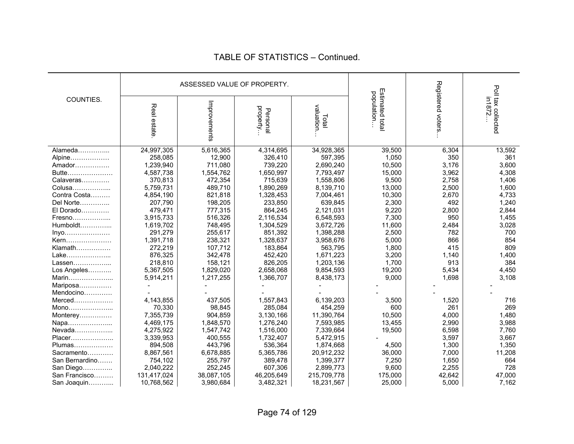|                |                           | ASSESSED VALUE OF PROPERTY. |                         |                           |                                |                   | Poll tax collected |
|----------------|---------------------------|-----------------------------|-------------------------|---------------------------|--------------------------------|-------------------|--------------------|
| COUNTIES.      | Real estate               | Improvements                | property<br>Personal    | valuation<br>Total        | Estimated total<br>population. | Registered voters |                    |
| Alameda        | 24,997,305                | 5,616,365                   | 4,314,695               | 34,928,365                | 39,500                         | 6,304             | 13,592             |
| Alpine         | 258,085                   | 12,900                      | 326,410                 | 597,395                   | 1,050                          | 350               | 361                |
| Amador         | 1,239,940                 | 711,080                     | 739,220                 | 2,690,240                 | 10,500                         | 3,176             | 3,600              |
| Butte          | 4,587,738                 | 1,554,762                   | 1,650,997               | 7,793,497                 | 15,000                         | 3,962             | 4,308              |
| Calaveras      | 370,813                   | 472,354                     | 715,639                 | 1,558,806                 | 9,500                          | 2,758             | 1,406              |
| Colusa         | 5,759,731                 | 489,710                     | 1,890,269               | 8,139,710                 | 13,000                         | 2,500             | 1,600              |
| Contra Costa   | 4,854,190                 | 821,818                     | 1,328,453               | 7,004,461                 | 10,300                         | 2,670             | 4,733              |
| Del Norte      | 207,790                   | 198,205                     | 233,850                 | 639,845                   | 2,300                          | 492               | 1,240              |
| El Dorado      | 479,471                   | 777,315                     | 864,245                 | 2,121,031                 | 9,220                          | 2,800             | 2,844              |
| Fresno         | 3,915,733                 | 516,326                     | 2,116,534               | 6,548,593                 | 7,300                          | 950               | 1,455              |
| $Humboldt$     | 1,619,702                 | 748,495                     | 1,304,529               | 3,672,726                 | 11,600                         | 2,484             | 3,028              |
| $inyo$         | 291,279                   | 255,617                     | 851,392                 | 1,398,288                 | 2,500                          | 782               | 700                |
| Kern           | 1,391,718                 | 238,321                     | 1,328,637               | 3,958,676                 | 5,000                          | 866               | 854                |
| Klamath        | 272,219                   | 107,712                     | 183,864                 | 563,795                   | 1,800                          | 415               | 809                |
| Lake           | 876,325                   | 342,478                     | 452,420                 | 1,671,223                 | 3,200                          | 1,140             | 1,400              |
| Lassen         | 218,810                   | 158,121                     | 826,205                 | 1,203,136                 | 1,700                          | 913               | 384                |
| Los Angeles    | 5,367,505                 | 1,829,020                   | 2,658,068               | 9,854,593                 | 19,200                         | 5,434             | 4,450              |
| Marin          | 5,914,211                 | 1,217,255                   | 1,366,707               | 8,438,173                 | 9,000                          | 1,698             | 3,108              |
| Mariposa       |                           |                             |                         |                           |                                |                   |                    |
| Mendocino      |                           |                             |                         |                           |                                |                   |                    |
| Merced         | 4,143,855                 | 437,505                     | 1,557,843               | 6,139,203                 | 3,500                          | 1,520             | 716                |
| Mono           | 70,330                    | 98,845                      | 285,084                 | 454,259                   | 600                            | 261               | 269                |
| Monterey       | 7,355,739                 | 904,859                     | 3,130,166               | 11,390,764                | 10,500                         | 4,000             | 1,480              |
| Napa           | 4,469,175                 | 1,848,570                   | 1,276,240               | 7,593,985                 | 13,455                         | 2,990             | 3,988              |
| Nevada         | 4,275,922                 | 1,547,742                   | 1,516,000               | 7,339,664                 | 19,500                         | 6,598             | 7,760              |
| Placer         | 3,339,953                 | 400,555                     | 1,732,407               | 5,472,915                 |                                | 3,597             | 3,667              |
| Plumas         | 894,508                   | 443,796                     | 536,364                 | 1,874,668                 | 4,500                          | 1,300             | 1,350              |
| Sacramento     | 8,867,561                 | 6,678,885<br>255,797        | 5,365,786<br>389,478    | 20,912,232                | 36,000                         | 7,000             | 11,208<br>664      |
| San Bernardino | 754,102                   | 252,245                     | 607,306                 | 1,399,377<br>2,899,773    | 7,250<br>9,600                 | 1,650<br>2,255    | 728                |
| San Diego      | 2,040,222                 | 38,087,105                  |                         |                           | 175,000                        | 42,642            | 47,000             |
| San Francisco  | 131,417,024<br>10,768,562 | 3,980,684                   | 46,205,649<br>3,482,321 | 215,709,778<br>18,231,567 | 25,000                         | 5,000             | 7,162              |
| San Joaquin    |                           |                             |                         |                           |                                |                   |                    |

#### TABLE OF STATISTICS – Continued.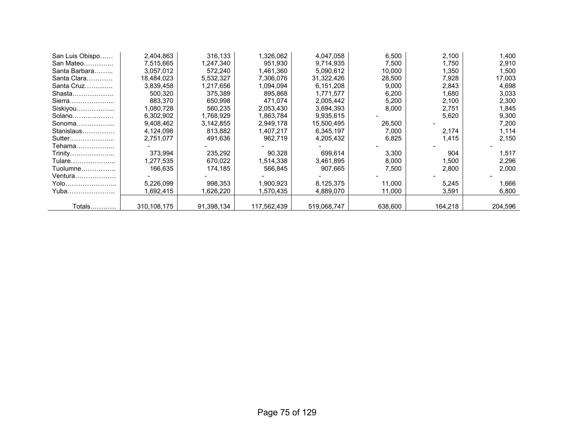| San Luis Obispo | 2,404,863   | 316.133    | 1,326,062   | 4,047,058   | 6,500   | 2,100   | 1,400   |
|-----------------|-------------|------------|-------------|-------------|---------|---------|---------|
| San Mateo       | 7.515.665   | 1,247,340  | 951.930     | 9,714,935   | 7.500   | 1,750   | 2,910   |
| Santa Barbara   | 3,057,012   | 572,240    | 1,461,360   | 5,090,612   | 10,000  | 1,350   | 1,500   |
| Santa Clara     | 18,484,023  | 5,532,327  | 7,306,076   | 31,322,426  | 28,500  | 7,928   | 17,003  |
| Santa Cruz      | 3,839,458   | 1,217,656  | 1,094,094   | 6,151,208   | 9,000   | 2,843   | 4,698   |
| Shasta          | 500.320     | 375,389    | 895,868     | 1,771,577   | 6,200   | 1,680   | 3,033   |
| Sierra          | 883,370     | 650,998    | 471,074     | 2,005,442   | 5,200   | 2,100   | 2,300   |
| Siskiyou        | 1,080,728   | 560,235    | 2,053,430   | 3,694,393   | 8,000   | 2,751   | 1,845   |
| Solano          | 6,302,902   | 1,768,929  | 1,863,784   | 9,935,615   |         | 5,620   | 9,300   |
| Sonoma          | 9,408,462   | 3,142,855  | 2,949,178   | 15,500,495  | 26,500  |         | 7,200   |
| Stanislaus      | 4,124,098   | 813,882    | 1,407,217   | 6,345,197   | 7,000   | 2,174   | 1,114   |
| Sutter          | 2,751,077   | 491,636    | 962,719     | 4,205,432   | 6,825   | 1,415   | 2,150   |
| Tehama          |             |            |             |             |         |         |         |
| Trinity         | 373.994     | 235,292    | 90,328      | 699.614     | 3,300   | 904     | 1,517   |
| Tulare          | 1,277,535   | 670,022    | 1,514,338   | 3,461,895   | 8,000   | 1,500   | 2,296   |
| Tuolumne        | 166,635     | 174,185    | 566,845     | 907.665     | 7,500   | 2,800   | 2,000   |
| Ventura         |             |            |             |             |         |         |         |
| Yolo……………………    | 5,226,099   | 998,353    | 1,900,923   | 8,125,375   | 11,000  | 5,245   | 1,666   |
| Yuba            | 1,692,415   | .626,220   | 1,570,435   | 4,889,070   | 11,000  | 3,591   | 6,800   |
|                 |             |            |             |             |         |         |         |
| Totals…………      | 310,108,175 | 91,398,134 | 117,562,439 | 519,068,747 | 638,600 | 164,218 | 204,596 |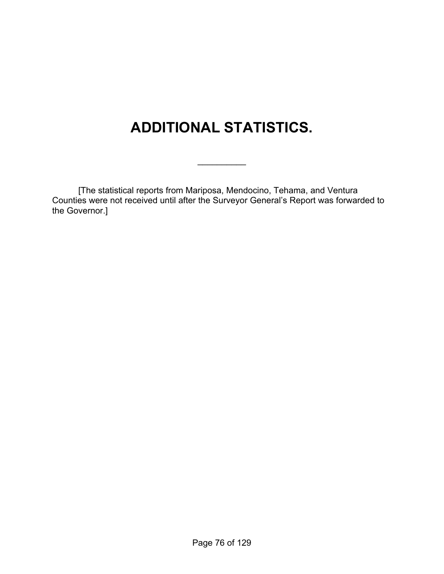# **ADDITIONAL STATISTICS.**

 $\frac{1}{2}$ 

 [The statistical reports from Mariposa, Mendocino, Tehama, and Ventura Counties were not received until after the Surveyor General's Report was forwarded to the Governor.]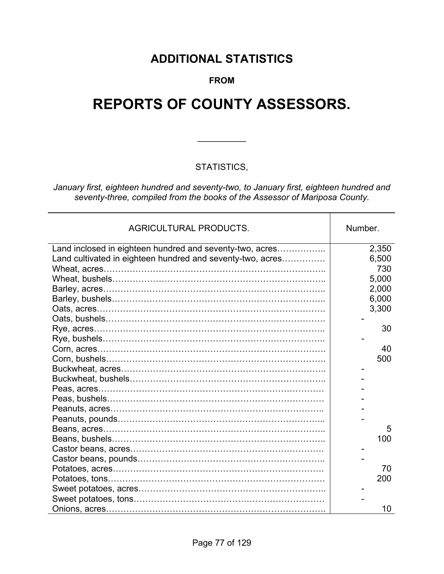# **ADDITIONAL STATISTICS**

### **FROM**

# **REPORTS OF COUNTY ASSESSORS.**

### STATISTICS,

 $\frac{1}{2}$ 

*January first, eighteen hundred and seventy-two, to January first, eighteen hundred and seventy-three, compiled from the books of the Assessor of Mariposa County.* 

| <b>AGRICULTURAL PRODUCTS.</b>                              | Number. |
|------------------------------------------------------------|---------|
| Land inclosed in eighteen hundred and seventy-two, acres   | 2,350   |
| Land cultivated in eighteen hundred and seventy-two, acres | 6,500   |
|                                                            | 730     |
|                                                            | 5,000   |
|                                                            | 2,000   |
|                                                            | 6,000   |
|                                                            | 3,300   |
|                                                            |         |
|                                                            | 30      |
|                                                            |         |
|                                                            | 40      |
|                                                            | 500     |
|                                                            |         |
|                                                            |         |
|                                                            |         |
|                                                            |         |
|                                                            |         |
|                                                            |         |
|                                                            | 5       |
|                                                            | 100     |
|                                                            |         |
|                                                            |         |
|                                                            | 70      |
|                                                            | 200     |
|                                                            |         |
|                                                            |         |
|                                                            | 10      |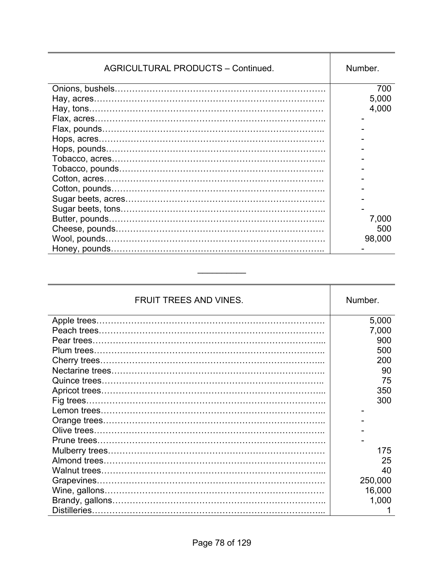| <b>AGRICULTURAL PRODUCTS - Continued.</b> | Number. |
|-------------------------------------------|---------|
|                                           | 700     |
|                                           | 5,000   |
|                                           | 4,000   |
|                                           |         |
|                                           |         |
|                                           |         |
|                                           |         |
|                                           |         |
|                                           |         |
|                                           |         |
|                                           |         |
|                                           |         |
|                                           |         |
|                                           | 7,000   |
|                                           | 500     |
|                                           | 98,000  |
|                                           |         |

| <b>FRUIT TREES AND VINES.</b> | Number. |
|-------------------------------|---------|
|                               | 5,000   |
|                               | 7,000   |
|                               | 900     |
|                               | 500     |
|                               | 200     |
|                               | 90      |
|                               | 75      |
|                               | 350     |
|                               | 300     |
|                               |         |
|                               |         |
|                               |         |
|                               |         |
|                               | 175     |
|                               | 25      |
|                               | 40      |
|                               | 250,000 |
|                               | 16,000  |
|                               | 1,000   |
|                               |         |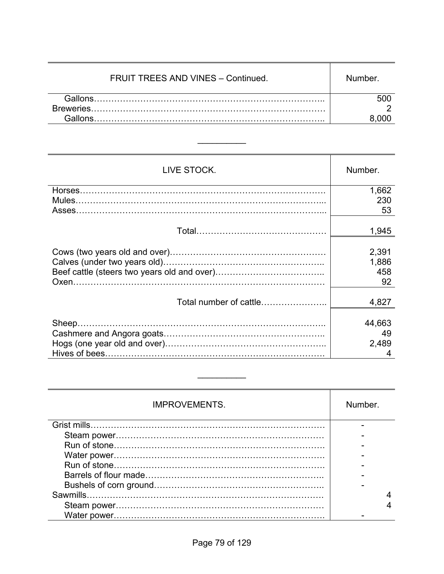| FRUIT TREES AND VINES - Continued. | Number |
|------------------------------------|--------|
| Gallons                            |        |
|                                    |        |
|                                    |        |

| LIVE STOCK.            | Number. |
|------------------------|---------|
|                        | 1,662   |
|                        | 230     |
|                        | 53      |
|                        | 1,945   |
|                        | 2,391   |
|                        | 1,886   |
|                        | 458     |
|                        | 92      |
| Total number of cattle | 4,827   |
|                        | 44,663  |
|                        | 49      |
|                        | 2,489   |
|                        | 4       |

| <b>IMPROVEMENTS.</b> | Number. |
|----------------------|---------|
|                      |         |
|                      |         |
|                      |         |
|                      |         |
|                      |         |
|                      |         |
|                      |         |
|                      |         |
|                      |         |
|                      |         |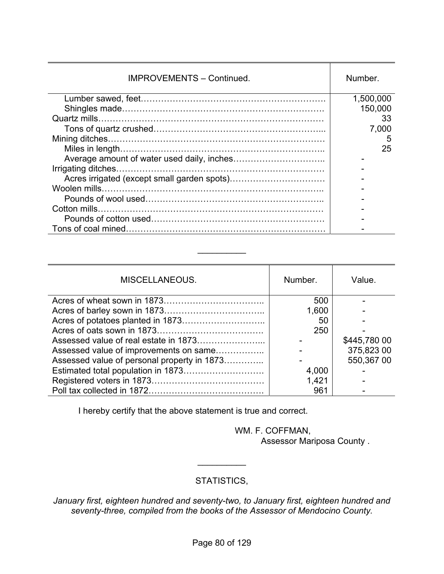| <b>IMPROVEMENTS - Continued.</b> | Number.   |
|----------------------------------|-----------|
|                                  | 1,500,000 |
|                                  | 150,000   |
|                                  | 33        |
|                                  | 7,000     |
|                                  | 5         |
|                                  | 25        |
|                                  |           |
|                                  |           |
|                                  |           |
|                                  |           |
|                                  |           |
|                                  |           |
|                                  |           |
|                                  |           |

| MISCELLANEOUS.                              | Number. | Value.       |
|---------------------------------------------|---------|--------------|
|                                             | 500     |              |
|                                             | 1,600   |              |
|                                             | 50      |              |
|                                             | 250     |              |
|                                             |         | \$445,780 00 |
| Assessed value of improvements on same      |         | 375,823 00   |
| Assessed value of personal property in 1873 |         | 550,367 00   |
|                                             | 4,000   |              |
|                                             | 1,421   |              |
|                                             | 961     |              |

I hereby certify that the above statement is true and correct.

 WM. F. COFFMAN, Assessor Mariposa County .

### STATISTICS,

 $\frac{1}{2}$ 

*January first, eighteen hundred and seventy-two, to January first, eighteen hundred and seventy-three, compiled from the books of the Assessor of Mendocino County.*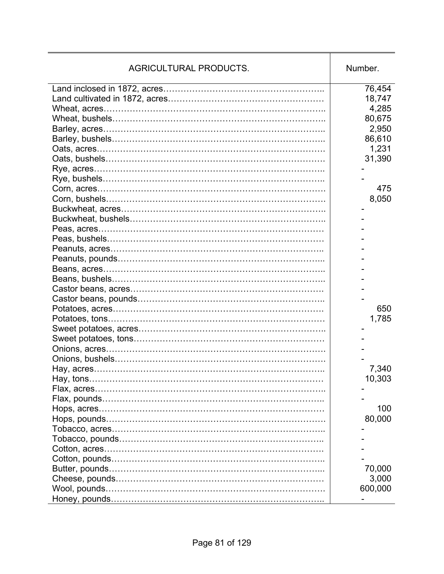| <b>AGRICULTURAL PRODUCTS.</b> | Number. |
|-------------------------------|---------|
|                               | 76,454  |
|                               | 18,747  |
|                               | 4,285   |
|                               | 80,675  |
|                               | 2,950   |
|                               | 86,610  |
|                               | 1,231   |
|                               | 31,390  |
|                               |         |
|                               |         |
|                               | 475     |
|                               | 8,050   |
|                               |         |
|                               |         |
|                               |         |
|                               |         |
|                               |         |
|                               |         |
|                               |         |
|                               |         |
|                               |         |
|                               |         |
|                               | 650     |
|                               | 1,785   |
|                               |         |
|                               |         |
|                               |         |
|                               |         |
|                               | 7,340   |
|                               | 10,303  |
|                               |         |
|                               |         |
|                               | 100     |
|                               | 80,000  |
|                               |         |
|                               |         |
|                               |         |
|                               |         |
|                               |         |
|                               | 70,000  |
|                               | 3,000   |
|                               | 600,000 |
|                               |         |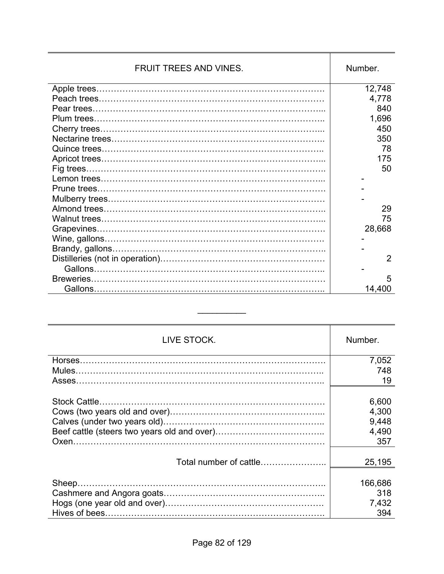| FRUIT TREES AND VINES. | Number. |
|------------------------|---------|
|                        | 12,748  |
|                        | 4,778   |
|                        | 840     |
|                        | 1,696   |
|                        | 450     |
|                        | 350     |
|                        | 78      |
|                        | 175     |
|                        | 50      |
|                        |         |
|                        |         |
|                        |         |
|                        | 29      |
|                        | 75      |
|                        | 28,668  |
|                        |         |
|                        |         |
|                        | 2       |
|                        |         |
| Breweries.             | 5       |
|                        | 14,400  |

| LIVE STOCK.            | Number. |
|------------------------|---------|
|                        | 7,052   |
|                        | 748     |
|                        | 19      |
|                        |         |
|                        | 6,600   |
|                        | 4,300   |
|                        | 9,448   |
|                        | 4,490   |
|                        | 357     |
|                        |         |
| Total number of cattle | 25,195  |
|                        |         |
|                        | 166,686 |
|                        | 318     |
|                        | 7,432   |
|                        | 394     |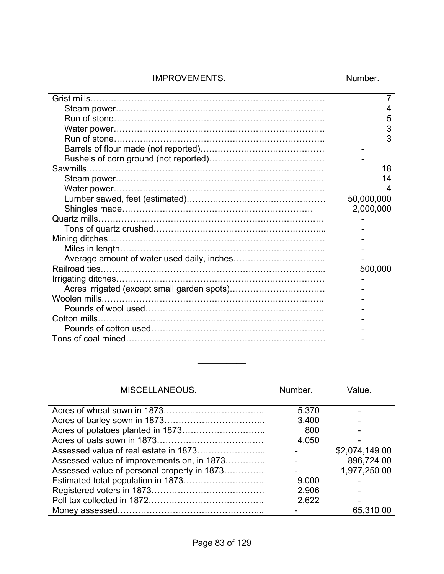| <b>IMPROVEMENTS.</b> | Number.    |
|----------------------|------------|
|                      |            |
|                      | 4          |
|                      | 5          |
|                      | 3          |
|                      | 3          |
|                      |            |
|                      |            |
|                      | 18         |
|                      | 14         |
|                      | 4          |
|                      | 50,000,000 |
|                      | 2,000,000  |
|                      |            |
|                      |            |
|                      |            |
|                      |            |
|                      |            |
|                      | 500,000    |
|                      |            |
|                      |            |
|                      |            |
|                      |            |
|                      |            |
|                      |            |
|                      |            |

| MISCELLANEOUS.                              | Number. | Value.         |
|---------------------------------------------|---------|----------------|
|                                             | 5,370   |                |
|                                             | 3,400   |                |
|                                             | 800     |                |
|                                             | 4,050   |                |
|                                             |         | \$2,074,149 00 |
| Assessed value of improvements on, in 1873  |         | 896,724 00     |
| Assessed value of personal property in 1873 |         | 1,977,250 00   |
|                                             | 9,000   |                |
|                                             | 2,906   |                |
|                                             | 2,622   |                |
|                                             |         | 65,310 00      |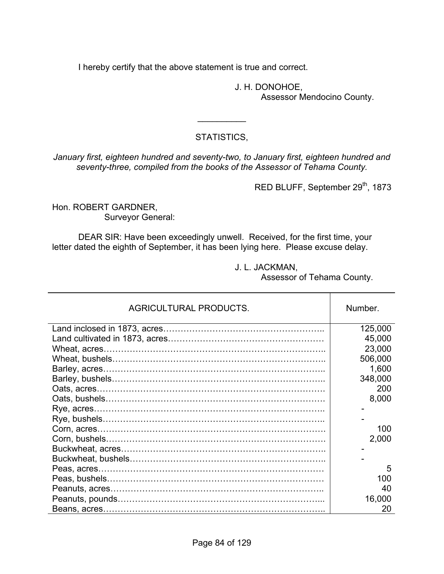I hereby certify that the above statement is true and correct.

J. H. DONOHOE, Assessor Mendocino County.

### STATISTICS,

 $\frac{1}{2}$ 

*January first, eighteen hundred and seventy-two, to January first, eighteen hundred and seventy-three, compiled from the books of the Assessor of Tehama County.* 

RED BLUFF, September 29<sup>th</sup>, 1873

Hon. ROBERT GARDNER, Surveyor General:

 DEAR SIR: Have been exceedingly unwell. Received, for the first time, your letter dated the eighth of September, it has been lying here. Please excuse delay.

J. L. JACKMAN,

Assessor of Tehama County.

| <b>AGRICULTURAL PRODUCTS.</b> | Number. |
|-------------------------------|---------|
|                               | 125,000 |
|                               | 45,000  |
|                               | 23,000  |
|                               | 506,000 |
|                               | 1,600   |
|                               | 348,000 |
|                               | 200     |
|                               | 8,000   |
|                               |         |
|                               |         |
|                               | 100     |
|                               | 2,000   |
|                               |         |
|                               |         |
|                               | 5       |
|                               | 100     |
|                               | 40      |
|                               | 16,000  |
|                               | 20      |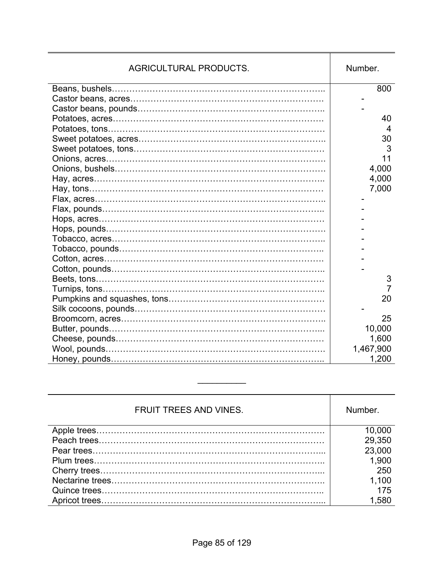| <b>AGRICULTURAL PRODUCTS.</b> | Number.   |
|-------------------------------|-----------|
|                               | 800       |
|                               |           |
|                               |           |
|                               | 40        |
|                               | 4         |
|                               | 30        |
|                               | 3         |
|                               | 11        |
|                               | 4,000     |
|                               | 4,000     |
|                               | 7,000     |
|                               |           |
|                               |           |
|                               |           |
|                               |           |
|                               |           |
|                               |           |
|                               |           |
|                               |           |
|                               | 3         |
|                               | 7         |
|                               | 20        |
|                               |           |
|                               | 25        |
|                               | 10,000    |
|                               | 1,600     |
|                               | 1,467,900 |
|                               | 1,200     |

| <b>FRUIT TREES AND VINES.</b> | Number. |
|-------------------------------|---------|
|                               | 10,000  |
|                               | 29,350  |
|                               | 23,000  |
|                               | 1,900   |
|                               | 250     |
|                               | 1,100   |
|                               | 175     |
|                               | 1,580   |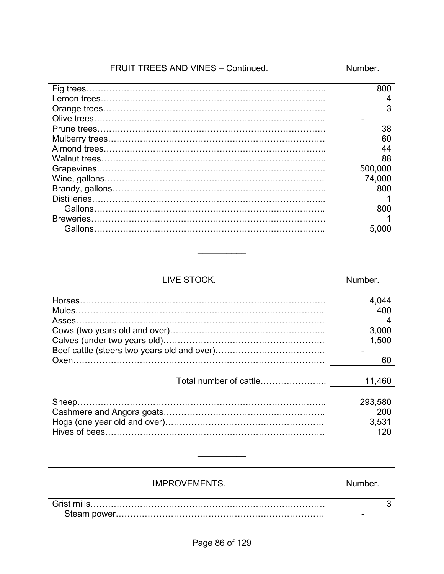| <b>FRUIT TREES AND VINES - Continued.</b> | Number. |
|-------------------------------------------|---------|
|                                           | 800     |
|                                           | 4       |
|                                           | 3       |
|                                           |         |
|                                           | 38      |
|                                           | 60      |
|                                           | 44      |
|                                           | 88      |
|                                           | 500,000 |
|                                           | 74,000  |
|                                           | 800     |
| Distilleries.                             |         |
| Gallons.                                  | 800     |
| Breweries.                                |         |
| Gallons                                   | 5.000   |

| LIVE STOCK.            | Number. |
|------------------------|---------|
|                        | 4,044   |
|                        | 400     |
| Asses.                 |         |
|                        | 3,000   |
|                        | 1,500   |
|                        |         |
|                        | 60      |
|                        |         |
| Total number of cattle | 11,460  |
|                        |         |
|                        | 293,580 |
|                        | 200     |
|                        | 3,531   |
|                        | 120     |

| <b>IMPROVEMENTS.</b> | Number. |
|----------------------|---------|
| Grist mills.         |         |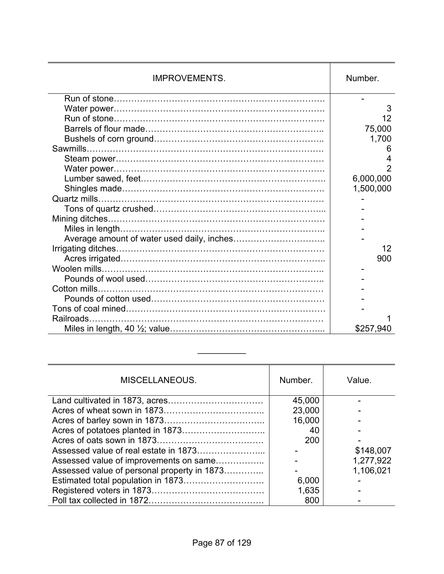| <b>IMPROVEMENTS.</b> | Number.   |
|----------------------|-----------|
|                      |           |
|                      | 3         |
|                      | 12        |
|                      | 75,000    |
|                      | 1,700     |
|                      | 6         |
|                      | 4         |
|                      |           |
|                      | 6,000,000 |
|                      | 1,500,000 |
|                      |           |
|                      |           |
|                      |           |
|                      |           |
|                      |           |
|                      | 12        |
|                      | 900       |
|                      |           |
|                      |           |
|                      |           |
|                      |           |
|                      |           |
| Railroads.           |           |
|                      | \$257,940 |

| MISCELLANEOUS.                              | Number. | Value.    |
|---------------------------------------------|---------|-----------|
|                                             | 45,000  |           |
|                                             | 23,000  |           |
|                                             | 16,000  |           |
|                                             | 40      |           |
|                                             | 200     |           |
|                                             |         | \$148,007 |
| Assessed value of improvements on same      |         | 1,277,922 |
| Assessed value of personal property in 1873 |         | 1,106,021 |
|                                             | 6,000   |           |
|                                             | 1,635   |           |
|                                             | 800     |           |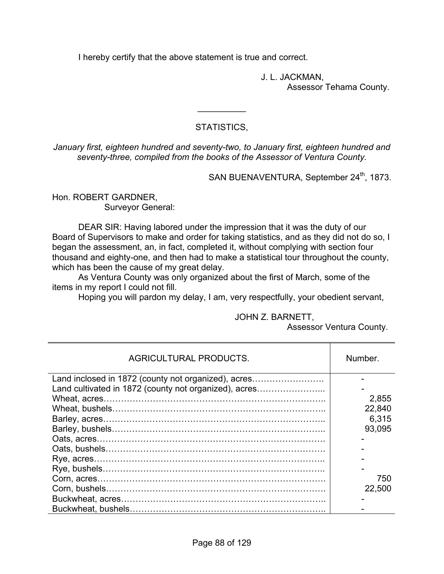I hereby certify that the above statement is true and correct.

 J. L. JACKMAN, Assessor Tehama County.

### STATISTICS,

 $\frac{1}{2}$ 

*January first, eighteen hundred and seventy-two, to January first, eighteen hundred and seventy-three, compiled from the books of the Assessor of Ventura County.* 

SAN BUENAVENTURA, September 24<sup>th</sup>, 1873.

Hon. ROBERT GARDNER, Surveyor General:

 DEAR SIR: Having labored under the impression that it was the duty of our Board of Supervisors to make and order for taking statistics, and as they did not do so, I began the assessment, an, in fact, completed it, without complying with section four thousand and eighty-one, and then had to make a statistical tour throughout the county, which has been the cause of my great delay.

 As Ventura County was only organized about the first of March, some of the items in my report I could not fill.

Hoping you will pardon my delay, I am, very respectfully, your obedient servant,

#### JOHN Z. BARNETT,

Assessor Ventura County.

| <b>AGRICULTURAL PRODUCTS.</b>                         | Number. |
|-------------------------------------------------------|---------|
| Land inclosed in 1872 (county not organized), acres   |         |
| Land cultivated in 1872 (county not organized), acres |         |
|                                                       | 2,855   |
|                                                       | 22,840  |
|                                                       | 6,315   |
|                                                       | 93,095  |
|                                                       |         |
|                                                       |         |
|                                                       |         |
|                                                       |         |
|                                                       | 750     |
|                                                       | 22,500  |
|                                                       |         |
|                                                       |         |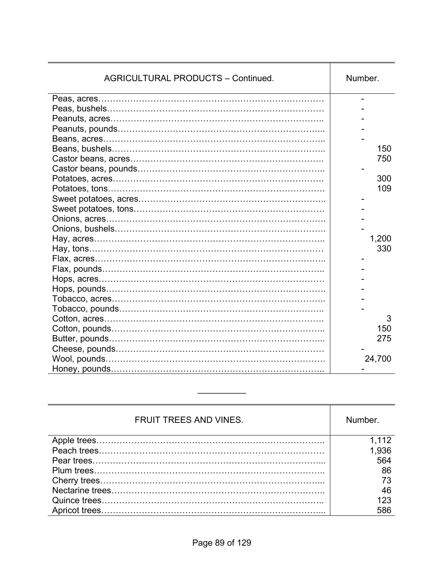| <b>AGRICULTURAL PRODUCTS - Continued.</b> | Number. |
|-------------------------------------------|---------|
|                                           |         |
|                                           |         |
|                                           |         |
|                                           |         |
|                                           |         |
|                                           | 150     |
|                                           | 750     |
|                                           |         |
|                                           | 300     |
|                                           | 109     |
|                                           |         |
|                                           |         |
|                                           |         |
|                                           |         |
|                                           | 1,200   |
|                                           | 330     |
|                                           |         |
|                                           |         |
|                                           |         |
|                                           |         |
|                                           |         |
|                                           |         |
|                                           | 3       |
|                                           | 150     |
|                                           | 275     |
|                                           |         |
|                                           | 24,700  |
|                                           |         |

| <b>FRUIT TREES AND VINES.</b> | Number. |
|-------------------------------|---------|
|                               | 1,112   |
|                               | 1,936   |
|                               | 564     |
|                               | 86      |
|                               | 73      |
|                               | 46      |
|                               | 123     |
|                               | 586     |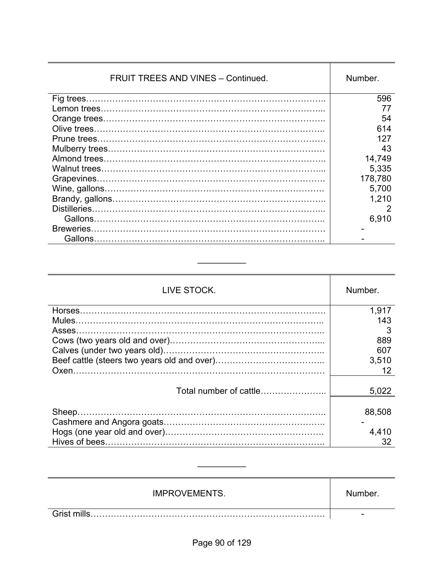| <b>FRUIT TREES AND VINES - Continued.</b> | Number. |
|-------------------------------------------|---------|
|                                           | 596     |
|                                           |         |
|                                           | 54      |
|                                           | 614     |
|                                           | 127     |
|                                           | 43      |
|                                           | 14,749  |
|                                           | 5,335   |
|                                           | 178,780 |
|                                           | 5,700   |
|                                           | 1,210   |
|                                           | 2       |
|                                           | 6,910   |
| Breweries.                                |         |
| Gallons                                   |         |

| LIVE STOCK.            | Number.     |
|------------------------|-------------|
|                        | 1,917       |
|                        | 143         |
| Asses.                 |             |
|                        | 889         |
|                        | 607         |
|                        | 3,510       |
|                        | 12          |
|                        |             |
| Total number of cattle | 5,022       |
|                        | 88,508      |
|                        | 4,410<br>32 |

| <b>IMPROVEMENTS.</b> | Number. |
|----------------------|---------|
|                      | -       |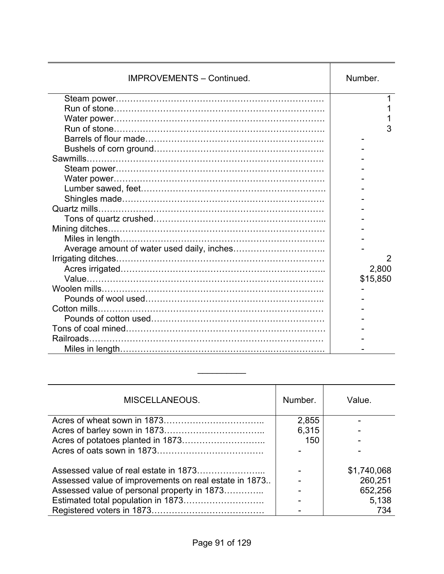| <b>IMPROVEMENTS - Continued.</b> | Number.        |
|----------------------------------|----------------|
|                                  |                |
|                                  |                |
|                                  |                |
|                                  | 3              |
|                                  |                |
|                                  |                |
|                                  |                |
|                                  |                |
|                                  |                |
|                                  |                |
|                                  |                |
|                                  |                |
|                                  |                |
|                                  |                |
|                                  |                |
|                                  |                |
|                                  | $\overline{2}$ |
|                                  | 2,800          |
|                                  | \$15,850       |
|                                  |                |
|                                  |                |
|                                  |                |
|                                  |                |
|                                  |                |
| Railroads.                       |                |
|                                  |                |

| MISCELLANEOUS.                                        | Number. | Value.      |
|-------------------------------------------------------|---------|-------------|
|                                                       | 2,855   |             |
|                                                       | 6,315   |             |
|                                                       | 150     |             |
|                                                       |         |             |
|                                                       |         | \$1,740,068 |
| Assessed value of improvements on real estate in 1873 |         | 260,251     |
| Assessed value of personal property in 1873           |         | 652,256     |
|                                                       |         | 5,138       |
|                                                       |         | 734         |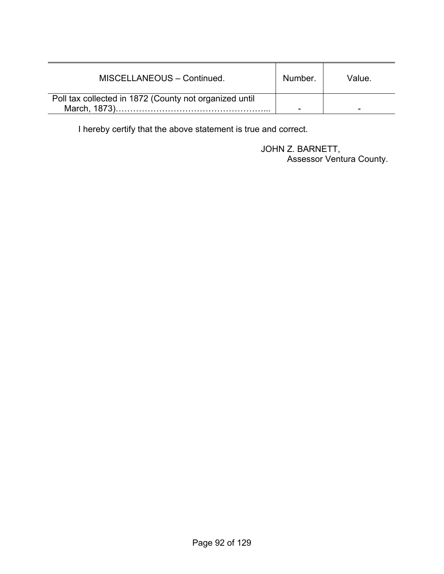| MISCELLANEOUS - Continued.                             | Number. | Value. |
|--------------------------------------------------------|---------|--------|
| Poll tax collected in 1872 (County not organized until |         |        |
| March, 1873)                                           |         |        |

I hereby certify that the above statement is true and correct.

 JOHN Z. BARNETT, Assessor Ventura County.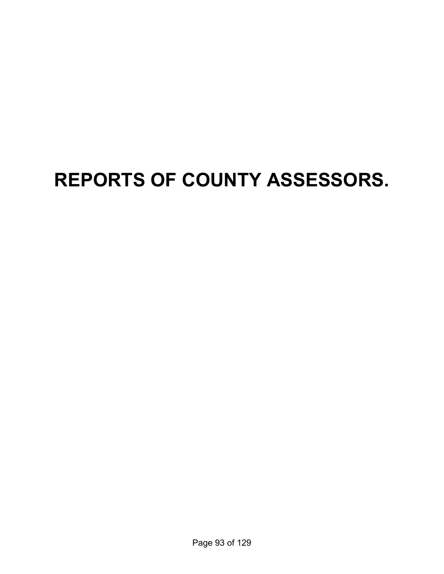# **REPORTS OF COUNTY ASSESSORS.**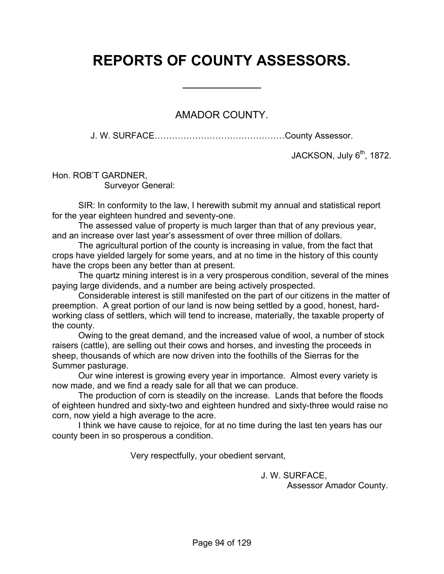# **REPORTS OF COUNTY ASSESSORS.**

 $\overline{a}$ 

### AMADOR COUNTY.

J. W. SURFACE………………………………………County Assessor.

JACKSON, July  $6<sup>th</sup>$ , 1872.

Hon. ROB'T GARDNER, Surveyor General:

 SIR: In conformity to the law, I herewith submit my annual and statistical report for the year eighteen hundred and seventy-one.

 The assessed value of property is much larger than that of any previous year, and an increase over last year's assessment of over three million of dollars.

 The agricultural portion of the county is increasing in value, from the fact that crops have yielded largely for some years, and at no time in the history of this county have the crops been any better than at present.

 The quartz mining interest is in a very prosperous condition, several of the mines paying large dividends, and a number are being actively prospected.

 Considerable interest is still manifested on the part of our citizens in the matter of preemption. A great portion of our land is now being settled by a good, honest, hardworking class of settlers, which will tend to increase, materially, the taxable property of the county.

 Owing to the great demand, and the increased value of wool, a number of stock raisers (cattle), are selling out their cows and horses, and investing the proceeds in sheep, thousands of which are now driven into the foothills of the Sierras for the Summer pasturage.

 Our wine interest is growing every year in importance. Almost every variety is now made, and we find a ready sale for all that we can produce.

 The production of corn is steadily on the increase. Lands that before the floods of eighteen hundred and sixty-two and eighteen hundred and sixty-three would raise no corn, now yield a high average to the acre.

 I think we have cause to rejoice, for at no time during the last ten years has our county been in so prosperous a condition.

Very respectfully, your obedient servant,

J. W. SURFACE,

Assessor Amador County.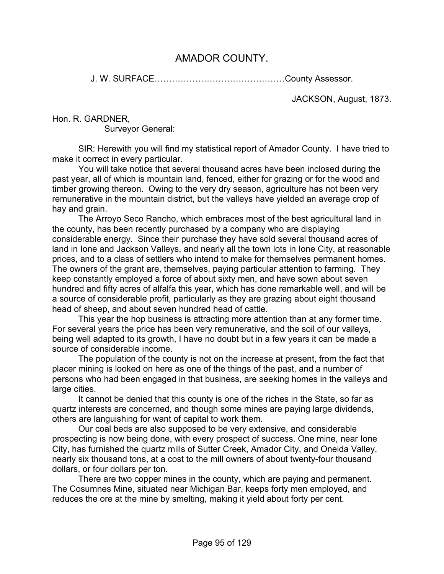## AMADOR COUNTY.

J. W. SURFACE………………………………………County Assessor.

JACKSON, August, 1873.

Hon. R. GARDNER,

Surveyor General:

 SIR: Herewith you will find my statistical report of Amador County. I have tried to make it correct in every particular.

 You will take notice that several thousand acres have been inclosed during the past year, all of which is mountain land, fenced, either for grazing or for the wood and timber growing thereon. Owing to the very dry season, agriculture has not been very remunerative in the mountain district, but the valleys have yielded an average crop of hay and grain.

 The Arroyo Seco Rancho, which embraces most of the best agricultural land in the county, has been recently purchased by a company who are displaying considerable energy. Since their purchase they have sold several thousand acres of land in Ione and Jackson Valleys, and nearly all the town lots in Ione City, at reasonable prices, and to a class of settlers who intend to make for themselves permanent homes. The owners of the grant are, themselves, paying particular attention to farming. They keep constantly employed a force of about sixty men, and have sown about seven hundred and fifty acres of alfalfa this year, which has done remarkable well, and will be a source of considerable profit, particularly as they are grazing about eight thousand head of sheep, and about seven hundred head of cattle.

 This year the hop business is attracting more attention than at any former time. For several years the price has been very remunerative, and the soil of our valleys, being well adapted to its growth, I have no doubt but in a few years it can be made a source of considerable income.

 The population of the county is not on the increase at present, from the fact that placer mining is looked on here as one of the things of the past, and a number of persons who had been engaged in that business, are seeking homes in the valleys and large cities.

 It cannot be denied that this county is one of the riches in the State, so far as quartz interests are concerned, and though some mines are paying large dividends, others are languishing for want of capital to work them.

 Our coal beds are also supposed to be very extensive, and considerable prospecting is now being done, with every prospect of success. One mine, near Ione City, has furnished the quartz mills of Sutter Creek, Amador City, and Oneida Valley, nearly six thousand tons, at a cost to the mill owners of about twenty-four thousand dollars, or four dollars per ton.

 There are two copper mines in the county, which are paying and permanent. The Cosumnes Mine, situated near Michigan Bar, keeps forty men employed, and reduces the ore at the mine by smelting, making it yield about forty per cent.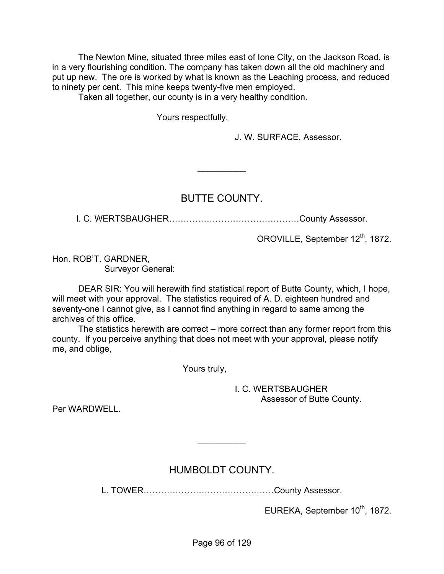The Newton Mine, situated three miles east of Ione City, on the Jackson Road, is in a very flourishing condition. The company has taken down all the old machinery and put up new. The ore is worked by what is known as the Leaching process, and reduced to ninety per cent. This mine keeps twenty-five men employed.

Taken all together, our county is in a very healthy condition.

Yours respectfully,

J. W. SURFACE, Assessor.

### BUTTE COUNTY.

 $\frac{1}{2}$ 

I. C. WERTSBAUGHER………………………………………County Assessor.

OROVILLE, September 12<sup>th</sup>, 1872.

Hon. ROB'T. GARDNER, Surveyor General:

 DEAR SIR: You will herewith find statistical report of Butte County, which, I hope, will meet with your approval. The statistics required of A. D. eighteen hundred and seventy-one I cannot give, as I cannot find anything in regard to same among the archives of this office.

 The statistics herewith are correct – more correct than any former report from this county. If you perceive anything that does not meet with your approval, please notify me, and oblige,

Yours truly,

 I. C. WERTSBAUGHER Assessor of Butte County.

Per WARDWELL.

# HUMBOLDT COUNTY.

 $\frac{1}{2}$ 

L. TOWER………………………………………County Assessor.

EUREKA, September 10<sup>th</sup>, 1872.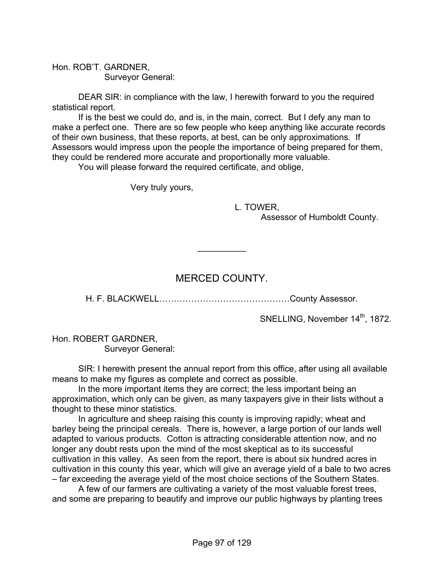Hon. ROB'T. GARDNER, Surveyor General:

 DEAR SIR: in compliance with the law, I herewith forward to you the required statistical report.

 If is the best we could do, and is, in the main, correct. But I defy any man to make a perfect one. There are so few people who keep anything like accurate records of their own business, that these reports, at best, can be only approximations. If Assessors would impress upon the people the importance of being prepared for them, they could be rendered more accurate and proportionally more valuable.

You will please forward the required certificate, and oblige,

Very truly yours,

 L. TOWER, Assessor of Humboldt County.

# MERCED COUNTY.

 $\frac{1}{2}$ 

H. F. BLACKWELL………………………………………County Assessor.

SNELLING, November 14<sup>th</sup>, 1872.

Hon. ROBERT GARDNER, Surveyor General:

 SIR: I herewith present the annual report from this office, after using all available means to make my figures as complete and correct as possible.

 In the more important items they are correct; the less important being an approximation, which only can be given, as many taxpayers give in their lists without a thought to these minor statistics.

 In agriculture and sheep raising this county is improving rapidly; wheat and barley being the principal cereals. There is, however, a large portion of our lands well adapted to various products. Cotton is attracting considerable attention now, and no longer any doubt rests upon the mind of the most skeptical as to its successful cultivation in this valley. As seen from the report, there is about six hundred acres in cultivation in this county this year, which will give an average yield of a bale to two acres – far exceeding the average yield of the most choice sections of the Southern States.

 A few of our farmers are cultivating a variety of the most valuable forest trees, and some are preparing to beautify and improve our public highways by planting trees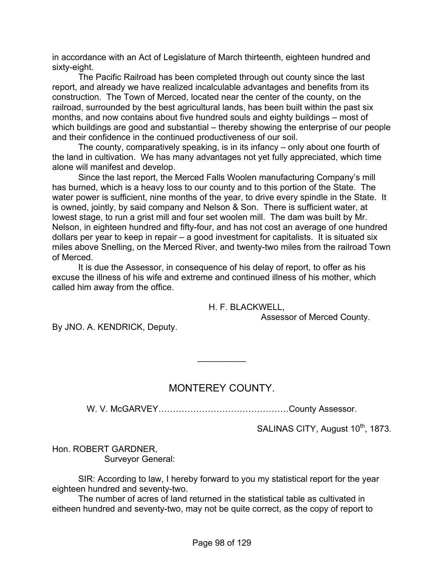in accordance with an Act of Legislature of March thirteenth, eighteen hundred and sixty-eight.

 The Pacific Railroad has been completed through out county since the last report, and already we have realized incalculable advantages and benefits from its construction. The Town of Merced, located near the center of the county, on the railroad, surrounded by the best agricultural lands, has been built within the past six months, and now contains about five hundred souls and eighty buildings – most of which buildings are good and substantial – thereby showing the enterprise of our people and their confidence in the continued productiveness of our soil.

 The county, comparatively speaking, is in its infancy – only about one fourth of the land in cultivation. We has many advantages not yet fully appreciated, which time alone will manifest and develop.

 Since the last report, the Merced Falls Woolen manufacturing Company's mill has burned, which is a heavy loss to our county and to this portion of the State. The water power is sufficient, nine months of the year, to drive every spindle in the State. It is owned, jointly, by said company and Nelson & Son. There is sufficient water, at lowest stage, to run a grist mill and four set woolen mill. The dam was built by Mr. Nelson, in eighteen hundred and fifty-four, and has not cost an average of one hundred dollars per year to keep in repair – a good investment for capitalists. It is situated six miles above Snelling, on the Merced River, and twenty-two miles from the railroad Town of Merced.

 It is due the Assessor, in consequence of his delay of report, to offer as his excuse the illness of his wife and extreme and continued illness of his mother, which called him away from the office.

H. F. BLACKWELL,

Assessor of Merced County.

By JNO. A. KENDRICK, Deputy.

### MONTEREY COUNTY.

 $\frac{1}{2}$ 

W. V. McGARVEY………………………………………County Assessor.

SALINAS CITY, August 10<sup>th</sup>, 1873.

Hon. ROBERT GARDNER, Surveyor General:

 SIR: According to law, I hereby forward to you my statistical report for the year eighteen hundred and seventy-two.

 The number of acres of land returned in the statistical table as cultivated in eitheen hundred and seventy-two, may not be quite correct, as the copy of report to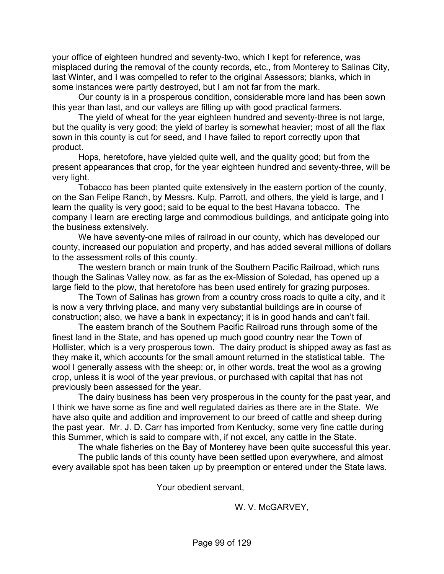your office of eighteen hundred and seventy-two, which I kept for reference, was misplaced during the removal of the county records, etc., from Monterey to Salinas City, last Winter, and I was compelled to refer to the original Assessors; blanks, which in some instances were partly destroyed, but I am not far from the mark.

 Our county is in a prosperous condition, considerable more land has been sown this year than last, and our valleys are filling up with good practical farmers.

 The yield of wheat for the year eighteen hundred and seventy-three is not large, but the quality is very good; the yield of barley is somewhat heavier; most of all the flax sown in this county is cut for seed, and I have failed to report correctly upon that product.

 Hops, heretofore, have yielded quite well, and the quality good; but from the present appearances that crop, for the year eighteen hundred and seventy-three, will be very light.

 Tobacco has been planted quite extensively in the eastern portion of the county, on the San Felipe Ranch, by Messrs. Kulp, Parrott, and others, the yield is large, and I learn the quality is very good; said to be equal to the best Havana tobacco. The company I learn are erecting large and commodious buildings, and anticipate going into the business extensively.

 We have seventy-one miles of railroad in our county, which has developed our county, increased our population and property, and has added several millions of dollars to the assessment rolls of this county.

 The western branch or main trunk of the Southern Pacific Railroad, which runs though the Salinas Valley now, as far as the ex-Mission of Soledad, has opened up a large field to the plow, that heretofore has been used entirely for grazing purposes.

 The Town of Salinas has grown from a country cross roads to quite a city, and it is now a very thriving place, and many very substantial buildings are in course of construction; also, we have a bank in expectancy; it is in good hands and can't fail.

 The eastern branch of the Southern Pacific Railroad runs through some of the finest land in the State, and has opened up much good country near the Town of Hollister, which is a very prosperous town. The dairy product is shipped away as fast as they make it, which accounts for the small amount returned in the statistical table. The wool I generally assess with the sheep; or, in other words, treat the wool as a growing crop, unless it is wool of the year previous, or purchased with capital that has not previously been assessed for the year.

 The dairy business has been very prosperous in the county for the past year, and I think we have some as fine and well regulated dairies as there are in the State. We have also quite and addition and improvement to our breed of cattle and sheep during the past year. Mr. J. D. Carr has imported from Kentucky, some very fine cattle during this Summer, which is said to compare with, if not excel, any cattle in the State.

The whale fisheries on the Bay of Monterey have been quite successful this year.

 The public lands of this county have been settled upon everywhere, and almost every available spot has been taken up by preemption or entered under the State laws.

Your obedient servant,

W. V. McGARVEY,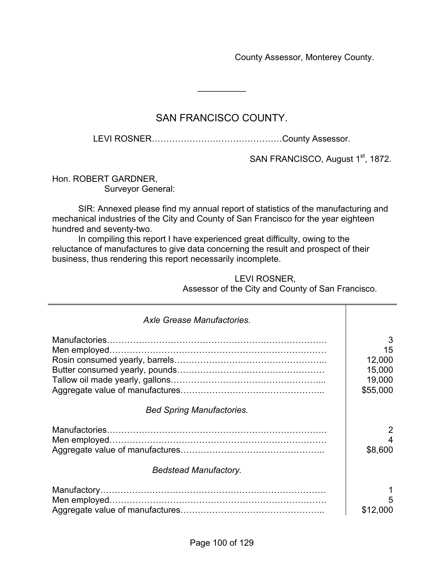County Assessor, Monterey County.

# SAN FRANCISCO COUNTY.

 $\frac{1}{2}$ 

LEVI ROSNER………………………………………County Assessor.

SAN FRANCISCO, August 1<sup>st</sup>, 1872.

Hon. ROBERT GARDNER, Surveyor General:

 SIR: Annexed please find my annual report of statistics of the manufacturing and mechanical industries of the City and County of San Francisco for the year eighteen hundred and seventy-two.

 In compiling this report I have experienced great difficulty, owing to the reluctance of manufactures to give data concerning the result and prospect of their business, thus rendering this report necessarily incomplete.

#### LEVI ROSNER, Assessor of the City and County of San Francisco.

| Axle Grease Manufactories.       |                                                   |
|----------------------------------|---------------------------------------------------|
|                                  | 3<br>15<br>12,000<br>15,000<br>19,000<br>\$55,000 |
| <b>Bed Spring Manufactories.</b> |                                                   |
| <b>Bedstead Manufactory.</b>     | 2<br>\$8,600                                      |
|                                  | 5<br>\$12,000                                     |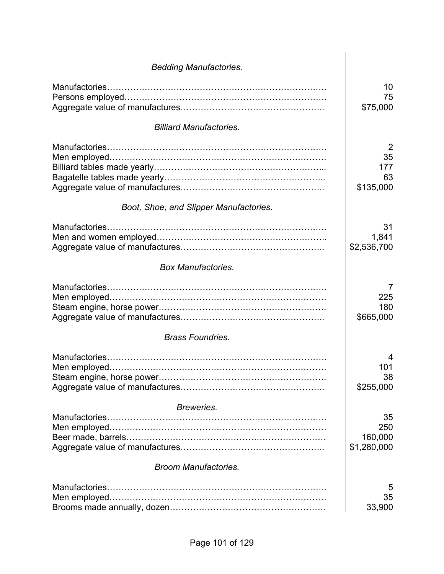| <b>Bedding Manufactories.</b>          |                                                |
|----------------------------------------|------------------------------------------------|
|                                        | 10<br>75<br>\$75,000                           |
| <b>Billiard Manufactories.</b>         |                                                |
|                                        | $\overline{2}$<br>35<br>177<br>63<br>\$135,000 |
| Boot, Shoe, and Slipper Manufactories. |                                                |
| Manufactories.                         | 31<br>1,841<br>\$2,536,700                     |
| <b>Box Manufactories.</b>              |                                                |
|                                        | 7<br>225<br>180<br>\$665,000                   |
| <b>Brass Foundries.</b>                |                                                |
|                                        | 4<br>101<br>38<br>\$255,000                    |
| Breweries.                             |                                                |
|                                        | 35<br>250<br>160,000<br>\$1,280,000            |
| <b>Broom Manufactories.</b>            |                                                |
|                                        | 5<br>35<br>33,900                              |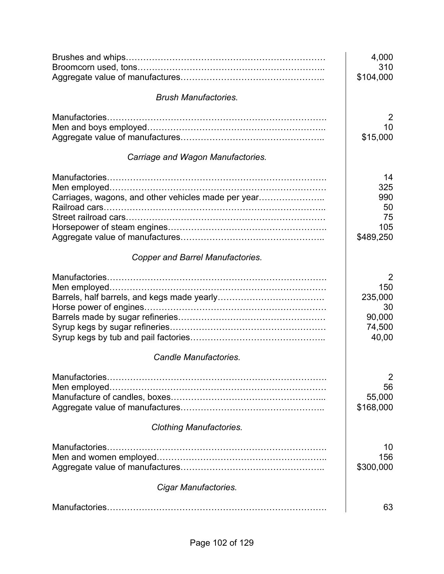|                                                     | 4,000<br>310   |
|-----------------------------------------------------|----------------|
|                                                     | \$104,000      |
| <b>Brush Manufactories.</b>                         |                |
| Manufactories.                                      | $\overline{2}$ |
|                                                     | 10             |
|                                                     | \$15,000       |
| Carriage and Wagon Manufactories.                   |                |
|                                                     | 14             |
|                                                     | 325            |
| Carriages, wagons, and other vehicles made per year | 990            |
|                                                     | 50             |
|                                                     | 75             |
|                                                     | 105            |
|                                                     | \$489,250      |
| <b>Copper and Barrel Manufactories.</b>             |                |
|                                                     | 2              |
|                                                     | 150            |
|                                                     | 235,000        |
|                                                     | 30             |
|                                                     | 90,000         |
|                                                     | 74,500         |
|                                                     | 40,00          |
| Candle Manufactories.                               |                |
|                                                     | 2              |
|                                                     | 56             |
|                                                     | 55,000         |
|                                                     | \$168,000      |
| <b>Clothing Manufactories.</b>                      |                |
| Manufactories.                                      | 10             |
|                                                     | 156            |
|                                                     | \$300,000      |
| Cigar Manufactories.                                |                |
|                                                     | 63             |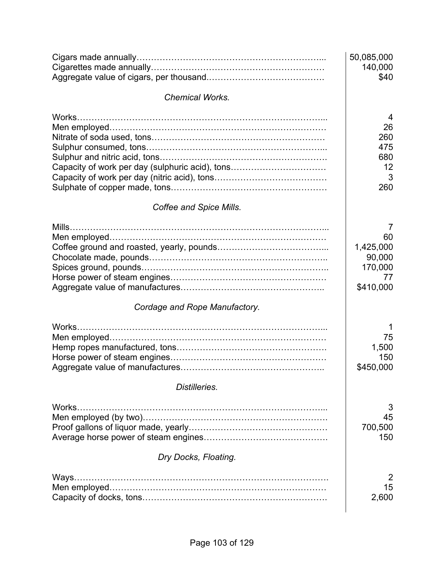|                                                 | 50,085,000<br>140,000<br>\$40                                                                        |
|-------------------------------------------------|------------------------------------------------------------------------------------------------------|
| <b>Chemical Works.</b>                          |                                                                                                      |
| Capacity of work per day (sulphuric acid), tons | 4<br>26<br>260<br>475<br>680<br>12<br>3<br>260                                                       |
| Coffee and Spice Mills.                         |                                                                                                      |
| Cordage and Rope Manufactory.                   | 7<br>60<br>1,425,000<br>90,000<br>170,000<br>77<br>\$410,000<br>1<br>75<br>1,500<br>150<br>\$450,000 |
|                                                 |                                                                                                      |
| Distilleries.                                   |                                                                                                      |
| Works.                                          | 3<br>45<br>700,500<br>150                                                                            |
| Dry Docks, Floating.                            |                                                                                                      |
| Ways                                            | $\overline{2}$<br>15<br>2,600                                                                        |
|                                                 |                                                                                                      |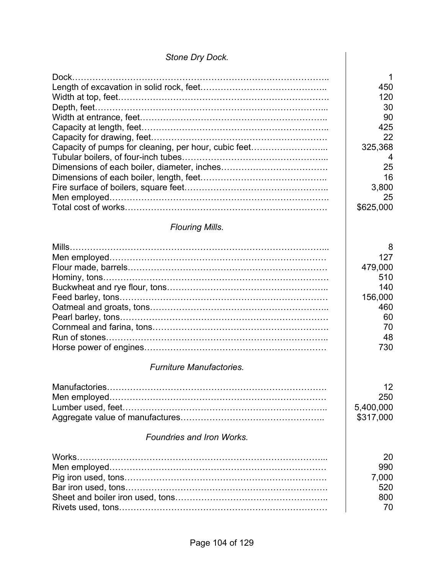## *Stone Dry Dock.*

| Capacity of pumps for cleaning, per hour, cubic feet | 1<br>450<br>120<br>30<br>90<br>425<br>22<br>325,368<br>4<br>25<br>16<br>3,800<br>25<br>\$625,000 |
|------------------------------------------------------|--------------------------------------------------------------------------------------------------|
|                                                      |                                                                                                  |
| <b>Flouring Mills.</b>                               |                                                                                                  |
|                                                      | 8<br>127<br>479,000<br>510<br>140<br>156,000<br>460<br>60<br>70<br>48<br>730                     |
| <b>Furniture Manufactories.</b>                      |                                                                                                  |
| <b>Foundries and Iron Works.</b>                     | 12<br>250<br>5,400,000<br>\$317,000                                                              |
|                                                      |                                                                                                  |
| Works.                                               | 20<br>990<br>7,000<br>520<br>800<br>70                                                           |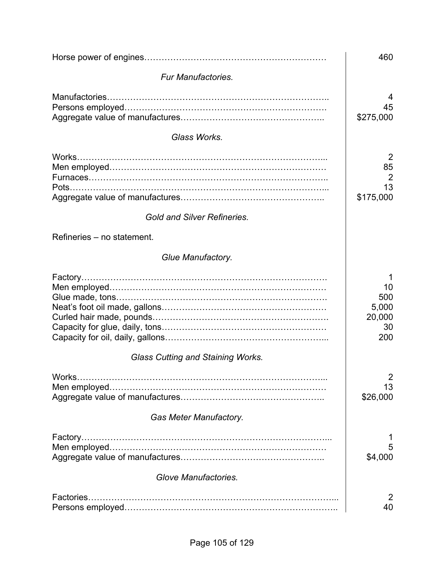|                                                                                                                                                                                                                                                                                                                                                                                                                                    | 460                                          |
|------------------------------------------------------------------------------------------------------------------------------------------------------------------------------------------------------------------------------------------------------------------------------------------------------------------------------------------------------------------------------------------------------------------------------------|----------------------------------------------|
| <b>Fur Manufactories.</b>                                                                                                                                                                                                                                                                                                                                                                                                          |                                              |
| Manufactories.                                                                                                                                                                                                                                                                                                                                                                                                                     | 45<br>\$275,000                              |
| Glass Works.                                                                                                                                                                                                                                                                                                                                                                                                                       |                                              |
| Works<br>Pots                                                                                                                                                                                                                                                                                                                                                                                                                      | 2<br>85<br>$\overline{2}$<br>13<br>\$175,000 |
| <b>Gold and Silver Refineries.</b>                                                                                                                                                                                                                                                                                                                                                                                                 |                                              |
| Refineries – no statement.                                                                                                                                                                                                                                                                                                                                                                                                         |                                              |
| Glue Manufactory.                                                                                                                                                                                                                                                                                                                                                                                                                  |                                              |
|                                                                                                                                                                                                                                                                                                                                                                                                                                    | 10<br>500<br>5,000<br>20,000<br>30<br>200    |
| <b>Glass Cutting and Staining Works.</b>                                                                                                                                                                                                                                                                                                                                                                                           |                                              |
| Works.                                                                                                                                                                                                                                                                                                                                                                                                                             | 2<br>13<br>\$26,000                          |
| <b>Gas Meter Manufactory.</b>                                                                                                                                                                                                                                                                                                                                                                                                      |                                              |
| $\label{eq:3} \textbf{Factory}.\textcolor{red}{\textbf{1:}\textbf{1:}\textbf{1:}\textbf{1:}\textbf{1:}\textbf{1:}\textbf{1:}\textbf{1:}\textbf{1:}\textbf{1:}\textbf{1:}\textbf{1:}\textbf{1:}\textbf{1:}\textbf{1:}\textbf{1:}\textbf{1:}\textbf{1:}\textbf{1:}\textbf{1:}\textbf{1:}\textbf{1:}\textbf{1:}\textbf{1:}\textbf{1:}\textbf{1:}\textbf{1:}\textbf{1:}\textbf{1:}\textbf{1:}\textbf{1:}\textbf{1:}\textbf{1:}\textbf$ | 5<br>\$4,000                                 |
| Glove Manufactories.                                                                                                                                                                                                                                                                                                                                                                                                               |                                              |
| Factories                                                                                                                                                                                                                                                                                                                                                                                                                          | 2<br>40                                      |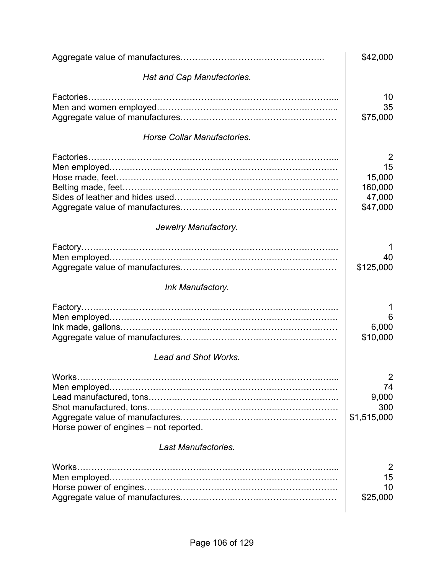|                                                  | \$42,000                                           |
|--------------------------------------------------|----------------------------------------------------|
| Hat and Cap Manufactories.                       |                                                    |
|                                                  | 10<br>35<br>\$75,000                               |
| Horse Collar Manufactories.                      |                                                    |
| Factories                                        | 2<br>15<br>15,000<br>160,000<br>47,000<br>\$47,000 |
| Jewelry Manufactory.                             |                                                    |
|                                                  | 40<br>\$125,000                                    |
| Ink Manufactory.                                 |                                                    |
|                                                  | 6<br>6,000<br>\$10,000                             |
| <b>Lead and Shot Works.</b>                      |                                                    |
| Works.<br>Horse power of engines – not reported. | 2<br>74<br>9,000<br>300<br>\$1,515,000             |
| Last Manufactories.                              |                                                    |
| Works.                                           | 2<br>15<br>10<br>\$25,000                          |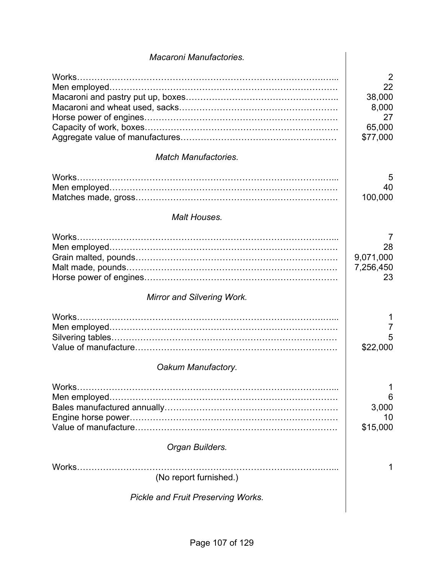| Macaroni Manufactories.                   |                                                        |
|-------------------------------------------|--------------------------------------------------------|
| <b>Match Manufactories.</b>               | 2<br>22<br>38,000<br>8,000<br>27<br>65,000<br>\$77,000 |
|                                           |                                                        |
| Works.                                    | 5<br>40<br>100,000                                     |
| Malt Houses.                              |                                                        |
| Works                                     | 7<br>28<br>9,071,000<br>7,256,450<br>23                |
| <b>Mirror and Silvering Work.</b>         |                                                        |
| Works<br>Oakum Manufactory.               | 7<br>5<br>\$22,000                                     |
| Works.                                    | 6<br>3,000<br>10<br>\$15,000                           |
| Organ Builders.                           |                                                        |
| Works.<br>(No report furnished.)          | 1                                                      |
| <b>Pickle and Fruit Preserving Works.</b> |                                                        |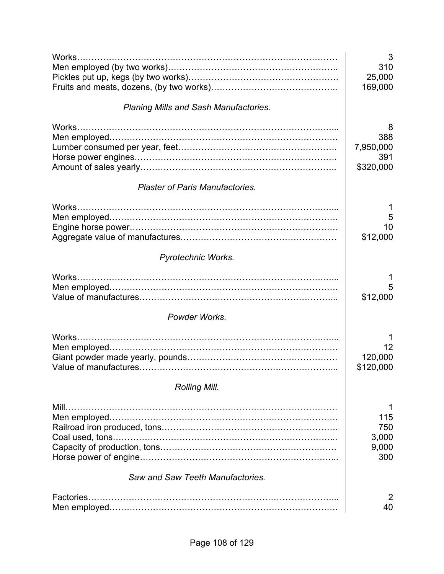| Works                                        | 3<br>310<br>25,000<br>169,000             |
|----------------------------------------------|-------------------------------------------|
| <b>Planing Mills and Sash Manufactories.</b> |                                           |
| <b>Plaster of Paris Manufactories.</b>       | 8<br>388<br>7,950,000<br>391<br>\$320,000 |
|                                              | 1<br>5<br>10<br>\$12,000                  |
| Pyrotechnic Works.                           |                                           |
|                                              | 1<br>5<br>\$12,000                        |
| Powder Works.                                |                                           |
|                                              | 1<br>12<br>120,000<br>\$120,000           |
| <b>Rolling Mill.</b>                         |                                           |
| Mill<br>Saw and Saw Teeth Manufactories.     | 115<br>750<br>3,000<br>9,000<br>300       |
| Factories.                                   | $\overline{2}$<br>40                      |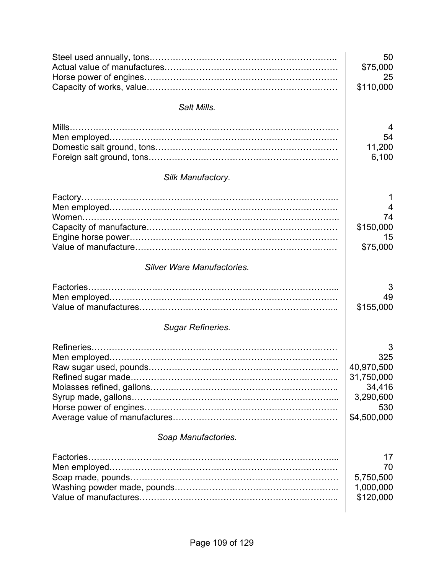|                                   | 50          |
|-----------------------------------|-------------|
|                                   | \$75,000    |
|                                   | 25          |
|                                   | \$110,000   |
| Salt Mills.                       |             |
|                                   | 4           |
|                                   | 54          |
|                                   | 11,200      |
|                                   | 6,100       |
| Silk Manufactory.                 |             |
|                                   | 1           |
|                                   | 4           |
|                                   | 74          |
|                                   | \$150,000   |
|                                   | 15          |
|                                   | \$75,000    |
| <b>Silver Ware Manufactories.</b> |             |
|                                   | 3           |
|                                   | 49          |
|                                   | \$155,000   |
| <b>Sugar Refineries.</b>          |             |
|                                   | 3           |
|                                   | 325         |
|                                   | 40,970,500  |
|                                   | 31,750,000  |
|                                   | 34,416      |
|                                   | 3,290,600   |
|                                   | 530         |
|                                   | \$4,500,000 |
| Soap Manufactories.               |             |
|                                   | 17          |
|                                   | 70          |
|                                   | 5,750,500   |
|                                   | 1,000,000   |
|                                   | \$120,000   |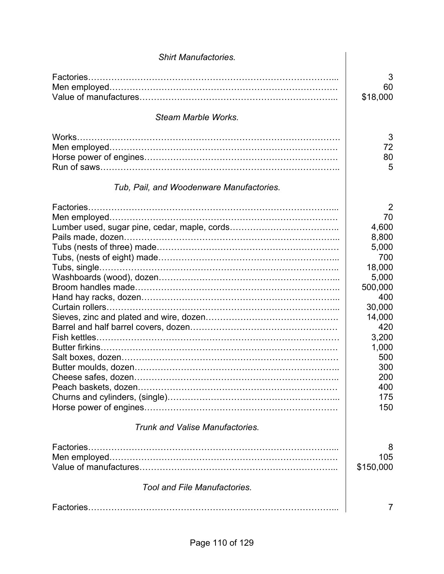| <b>Shirt Manufactories.</b>              |                                                                                                                                                                                    |
|------------------------------------------|------------------------------------------------------------------------------------------------------------------------------------------------------------------------------------|
|                                          | 3<br>60<br>\$18,000                                                                                                                                                                |
| Steam Marble Works.                      |                                                                                                                                                                                    |
| Tub, Pail, and Woodenware Manufactories. | 3<br>72<br>80<br>5                                                                                                                                                                 |
|                                          | $\overline{2}$<br>70<br>4,600<br>8,800<br>5,000<br>700<br>18,000<br>5,000<br>500,000<br>400<br>30,000<br>14,000<br>420<br>3,200<br>1,000<br>500<br>300<br>200<br>400<br>175<br>150 |
| <b>Trunk and Valise Manufactories.</b>   |                                                                                                                                                                                    |
|                                          | 8<br>105<br>\$150,000                                                                                                                                                              |
| <b>Tool and File Manufactories.</b>      |                                                                                                                                                                                    |
|                                          | 7                                                                                                                                                                                  |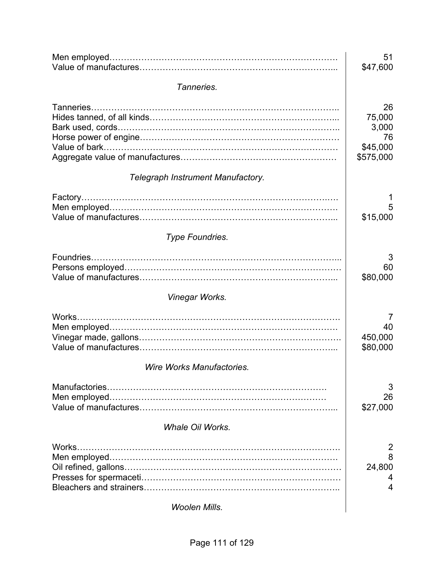|                                     | 51<br>\$47,600                                       |
|-------------------------------------|------------------------------------------------------|
| Tanneries.                          |                                                      |
| Tanneries.                          | 26<br>75,000<br>3,000<br>76<br>\$45,000<br>\$575,000 |
| Telegraph Instrument Manufactory.   |                                                      |
|                                     | 5<br>\$15,000                                        |
| Type Foundries.                     |                                                      |
|                                     | 3<br>60<br>\$80,000                                  |
| Vinegar Works.                      |                                                      |
| Works.<br>Wire Works Manufactories. | $\prime$<br>40<br>450,000<br>\$80,000                |
|                                     | 3<br>26<br>\$27,000                                  |
| <b>Whale Oil Works.</b>             |                                                      |
| Works.                              | 2<br>8<br>24,800<br>4<br>4                           |
| <b>Woolen Mills.</b>                |                                                      |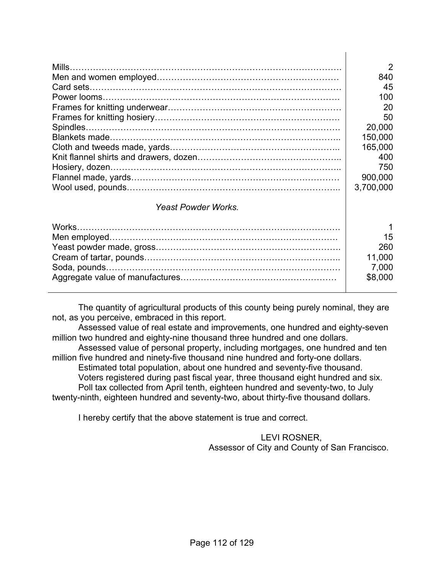| Mills.                     | $\mathcal{P}$<br>840<br>45<br>100<br>20<br>50<br>20,000<br>150,000<br>165,000<br>400<br>750<br>900,000<br>3,700,000 |
|----------------------------|---------------------------------------------------------------------------------------------------------------------|
| <b>Yeast Powder Works.</b> |                                                                                                                     |
|                            | 15<br>260<br>11,000<br>7,000<br>\$8,000                                                                             |

 The quantity of agricultural products of this county being purely nominal, they are not, as you perceive, embraced in this report.

 Assessed value of real estate and improvements, one hundred and eighty-seven million two hundred and eighty-nine thousand three hundred and one dollars. Assessed value of personal property, including mortgages, one hundred and ten million five hundred and ninety-five thousand nine hundred and forty-one dollars. Estimated total population, about one hundred and seventy-five thousand. Voters registered during past fiscal year, three thousand eight hundred and six. Poll tax collected from April tenth, eighteen hundred and seventy-two, to July twenty-ninth, eighteen hundred and seventy-two, about thirty-five thousand dollars.

I hereby certify that the above statement is true and correct.

LEVI ROSNER, Assessor of City and County of San Francisco.

 $\mathbf{I}$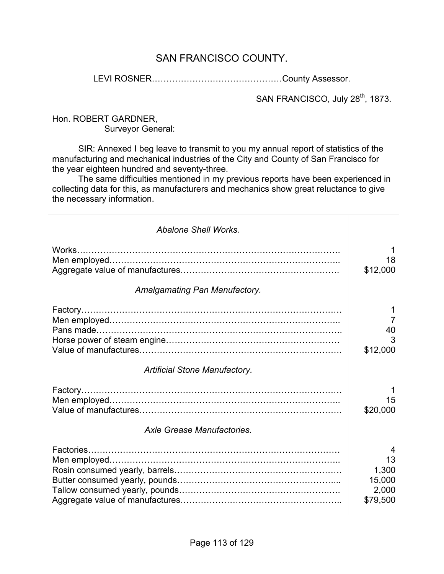#### SAN FRANCISCO COUNTY.

LEVI ROSNER………………………………………County Assessor.

SAN FRANCISCO, July 28<sup>th</sup>, 1873.

Hon. ROBERT GARDNER, Surveyor General:

 SIR: Annexed I beg leave to transmit to you my annual report of statistics of the manufacturing and mechanical industries of the City and County of San Francisco for the year eighteen hundred and seventy-three.

 The same difficulties mentioned in my previous reports have been experienced in collecting data for this, as manufacturers and mechanics show great reluctance to give the necessary information.

| <b>Abalone Shell Works.</b>          |                                                 |
|--------------------------------------|-------------------------------------------------|
| Works                                | 18<br>\$12,000                                  |
| Amalgamating Pan Manufactory.        |                                                 |
|                                      | 7<br>40<br>3<br>\$12,000                        |
| <b>Artificial Stone Manufactory.</b> |                                                 |
| Axle Grease Manufactories.           | 15<br>\$20,000                                  |
|                                      | 4<br>13<br>1,300<br>15,000<br>2,000<br>\$79,500 |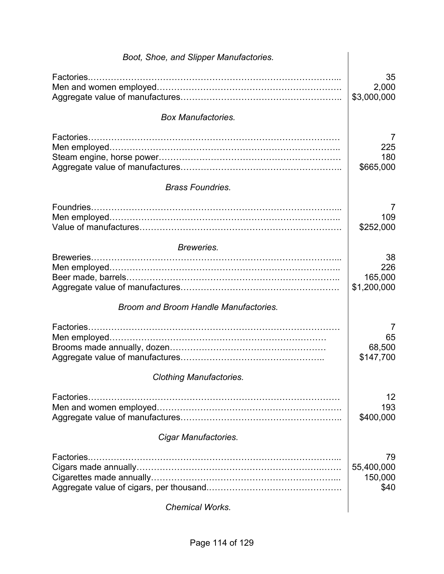| Boot, Shoe, and Slipper Manufactories. |                                     |
|----------------------------------------|-------------------------------------|
| Factories                              | 35<br>2,000<br>\$3,000,000          |
| <b>Box Manufactories.</b>              |                                     |
| <b>Brass Foundries.</b>                | 7<br>225<br>180<br>\$665,000        |
|                                        |                                     |
|                                        | 7<br>109<br>\$252,000               |
| Breweries.                             |                                     |
|                                        | 38<br>226<br>165,000<br>\$1,200,000 |
| Broom and Broom Handle Manufactories.  |                                     |
|                                        | 7<br>65<br>68,500<br>\$147,700      |
| <b>Clothing Manufactories.</b>         |                                     |
|                                        | 12<br>193<br>\$400,000              |
| Cigar Manufactories.                   |                                     |
|                                        | 79<br>55,400,000<br>150,000<br>\$40 |
| <b>Chemical Works.</b>                 |                                     |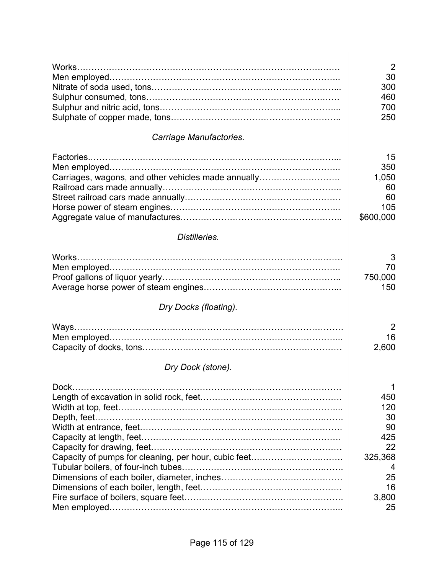|                                                      | $\overline{2}$   |
|------------------------------------------------------|------------------|
|                                                      | 30               |
|                                                      | 300              |
|                                                      | 460              |
|                                                      | 700<br>250       |
|                                                      |                  |
| Carriage Manufactories.                              |                  |
|                                                      | 15               |
|                                                      | 350              |
| Carriages, wagons, and other vehicles made annually  | 1,050            |
|                                                      | 60               |
|                                                      | 60               |
|                                                      | 105<br>\$600,000 |
|                                                      |                  |
| Distilleries.                                        |                  |
|                                                      | 3                |
|                                                      | 70               |
|                                                      | 750,000          |
|                                                      | 150              |
| Dry Docks (floating).                                |                  |
|                                                      | 2                |
|                                                      | 16               |
|                                                      | 2,600            |
| Dry Dock (stone).                                    |                  |
| Dock.                                                | 1                |
|                                                      | 450              |
|                                                      | 120              |
|                                                      | 30               |
|                                                      | 90               |
|                                                      | 425              |
| Capacity of pumps for cleaning, per hour, cubic feet | 22<br>325,368    |
|                                                      | 4                |
|                                                      | 25               |
|                                                      | 16               |
|                                                      | 3,800            |
|                                                      | 25               |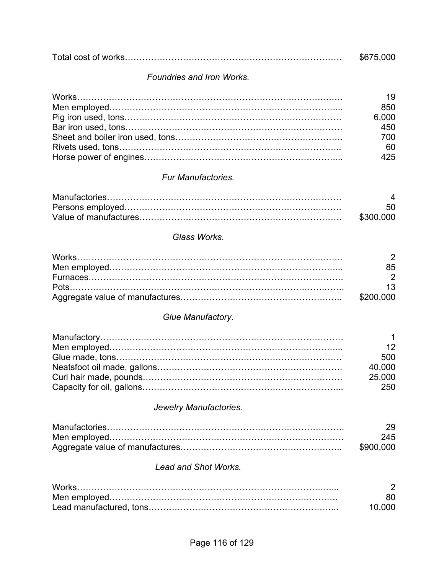|                             | \$675,000                                     |
|-----------------------------|-----------------------------------------------|
| Foundries and Iron Works.   |                                               |
| Works.                      | 19<br>850<br>6,000<br>450<br>700<br>60<br>425 |
| <b>Fur Manufactories.</b>   |                                               |
|                             | 4<br>50<br>\$300,000                          |
| Glass Works.                |                                               |
| Works.                      | 2<br>85<br>2<br>13<br>\$200,000               |
| Glue Manufactory.           |                                               |
|                             | 12<br>500<br>40,000<br>25,000<br>250          |
| Jewelry Manufactories.      |                                               |
|                             | 29<br>245<br>\$900,000                        |
| <b>Lead and Shot Works.</b> |                                               |
| Works.                      | 2<br>80<br>10,000                             |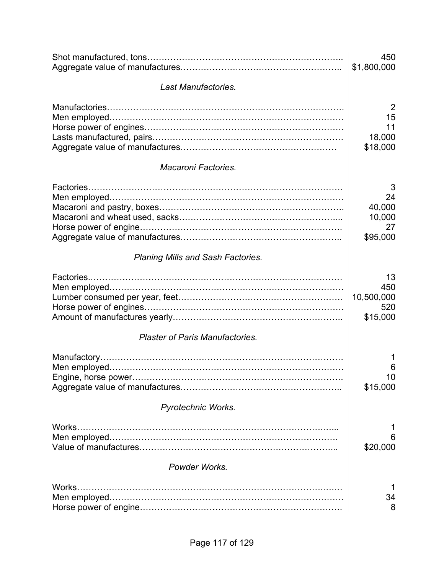|                                          | 450<br>\$1,800,000                            |
|------------------------------------------|-----------------------------------------------|
| Last Manufactories.                      |                                               |
|                                          | 2<br>15<br>11<br>18,000<br>\$18,000           |
| <b>Macaroni Factories.</b>               |                                               |
|                                          | 3<br>24<br>40,000<br>10,000<br>27<br>\$95,000 |
| <b>Planing Mills and Sash Factories.</b> |                                               |
|                                          | 13<br>450<br>10,500,000<br>520<br>\$15,000    |
| <b>Plaster of Paris Manufactories.</b>   |                                               |
|                                          | 6<br>10<br>\$15,000                           |
| Pyrotechnic Works.                       |                                               |
| Works.                                   | 6<br>\$20,000                                 |
| Powder Works.                            |                                               |
| Works.                                   | 34<br>8                                       |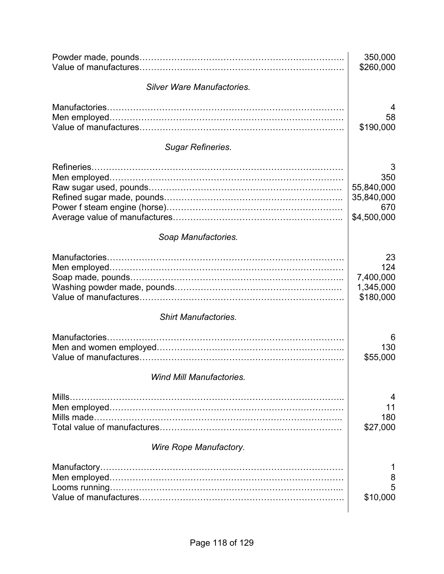|                                   | 350,000<br>\$260,000                                       |
|-----------------------------------|------------------------------------------------------------|
| <b>Silver Ware Manufactories.</b> |                                                            |
|                                   | 4<br>58<br>\$190,000                                       |
| <b>Sugar Refineries.</b>          |                                                            |
|                                   | 3<br>350<br>55,840,000<br>35,840,000<br>670<br>\$4,500,000 |
| Soap Manufactories.               |                                                            |
|                                   | 23<br>124<br>7,400,000<br>1,345,000<br>\$180,000           |
| <b>Shirt Manufactories.</b>       |                                                            |
|                                   | 6<br>130<br>\$55,000                                       |
| <b>Wind Mill Manufactories.</b>   |                                                            |
|                                   | 4<br>11<br>180<br>\$27,000                                 |
| Wire Rope Manufactory.            |                                                            |
|                                   | 8<br>5<br>\$10,000                                         |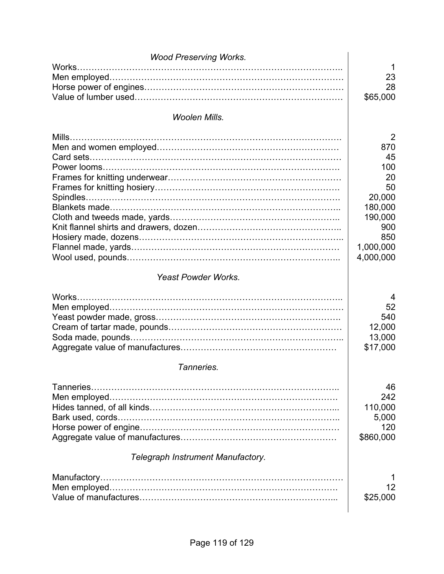| <b>Wood Preserving Works.</b>     |                |
|-----------------------------------|----------------|
| Works.                            | 1              |
|                                   | 23             |
|                                   | 28             |
|                                   | \$65,000       |
| <b>Woolen Mills.</b>              |                |
|                                   | $\overline{2}$ |
|                                   | 870            |
|                                   | 45             |
|                                   | 100            |
|                                   | 20             |
|                                   | 50             |
|                                   | 20,000         |
|                                   | 180,000        |
|                                   | 190,000        |
|                                   | 900            |
|                                   | 850            |
|                                   | 1,000,000      |
|                                   | 4,000,000      |
| <b>Yeast Powder Works.</b>        |                |
| Works.                            | 4              |
|                                   | 52             |
|                                   | 540            |
|                                   | 12,000         |
|                                   | 13,000         |
|                                   | \$17,000       |
|                                   |                |
| Tanneries.                        |                |
|                                   | 46             |
|                                   | 242            |
|                                   | 110,000        |
|                                   | 5,000          |
|                                   | 120            |
|                                   | \$860,000      |
| Telegraph Instrument Manufactory. |                |
|                                   | 1              |
|                                   | 12             |
|                                   | \$25,000       |
|                                   |                |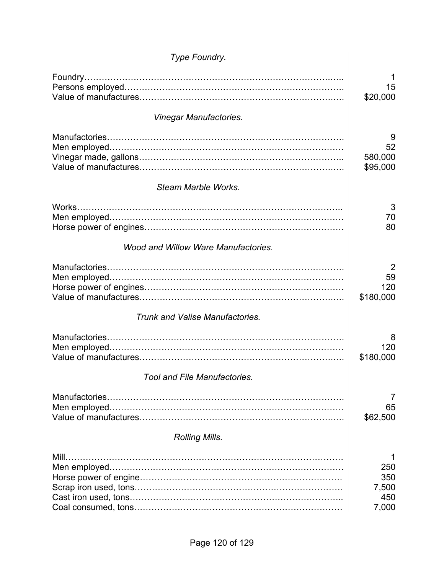| Type Foundry.                          |                                     |
|----------------------------------------|-------------------------------------|
|                                        | 15                                  |
|                                        | \$20,000                            |
| Vinegar Manufactories.                 |                                     |
|                                        | 9<br>52<br>580,000<br>\$95,000      |
| Steam Marble Works.                    |                                     |
| Works.                                 | 3<br>70<br>80                       |
| Wood and Willow Ware Manufactories.    |                                     |
|                                        | 2<br>59<br>120<br>\$180,000         |
| <b>Trunk and Valise Manufactories.</b> |                                     |
|                                        | 8<br>120<br>\$180,000               |
| <b>Tool and File Manufactories.</b>    |                                     |
|                                        | 7<br>65<br>\$62,500                 |
| <b>Rolling Mills.</b>                  |                                     |
| Mill                                   | 250<br>350<br>7,500<br>450<br>7,000 |
|                                        |                                     |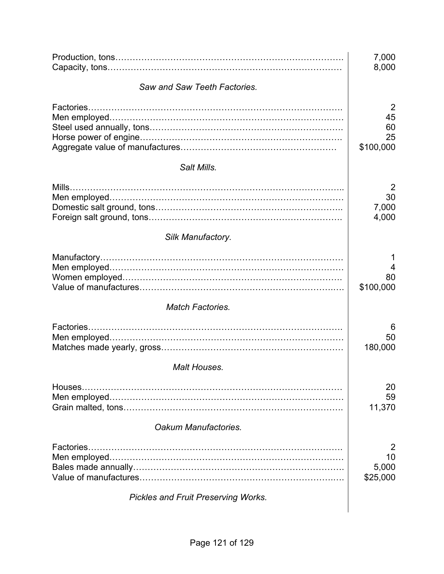|                                            | 7,000<br>8,000                   |
|--------------------------------------------|----------------------------------|
| Saw and Saw Teeth Factories.               |                                  |
|                                            | 2<br>45<br>60<br>25<br>\$100,000 |
| Salt Mills.                                |                                  |
|                                            | 2<br>30<br>7,000<br>4,000        |
| Silk Manufactory.                          |                                  |
|                                            | 1<br>4<br>80<br>\$100,000        |
| <b>Match Factories.</b>                    |                                  |
| <b>Malt Houses.</b>                        | 6<br>50<br>180,000               |
| Houses.                                    | 20<br>59<br>11,370               |
| Oakum Manufactories.                       |                                  |
| Factories                                  | 2                                |
|                                            | 10<br>5,000<br>\$25,000          |
| <b>Pickles and Fruit Preserving Works.</b> |                                  |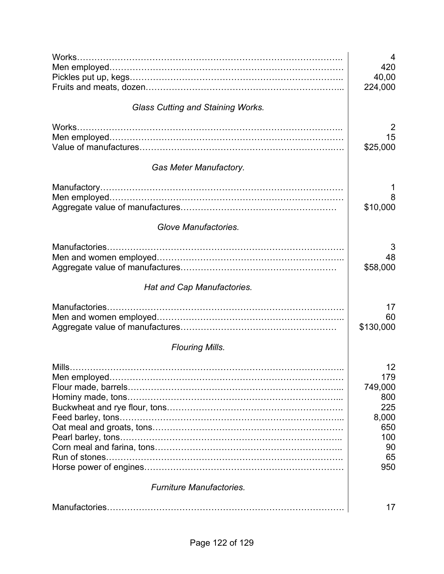|                                          | 4              |
|------------------------------------------|----------------|
|                                          | 420            |
|                                          | 40,00          |
|                                          | 224,000        |
| <b>Glass Cutting and Staining Works.</b> |                |
|                                          | $\overline{2}$ |
|                                          | 15             |
|                                          | \$25,000       |
|                                          |                |
| <b>Gas Meter Manufactory.</b>            |                |
|                                          |                |
|                                          | 8              |
|                                          | \$10,000       |
| <b>Glove Manufactories.</b>              |                |
| Manufactories                            | 3              |
|                                          | 48             |
|                                          | \$58,000       |
| Hat and Cap Manufactories.               |                |
| Manufactories                            | 17             |
|                                          | 60             |
|                                          | \$130,000      |
| <b>Flouring Mills.</b>                   |                |
|                                          | 12             |
|                                          | 179            |
|                                          | 749,000        |
|                                          | 800            |
|                                          | 225            |
|                                          | 8,000<br>650   |
|                                          | 100            |
|                                          | 90             |
|                                          | 65             |
|                                          | 950            |
| <b>Furniture Manufactories.</b>          |                |
|                                          | 17             |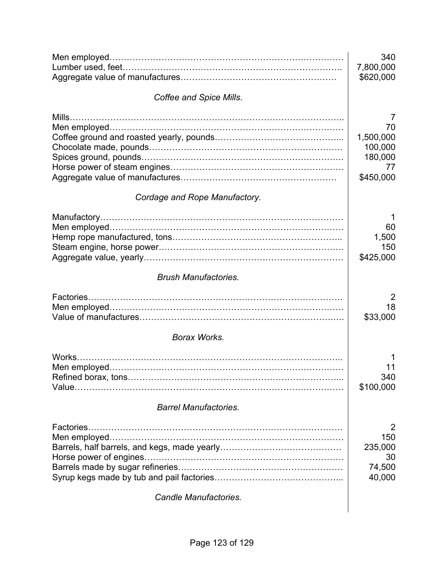|                               | 340<br>7,800,000<br>\$620,000                      |
|-------------------------------|----------------------------------------------------|
|                               |                                                    |
| Coffee and Spice Mills.       |                                                    |
|                               | 7<br>70                                            |
|                               | 1,500,000<br>100,000<br>180,000<br>77<br>\$450,000 |
| Cordage and Rope Manufactory. |                                                    |
|                               | 1<br>60<br>1,500<br>150<br>\$425,000               |
| <b>Brush Manufactories.</b>   |                                                    |
|                               | 2<br>18<br>\$33,000                                |
| <b>Borax Works.</b>           |                                                    |
|                               | 11<br>340<br>\$100,000                             |
| <b>Barrel Manufactories.</b>  |                                                    |
|                               | 2<br>150<br>235,000<br>30<br>74,500<br>40,000      |
| <b>Candle Manufactories.</b>  |                                                    |
|                               |                                                    |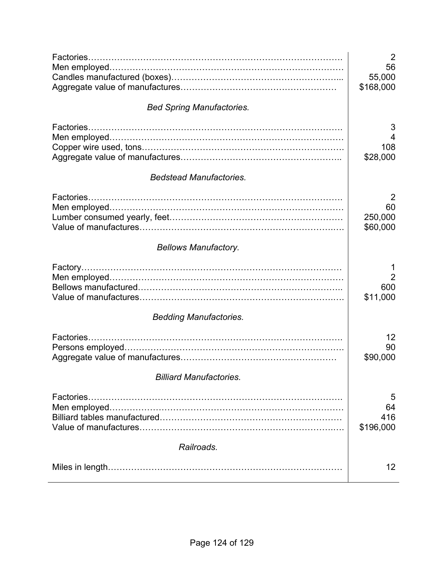|                                  | $\overline{2}$                         |
|----------------------------------|----------------------------------------|
|                                  | 56<br>55,000<br>\$168,000              |
| <b>Bed Spring Manufactories.</b> |                                        |
| <b>Bedstead Manufactories.</b>   | 3<br>4<br>108<br>\$28,000              |
|                                  |                                        |
|                                  | 2<br>60<br>250,000<br>\$60,000         |
| <b>Bellows Manufactory.</b>      |                                        |
|                                  | 1<br>$\overline{2}$<br>600<br>\$11,000 |
| <b>Bedding Manufactories.</b>    |                                        |
|                                  | $12 \overline{ }$<br>90<br>\$90,000    |
| <b>Billiard Manufactories.</b>   |                                        |
| Factories.                       | 5<br>64<br>416<br>\$196,000            |
| Railroads.                       |                                        |
|                                  | $12 \overline{ }$                      |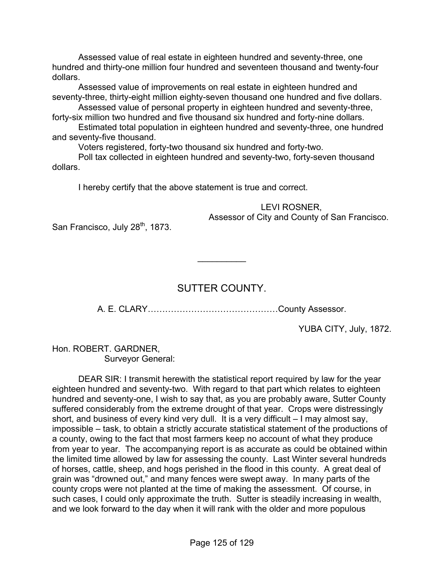Assessed value of real estate in eighteen hundred and seventy-three, one hundred and thirty-one million four hundred and seventeen thousand and twenty-four dollars.

 Assessed value of improvements on real estate in eighteen hundred and seventy-three, thirty-eight million eighty-seven thousand one hundred and five dollars.

 Assessed value of personal property in eighteen hundred and seventy-three, forty-six million two hundred and five thousand six hundred and forty-nine dollars.

 Estimated total population in eighteen hundred and seventy-three, one hundred and seventy-five thousand.

Voters registered, forty-two thousand six hundred and forty-two.

 Poll tax collected in eighteen hundred and seventy-two, forty-seven thousand dollars.

I hereby certify that the above statement is true and correct.

LEVI ROSNER, Assessor of City and County of San Francisco.

San Francisco, July 28<sup>th</sup>, 1873.

### SUTTER COUNTY.

 $\frac{1}{2}$ 

A. E. CLARY………………………………………County Assessor.

YUBA CITY, July, 1872.

Hon. ROBERT. GARDNER, Surveyor General:

 DEAR SIR: I transmit herewith the statistical report required by law for the year eighteen hundred and seventy-two. With regard to that part which relates to eighteen hundred and seventy-one, I wish to say that, as you are probably aware, Sutter County suffered considerably from the extreme drought of that year. Crops were distressingly short, and business of every kind very dull. It is a very difficult  $-1$  may almost say, impossible – task, to obtain a strictly accurate statistical statement of the productions of a county, owing to the fact that most farmers keep no account of what they produce from year to year. The accompanying report is as accurate as could be obtained within the limited time allowed by law for assessing the county. Last Winter several hundreds of horses, cattle, sheep, and hogs perished in the flood in this county. A great deal of grain was "drowned out," and many fences were swept away. In many parts of the county crops were not planted at the time of making the assessment. Of course, in such cases, I could only approximate the truth. Sutter is steadily increasing in wealth, and we look forward to the day when it will rank with the older and more populous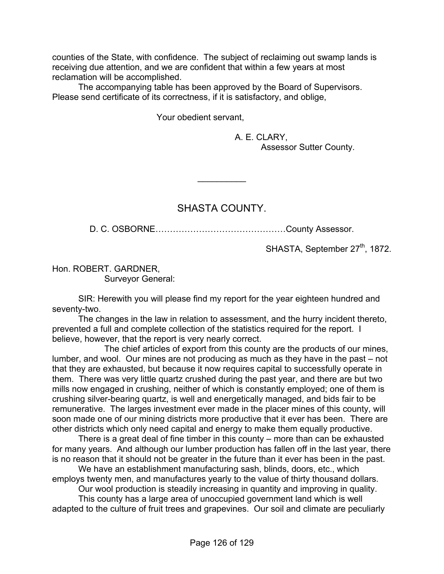counties of the State, with confidence. The subject of reclaiming out swamp lands is receiving due attention, and we are confident that within a few years at most reclamation will be accomplished.

 The accompanying table has been approved by the Board of Supervisors. Please send certificate of its correctness, if it is satisfactory, and oblige,

Your obedient servant,

 A. E. CLARY, Assessor Sutter County.

### SHASTA COUNTY.

 $\frac{1}{2}$ 

D. C. OSBORNE………………………………………County Assessor.

SHASTA, September 27<sup>th</sup>, 1872.

Hon. ROBERT. GARDNER, Surveyor General:

SIR: Herewith you will please find my report for the year eighteen hundred and seventy-two.

The changes in the law in relation to assessment, and the hurry incident thereto, prevented a full and complete collection of the statistics required for the report. I believe, however, that the report is very nearly correct.

 The chief articles of export from this county are the products of our mines, lumber, and wool. Our mines are not producing as much as they have in the past – not that they are exhausted, but because it now requires capital to successfully operate in them. There was very little quartz crushed during the past year, and there are but two mills now engaged in crushing, neither of which is constantly employed; one of them is crushing silver-bearing quartz, is well and energetically managed, and bids fair to be remunerative. The larges investment ever made in the placer mines of this county, will soon made one of our mining districts more productive that it ever has been. There are other districts which only need capital and energy to make them equally productive.

 There is a great deal of fine timber in this county – more than can be exhausted for many years. And although our lumber production has fallen off in the last year, there is no reason that it should not be greater in the future than it ever has been in the past.

We have an establishment manufacturing sash, blinds, doors, etc., which employs twenty men, and manufactures yearly to the value of thirty thousand dollars.

Our wool production is steadily increasing in quantity and improving in quality.

 This county has a large area of unoccupied government land which is well adapted to the culture of fruit trees and grapevines. Our soil and climate are peculiarly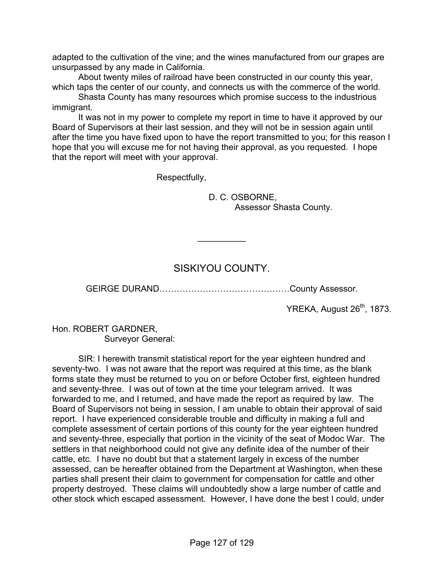adapted to the cultivation of the vine; and the wines manufactured from our grapes are unsurpassed by any made in California.

 About twenty miles of railroad have been constructed in our county this year, which taps the center of our county, and connects us with the commerce of the world.

 Shasta County has many resources which promise success to the industrious immigrant.

 It was not in my power to complete my report in time to have it approved by our Board of Supervisors at their last session, and they will not be in session again until after the time you have fixed upon to have the report transmitted to you; for this reason I hope that you will excuse me for not having their approval, as you requested. I hope that the report will meet with your approval.

Respectfully,

 D. C. OSBORNE, Assessor Shasta County.

### SISKIYOU COUNTY.

 $\frac{1}{2}$ 

GEIRGE DURAND………………………………………County Assessor.

YREKA, August 26<sup>th</sup>, 1873.

Hon. ROBERT GARDNER, Surveyor General:

 SIR: I herewith transmit statistical report for the year eighteen hundred and seventy-two. I was not aware that the report was required at this time, as the blank forms state they must be returned to you on or before October first, eighteen hundred and seventy-three. I was out of town at the time your telegram arrived. It was forwarded to me, and I returned, and have made the report as required by law. The Board of Supervisors not being in session, I am unable to obtain their approval of said report. I have experienced considerable trouble and difficulty in making a full and complete assessment of certain portions of this county for the year eighteen hundred and seventy-three, especially that portion in the vicinity of the seat of Modoc War. The settlers in that neighborhood could not give any definite idea of the number of their cattle, etc. I have no doubt but that a statement largely in excess of the number assessed, can be hereafter obtained from the Department at Washington, when these parties shall present their claim to government for compensation for cattle and other property destroyed. These claims will undoubtedly show a large number of cattle and other stock which escaped assessment. However, I have done the best I could, under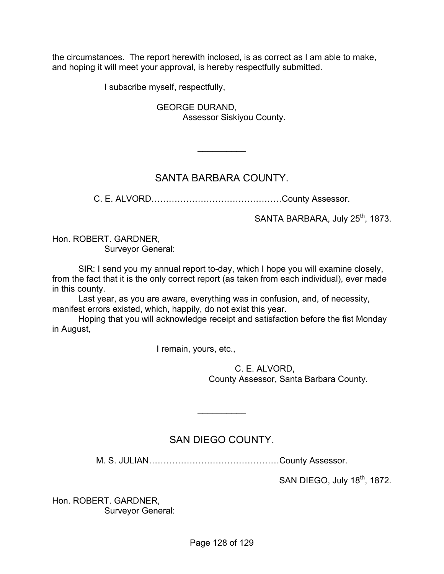the circumstances. The report herewith inclosed, is as correct as I am able to make, and hoping it will meet your approval, is hereby respectfully submitted.

I subscribe myself, respectfully,

 GEORGE DURAND, Assessor Siskiyou County.

## SANTA BARBARA COUNTY.

 $\frac{1}{2}$ 

C. E. ALVORD………………………………………County Assessor.

SANTA BARBARA, July 25<sup>th</sup>, 1873.

Hon. ROBERT. GARDNER, Surveyor General:

 SIR: I send you my annual report to-day, which I hope you will examine closely, from the fact that it is the only correct report (as taken from each individual), ever made in this county.

 Last year, as you are aware, everything was in confusion, and, of necessity, manifest errors existed, which, happily, do not exist this year.

 Hoping that you will acknowledge receipt and satisfaction before the fist Monday in August,

I remain, yours, etc.,

 C. E. ALVORD, County Assessor, Santa Barbara County.

# SAN DIEGO COUNTY.

 $\frac{1}{2}$ 

M. S. JULIAN………………………………………County Assessor.

SAN DIEGO, July 18<sup>th</sup>, 1872.

Hon. ROBERT. GARDNER, Surveyor General: